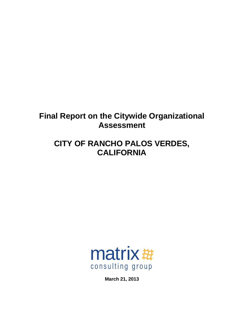# **Final Report on the Citywide Organizational Assessment**

# **CITY OF RANCHO PALOS VERDES, CALIFORNIA**



**March 21, 2013**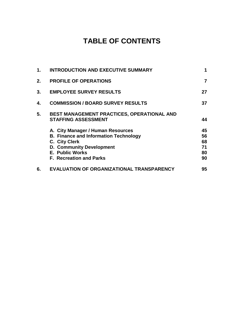# **TABLE OF CONTENTS**

| 2.<br><b>PROFILE OF OPERATIONS</b>                                                                                                                                                                | 7                                |
|---------------------------------------------------------------------------------------------------------------------------------------------------------------------------------------------------|----------------------------------|
|                                                                                                                                                                                                   |                                  |
| 3.<br><b>EMPLOYEE SURVEY RESULTS</b>                                                                                                                                                              | 27                               |
| <b>COMMISSION / BOARD SURVEY RESULTS</b><br>4.                                                                                                                                                    | 37                               |
| 5.<br>BEST MANAGEMENT PRACTICES, OPERATIONAL AND<br><b>STAFFING ASSESSMENT</b>                                                                                                                    | 44                               |
| A. City Manager / Human Resources<br><b>B. Finance and Information Technology</b><br>C. City Clerk<br><b>D. Community Development</b><br><b>E. Public Works</b><br><b>F. Recreation and Parks</b> | 45<br>56<br>68<br>71<br>80<br>90 |
| EVALUATION OF ORGANIZATIONAL TRANSPARENCY<br>6.                                                                                                                                                   | 95                               |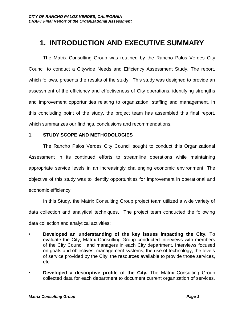# **1. INTRODUCTION AND EXECUTIVE SUMMARY**

The Matrix Consulting Group was retained by the Rancho Palos Verdes City Council to conduct a Citywide Needs and Efficiency Assessment Study. The report, which follows, presents the results of the study. This study was designed to provide an assessment of the efficiency and effectiveness of City operations, identifying strengths and improvement opportunities relating to organization, staffing and management. In this concluding point of the study, the project team has assembled this final report, which summarizes our findings, conclusions and recommendations.

#### **1. STUDY SCOPE AND METHODOLOGIES**

The Rancho Palos Verdes City Council sought to conduct this Organizational Assessment in its continued efforts to streamline operations while maintaining appropriate service levels in an increasingly challenging economic environment. The objective of this study was to identify opportunities for improvement in operational and economic efficiency.

In this Study, the Matrix Consulting Group project team utilized a wide variety of data collection and analytical techniques. The project team conducted the following data collection and analytical activities:

- **Developed an understanding of the key issues impacting the City.** To evaluate the City, Matrix Consulting Group conducted interviews with members of the City Council, and managers in each City department. Interviews focused on goals and objectives, management systems, the use of technology, the levels of service provided by the City, the resources available to provide those services, etc.
- **Developed a descriptive profile of the City.** The Matrix Consulting Group collected data for each department to document current organization of services,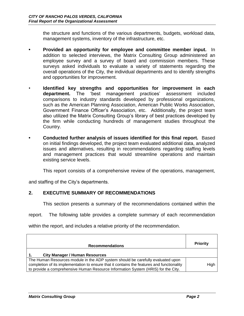the structure and functions of the various departments, budgets, workload data, management systems, inventory of the infrastructure, etc.

- **• Provided an opportunity for employee and committee member input.** In addition to selected interviews, the Matrix Consulting Group administered an employee survey and a survey of board and commission members. These surveys asked individuals to evaluate a variety of statements regarding the overall operations of the City, the individual departments and to identify strengths and opportunities for improvement.
- **Identified key strengths and opportunities for improvement in each department.** The 'best management practices' assessment included comparisons to industry standards developed by professional organizations, such as the American Planning Association, American Public Works Association, Government Finance Officer's Association, etc. Additionally, the project team also utilized the Matrix Consulting Group's library of best practices developed by the firm while conducting hundreds of management studies throughout the Country.
- **• Conducted further analysis of issues identified for this final report.** Based on initial findings developed, the project team evaluated additional data, analyzed issues and alternatives, resulting in recommendations regarding staffing levels and management practices that would streamline operations and maintain existing service levels.

This report consists of a comprehensive review of the operations, management,

and staffing of the City's departments.

## **2. EXECUTIVE SUMMARY OF RECOMMENDATIONS**

This section presents a summary of the recommendations contained within the

report. The following table provides a complete summary of each recommendation

within the report, and includes a relative priority of the recommendation.

| <b>Recommendations</b>                                                                                                                                                                                                                                             | <b>Priority</b> |
|--------------------------------------------------------------------------------------------------------------------------------------------------------------------------------------------------------------------------------------------------------------------|-----------------|
| <b>City Manager / Human Resources</b>                                                                                                                                                                                                                              |                 |
| The Human Resources module in the ADP system should be carefully evaluated upon<br>completion of its implementation to ensure that it contains the features and functionality<br>to provide a comprehensive Human Resource Information System (HRIS) for the City. | High            |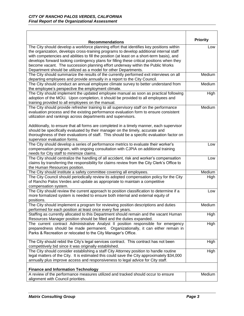| <b>Recommendations</b>                                                                                                                                                                                                                                                                                                                                                                                                                                                                                                                                    | <b>Priority</b> |
|-----------------------------------------------------------------------------------------------------------------------------------------------------------------------------------------------------------------------------------------------------------------------------------------------------------------------------------------------------------------------------------------------------------------------------------------------------------------------------------------------------------------------------------------------------------|-----------------|
| The City should develop a workforce planning effort that identifies key positions within<br>the organization, develops cross-training programs to develop additional internal staff<br>with competencies and abilities to fill the position (at least on a short-term basis), and<br>develops forward looking contingency plans for filling these critical positions when they<br>become vacant. The succession planning effort underway within the Public Works<br>Department should be utilized as a model for other Departments.                       | Low             |
| The City should summarize the results of the currently performed exit interviews on all<br>departing employees and provide annually in a report to the City Council.                                                                                                                                                                                                                                                                                                                                                                                      | Medium          |
| The City should conduct an annual employee climate survey to better understand from<br>the employee's perspective the employment climate.                                                                                                                                                                                                                                                                                                                                                                                                                 | Medium          |
| The City should implement the updated employee manual as soon as practical following<br>adoption of the MOU. Upon completion, it should be provided to all employees and<br>training provided to all employees on the manual.                                                                                                                                                                                                                                                                                                                             | High            |
| The City should provide refresher training to all supervisory staff on the performance<br>evaluation process and the existing performance evaluation form to ensure consistent<br>utilization and rankings across departments and supervisors.<br>Additionally, to ensure that all forms are completed in a timely manner, each supervisor<br>should be specifically evaluated by their manager on the timely, accurate and<br>thoroughness of their evaluations of staff. This should be a specific evaluation factor on<br>supervisor evaluation forms. | Medium          |
| The City should develop a series of performance metrics to evaluate their worker's<br>compensation program, with ongoing consultation with CJPIA on additional training<br>needs for City staff to minimize claims.                                                                                                                                                                                                                                                                                                                                       | Low             |
| The City should centralize the handling of all accident, risk and worker's compensation<br>claims by transferring the responsibility for claims review from the City Clerk's Office to<br>the Human Resources position.                                                                                                                                                                                                                                                                                                                                   | Low             |
| The City should institute a safety committee covering all employees.                                                                                                                                                                                                                                                                                                                                                                                                                                                                                      | Medium          |
| The City Council should periodically review its adopted compensation policy for the City<br>of Rancho Palos Verdes and update as appropriate to maintain a competitive<br>compensation system.                                                                                                                                                                                                                                                                                                                                                            | High            |
| The City should review the current approach to position classification to determine if a<br>more formalized system is needed to ensure both internal and external equity of<br>positions.                                                                                                                                                                                                                                                                                                                                                                 | Low             |
| The City should implement a program for reviewing position descriptions and duties<br>performed for each position at least once every five years.                                                                                                                                                                                                                                                                                                                                                                                                         | Medium          |
| Staffing as currently allocated to this Department should remain and the vacant Human<br>Resources Manager position should be filled and the duties expanded.                                                                                                                                                                                                                                                                                                                                                                                             | High            |
| The current contract Administrative Analyst II position responsible for emergency<br>preparedness should be made permanent. Organizationally, it can either remain in<br>Parks & Recreation or relocated to the City Manager's Office.                                                                                                                                                                                                                                                                                                                    | High            |
| The City should rebid the City's legal services contract. This contract has not been<br>competitively bid since it was originally established.                                                                                                                                                                                                                                                                                                                                                                                                            | High            |
| The City should consider establishing a staff City Attorney position to handle routine<br>legal matters of the City. It is estimated this could save the City approximately \$34,000<br>annually plus improve access and responsiveness to legal advice for City staff.                                                                                                                                                                                                                                                                                   | High            |
| <b>Finance and Information Technology</b>                                                                                                                                                                                                                                                                                                                                                                                                                                                                                                                 |                 |
| A review of the performance measures utilized and tracked should occur to ensure<br>alignment with Council priorities.                                                                                                                                                                                                                                                                                                                                                                                                                                    | Medium          |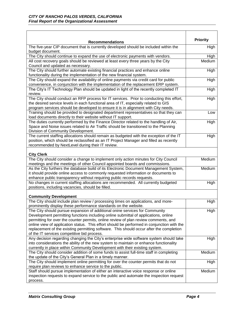| <b>Recommendations</b>                                                                                                                                                      | <b>Priority</b> |
|-----------------------------------------------------------------------------------------------------------------------------------------------------------------------------|-----------------|
| The five-year CIP document that is currently developed should be included within the<br>budget document.                                                                    | High            |
| The City should continue to expand the use of electronic payments with vendors.                                                                                             | High            |
| All cost recovery goals should be reviewed at least every three years by the City                                                                                           | Medium          |
| Council and updated as necessary.                                                                                                                                           |                 |
| The City should further automate existing financial practices and enhance online                                                                                            | High            |
| functionality during the implementation of the new financial system.                                                                                                        |                 |
| The City should expand the availability of online payments via credit card for public<br>convenience, in conjunction with the implementation of the replacement ERP system. | High            |
| The City's IT Technology Plan should be updated in light of the recently completed IT                                                                                       | High            |
| review.                                                                                                                                                                     |                 |
| The City should conduct an RFP process for IT services. Prior to conducting this effort,                                                                                    | High            |
| the desired service levels in each functional area of IT, especially related to GIS                                                                                         |                 |
| program services should be developed to ensure it is in alignment with City needs.                                                                                          |                 |
| Training should be provided to designated department representatives so that they can<br>load documents directly to their website without IT support.                       | Low             |
| The duties currently performed by the Finance Director related to the handling of Air,                                                                                      | High            |
| Space and Noise issues related to Air Traffic should be transitioned to the Planning                                                                                        |                 |
| Division of Community Development.                                                                                                                                          |                 |
| The current staffing allocations should remain as budgeted with the exception of the IT                                                                                     | High            |
| position, which should be reclassified as an IT Project Manager and filled as recently                                                                                      |                 |
| recommended by NextLevel during their IT review.                                                                                                                            |                 |
| <b>City Clerk</b>                                                                                                                                                           |                 |
| The City should consider a change to implement only action minutes for City Council                                                                                         | Medium          |
| meetings and the meetings of other Council appointed boards and commissions.                                                                                                |                 |
| As the City furthers the database build of its Electronic Document Management System,                                                                                       | Medium          |
| it should provide online access to commonly requested information or documents to                                                                                           |                 |
| enhance public transparency without requiring public records requests.                                                                                                      |                 |
| No changes in current staffing allocations are recommended. All currently budgeted                                                                                          | High            |
| positions, including vacancies, should be filled.                                                                                                                           |                 |
| <b>Community Development</b>                                                                                                                                                |                 |
| The City should include plan review / processing times on applications, and more-                                                                                           | High            |
| prominently display these performance standards on the website.                                                                                                             |                 |
| The City should pursue expansion of additional onine services for Community                                                                                                 | <b>High</b>     |
| Development permitting functions including online submittal of applications, online                                                                                         |                 |
| permitting for over the counter permits, online review of plan review comments, and                                                                                         |                 |
| online view of application status. This effort should be performed in conjunction with the                                                                                  |                 |
| replacement of the existing permitting software. This should occur after the completion                                                                                     |                 |
| of the IT services competitive bid process.<br>Any decision regarding changing the City's enterprise wide software system should take                                       | High            |
| into considerations the ability of the new system to maintain or enhance functionality                                                                                      |                 |
| currently in place within Community Development with their existing system.                                                                                                 |                 |
| The City should consider addition of some funds to assist full-time staff in completing                                                                                     | Medium          |
| the update of the City's General Plan in a timely manner.                                                                                                                   |                 |
| The City should implement online permitting for over the counter permits that do not                                                                                        | High            |
| require plan reviews to enhance service to the public.                                                                                                                      |                 |
| Staff should pursue implementation of either an interactive voice response or online                                                                                        | Medium          |
| inspection requests to expand service to the public and automate the inspection request                                                                                     |                 |
| process.                                                                                                                                                                    |                 |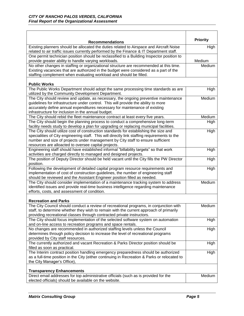| <b>Recommendations</b>                                                                                                              | <b>Priority</b> |
|-------------------------------------------------------------------------------------------------------------------------------------|-----------------|
| Existing planners should be allocated the duties related to Airspace and Aircraft Noise                                             | High            |
| related to air traffic issues currently performed by the Finance & IT Department staff.                                             |                 |
| One permit technician position should be reclassified to a Building Inspector position to                                           |                 |
| provide greater ability to handle varying workloads.                                                                                | Medium          |
| No other changes in staffing or organizational structure are recommended at this time.                                              | Medium          |
| Existing vacancies that are authorized in the budget were considered as a part of the                                               |                 |
| staffing complement when evaluating workload and should be filled.                                                                  |                 |
| <b>Public Works</b>                                                                                                                 |                 |
| The Public Works Department should adopt the same processing time standards as are                                                  | High            |
| utilized by the Community Development Department.                                                                                   |                 |
| The City should review and update, as necessary, the ongoing preventive maintenance                                                 | Medium          |
| guidelines for infrastructure under control. This will provide the ability to more                                                  |                 |
| accurately define annual expenditures necessary for maintenance of existing                                                         |                 |
| infrastructure for inclusion in the annual budget.                                                                                  |                 |
| The City should rebid the fleet maintenance contract at least every five years.                                                     | Medium          |
| The City should begin the planning process to conduct a comprehensive long-term                                                     | High            |
| facility needs study to develop a plan for upgrading or replacing municipal facilities.                                             |                 |
| The City should utilize cost of construction standards for establishing the size and                                                | High            |
| specialities of City engineering staff. This will directly link staffing requirements to the                                        |                 |
| number and size of projects under management by City staff to ensure sufficient                                                     |                 |
| resources are alloacted to oversee capital projects.                                                                                |                 |
| Engineering staff should have established informal "billability targets" so that work                                               | <b>High</b>     |
| activities are charged directly to managed and designed projects.                                                                   |                 |
| The position of Deputy Director should be held vacant until the City fills the PW Director                                          | High            |
| position.                                                                                                                           |                 |
| Following the development of detailed capital program resource requirements and                                                     | High            |
| implementation of cost of construction guidelines, the number of engineering staff                                                  |                 |
| should be reviewed and the Assistant Engineer position filled as needed.                                                            |                 |
| The City should consider implementation of a maintenance tracking system to address                                                 | Medium          |
| identified issues and provide real-time business intelligence regarding maintenance<br>efforts, costs, and assessment of condition. |                 |
|                                                                                                                                     |                 |
| <b>Recreation and Parks</b>                                                                                                         |                 |
| The City Council should conduct a review of recreational programs, in conjunction with                                              | Medium          |
| staff, to determine whether they wish to remain with the current approach of primarily                                              |                 |
| providing recreational classes through contracted private instructors.                                                              |                 |
| The City should focus implementation of the selected software system on automation                                                  | High            |
| and on-line access to recreation programs and space rentals.                                                                        |                 |
| No changes are recommended in authorized staffing levels unless the Council                                                         | High            |
| determines through policy decision to increase the level of recreational programs                                                   |                 |
| provided by City staff resources.                                                                                                   |                 |
| The currently authorized and vacant Recreation & Parks Director position should be<br>filled as soon as practical.                  | High            |
| The Interim contract position handling emergency preparedness should be authorized                                                  | High            |
| as a full-time position in the City (either continuing in Recreation & Parks or relocated to                                        |                 |
| the City Manager's Office),                                                                                                         |                 |
|                                                                                                                                     |                 |
| <b>Transparency Enhancements</b>                                                                                                    |                 |
| Direct email addresses for top administrative officials (such as is provided for the                                                | Medium          |
| elected officials) should be available on the website.                                                                              |                 |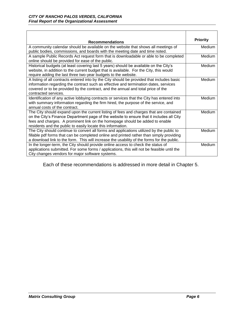| <b>Recommendations</b>                                                                                                                                                                                                                                                                                                            | <b>Priority</b> |
|-----------------------------------------------------------------------------------------------------------------------------------------------------------------------------------------------------------------------------------------------------------------------------------------------------------------------------------|-----------------|
| A community calendar should be available on the website that shows all meetings of<br>public bodies, commissions, and boards with the meeting date and time noted.                                                                                                                                                                | Medium          |
| A sample Public Records Act request form that is downloadable or able to be completed<br>online should be provided for ease of the public.                                                                                                                                                                                        | Medium          |
| Historical budgets (at least covering last 5 years) should be available on the City's<br>website, in addition to the current budget that is available. For the City, this would<br>require adding the last three two-year budgets to the website.                                                                                 | Medium          |
| A listing of all contracts entered into by the City should be provided that includes basic<br>information regarding the contract such as effective and termination dates, services<br>covered or to be provided by the contract, and the annual and total price of the<br>contracted services.                                    | Medium          |
| Identification of any active lobbying contracts or services that the City has entered into<br>with summary information regarding the firm hired, the purpose of the service, and<br>annual costs of the contract.                                                                                                                 | Medium          |
| The City should expand upon the current listing of fees and charges that are contained<br>on the City's Finance Department page of the website to ensure that it includes all City<br>fees and charges. A prominent link on the homepage should be added to enable<br>residents and the public to easily locate this information. | Medium          |
| The City should continue to convert all forms and applications utilized by the public to<br>fillable pdf forms that can be completed online and printed rather than simply providing<br>a download link to the form. This will increase the usability of the forms for the public.                                                | Medium          |
| In the longer-term, the City should provide online access to check the status of<br>applications submitted. For some forms / applications, this will not be feasible until the<br>City changes vendors for major software systems.                                                                                                | Medium          |

Each of these recommendations is addressed in more detail in Chapter 5.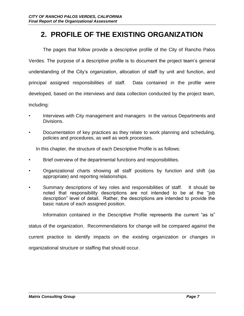# **2. PROFILE OF THE EXISTING ORGANIZATION**

The pages that follow provide a descriptive profile of the City of Rancho Palos Verdes. The purpose of a descriptive profile is to document the project team's general understanding of the City's organization, allocation of staff by unit and function, and principal assigned responsibilities of staff. Data contained in the profile were developed, based on the interviews and data collection conducted by the project team, including:

- Interviews with City management and managers in the various Departments and Divisions.
- Documentation of key practices as they relate to work planning and scheduling, policies and procedures, as well as work processes.

In this chapter, the structure of each Descriptive Profile is as follows:

- Brief overview of the departmental functions and responsibilities.
- Organizational charts showing all staff positions by function and shift (as appropriate) and reporting relationships.
- Summary descriptions of key roles and responsibilities of staff. It should be noted that responsibility descriptions are not intended to be at the "job description" level of detail. Rather, the descriptions are intended to provide the basic nature of each assigned position.

Information contained in the Descriptive Profile represents the current "as is"

status of the organization. Recommendations for change will be compared against the

current practice to identify impacts on the existing organization or changes in

organizational structure or staffing that should occur.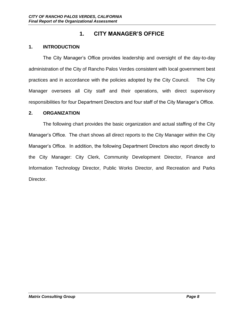# **1. CITY MANAGER'S OFFICE**

### **1. INTRODUCTION**

The City Manager's Office provides leadership and oversight of the day-to-day administration of the City of Rancho Palos Verdes consistent with local government best practices and in accordance with the policies adopted by the City Council. The City Manager oversees all City staff and their operations, with direct supervisory responsibilities for four Department Directors and four staff of the City Manager's Office.

#### **2. ORGANIZATION**

The following chart provides the basic organization and actual staffing of the City Manager's Office. The chart shows all direct reports to the City Manager within the City Manager's Office. In addition, the following Department Directors also report directly to the City Manager: City Clerk, Community Development Director, Finance and Information Technology Director, Public Works Director, and Recreation and Parks Director.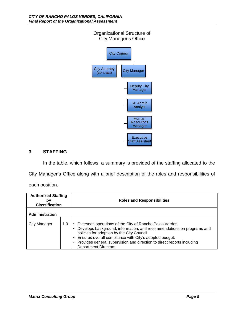

In the table, which follows, a summary is provided of the staffing allocated to the

City Manager's Office along with a brief description of the roles and responsibilities of

each position.

| <b>Authorized Staffing</b><br>b٧<br><b>Classification</b> |     | <b>Roles and Responsibilities</b>                                                                                                                                                                                                                                                                                                           |
|-----------------------------------------------------------|-----|---------------------------------------------------------------------------------------------------------------------------------------------------------------------------------------------------------------------------------------------------------------------------------------------------------------------------------------------|
| <b>Administration</b>                                     |     |                                                                                                                                                                                                                                                                                                                                             |
| City Manager                                              | 1.0 | Oversees operations of the City of Rancho Palos Verdes.<br>Develops background, information, and recommendations on programs and<br>policies for adoption by the City Council.<br>Ensures overall compliance with City's adopted budget.<br>Provides general supervision and direction to direct reports including<br>Department Directors. |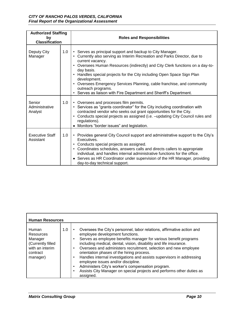#### *CITY OF RANCHO PALOS VERDES, CALIFORNIA Final Report of the Organizational Assessment*

| <b>Authorized Staffing</b><br>by<br><b>Classification</b> |     | <b>Roles and Responsibilities</b>                                                                                                                                                                                                                                                                                                                                                                                                                                                                                                                      |  |
|-----------------------------------------------------------|-----|--------------------------------------------------------------------------------------------------------------------------------------------------------------------------------------------------------------------------------------------------------------------------------------------------------------------------------------------------------------------------------------------------------------------------------------------------------------------------------------------------------------------------------------------------------|--|
| Deputy City<br>Manager                                    | 1.0 | • Serves as principal support and backup to City Manager.<br>Currently also serving as Interim Recreation and Parks Director, due to<br>$\bullet$<br>current vacancy.<br>Oversees Human Resources (indirectly) and City Clerk functions on a day-to-<br>$\bullet$<br>day basis.<br>Handles special projects for the City including Open Space Sign Plan<br>development.<br>Oversees Emergency Services Planning, cable franchise, and community<br>$\bullet$<br>outreach programs.<br>Serves as liaison with Fire Department and Sheriff's Department. |  |
| Senior<br>Administrative<br>Analyst                       | 1.0 | • Oversees and processes film permits.<br>Services as "grants coordinator" for the City including coordination with<br>$\bullet$<br>contracted vendor who seeks out grant opportunities for the City.<br>Conducts special projects as assigned (i.e. - updating City Council rules and<br>$\bullet$<br>regulations).<br>Monitors "border issues" and legislation.                                                                                                                                                                                      |  |
| <b>Executive Staff</b><br>Assistant                       | 1.0 | • Provides general City Council support and administrative support to the City's<br>Executives.<br>Conducts special projects as assigned.<br>$\bullet$<br>Coordinates schedules, answers calls and directs callers to appropriate<br>$\bullet$<br>individual, and handles internal administrative functions for the office.<br>Serves as HR Coordinator under supervision of the HR Manager, providing<br>day-to-day technical support.                                                                                                                |  |

| <b>Human Resources</b>                                                                        |     |                                                                                                                                                                                                                                                                                                                                                                                                                                                                                                                                                                                                                                                                                                |  |  |  |
|-----------------------------------------------------------------------------------------------|-----|------------------------------------------------------------------------------------------------------------------------------------------------------------------------------------------------------------------------------------------------------------------------------------------------------------------------------------------------------------------------------------------------------------------------------------------------------------------------------------------------------------------------------------------------------------------------------------------------------------------------------------------------------------------------------------------------|--|--|--|
| Human<br>Resources<br>Manager<br>(Currently filled<br>with an interim<br>contract<br>manager) | 1.0 | Oversees the City's personnel, labor relations, affirmative action and<br>$\bullet$<br>employee development functions.<br>Serves as employee benefits manager for various benefit programs<br>$\bullet$<br>including medical, dental, vision, disability and life insurance.<br>Oversees and administers recruitment, selection and new employee<br>$\bullet$<br>orientation phases of the hiring process.<br>Handles internal investigations and assists supervisors in addressing<br>$\bullet$<br>employee issues and/or discipline.<br>Administers City's worker's compensation program.<br>$\bullet$<br>Assists City Manager on special projects and performs other duties as<br>assigned. |  |  |  |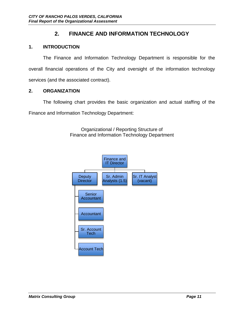# **2. FINANCE AND INFORMATION TECHNOLOGY**

## **1. INTRODUCTION**

The Finance and Information Technology Department is responsible for the overall financial operations of the City and oversight of the information technology services (and the associated contract).

## **2. ORGANIZATION**

The following chart provides the basic organization and actual staffing of the Finance and Information Technology Department:

> Organizational / Reporting Structure of Finance and Information Technology Department

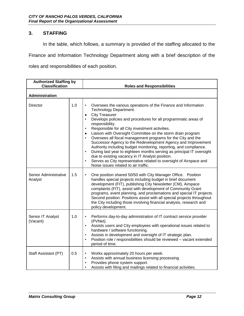In the table, which follows, a summary is provided of the staffing allocated to the

Finance and Information Technology Department along with a brief description of the

roles and responsibilities of each position.

| <b>Authorized Staffing by</b><br><b>Classification</b> |     | <b>Roles and Responsibilities</b>                                                                                                                                                                                                                                                                                                                                                                                                                                                                                                                                                                                                                                                                                                                                                                                                                               |
|--------------------------------------------------------|-----|-----------------------------------------------------------------------------------------------------------------------------------------------------------------------------------------------------------------------------------------------------------------------------------------------------------------------------------------------------------------------------------------------------------------------------------------------------------------------------------------------------------------------------------------------------------------------------------------------------------------------------------------------------------------------------------------------------------------------------------------------------------------------------------------------------------------------------------------------------------------|
| <b>Administration</b>                                  |     |                                                                                                                                                                                                                                                                                                                                                                                                                                                                                                                                                                                                                                                                                                                                                                                                                                                                 |
| Director                                               | 1.0 | Oversees the various operations of the Finance and Information<br>٠<br>Technology Department.<br><b>City Treasurer</b><br>$\bullet$<br>Develops policies and procedures for all programmatic areas of<br>$\bullet$<br>responsibility.<br>Responsible for all City investment activities.<br>$\bullet$<br>Liaison with Oversight Committee on the storm drain program<br>$\bullet$<br>Oversees all fiscal management programs for the City and the<br>$\bullet$<br>Successor Agency to the Redevelopment Agency and Improvement<br>Authority including budget monitoring, reporting, and compliance.<br>During last year to eighteen months serving as principal IT oversight<br>$\bullet$<br>due to existing vacancy in IT Analyst position.<br>Serves as City representative related to oversight of Airspace and<br>٠<br>Noise issues related to air traffic. |
| Senior Administrative<br>Analyst                       | 1.5 | One position shared 50/50 with City Manager Office. Position<br>٠<br>handles special projects including budget in brief document<br>development (FIT), publishing City Newsletter (CM), Airspace<br>complaints (FIT), assist with development of Community Grant<br>programs, event planning, and proclamations and special IT projects.<br>Second position: Positions assist with all special projects throughout<br>the City including those involving financial analysis, research and<br>policy development.                                                                                                                                                                                                                                                                                                                                                |
| Senior IT Analyst<br>(Vacant)                          | 1.0 | Performs day-to-day administration of IT contract service provider<br>٠<br>(PVNet).<br>Assists users and City employees with operational issues related to<br>$\bullet$<br>hardware / software functioning.<br>Assists in development and oversight of IT strategic plan.<br>$\bullet$<br>Position role / responsibilities should be reviewed - vacant extended<br>$\bullet$<br>period of time.                                                                                                                                                                                                                                                                                                                                                                                                                                                                 |
| Staff Assistant (PT)                                   | 0.5 | Works approximately 20 hours per week.<br>$\bullet$<br>Assists with annual business licensing processing.<br>$\bullet$<br>Provides phone system support.<br>Assists with filing and mailings related to financial activities.                                                                                                                                                                                                                                                                                                                                                                                                                                                                                                                                                                                                                                   |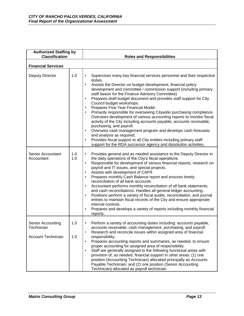| <b>Authorized Staffing by</b><br><b>Classification</b>       |            | <b>Roles and Responsibilities</b>                                                                                                                                                                                                                                                                                                                                                                                                                                                                                                                                                                                                                                                                                                                                                                                                                                                                                                                                                                |
|--------------------------------------------------------------|------------|--------------------------------------------------------------------------------------------------------------------------------------------------------------------------------------------------------------------------------------------------------------------------------------------------------------------------------------------------------------------------------------------------------------------------------------------------------------------------------------------------------------------------------------------------------------------------------------------------------------------------------------------------------------------------------------------------------------------------------------------------------------------------------------------------------------------------------------------------------------------------------------------------------------------------------------------------------------------------------------------------|
| <b>Financial Services</b>                                    |            |                                                                                                                                                                                                                                                                                                                                                                                                                                                                                                                                                                                                                                                                                                                                                                                                                                                                                                                                                                                                  |
| Deputy Director                                              | 1.0        | Supervises many key financial services personnel and their respective<br>$\bullet$<br>duties.<br>Assists the Director on budget development, financial policy<br>$\bullet$<br>development and committee / commission support (including primary<br>staff liaison for the Finance Advisory Committee)<br>Prepares draft budget document and provides staff support for City<br>$\bullet$<br>Council budget workshops.<br>Prepares Five-Year Financial Model.<br>$\bullet$<br>Primarily responsible for overseeing Citywide purchasing compliance.<br>Oversees development of various accounting reports to monitor fiscal<br>activity of the City including accounts payable, accounts receivable,<br>purchasing, and payroll.<br>Oversees cash management program and develops cash forecasts<br>$\bullet$<br>and analysis as required.<br>Provides fiscal support to all City entities including primary staff<br>$\bullet$<br>support for the RDA successor agency and dissolution activities. |
| Senior Accountant<br>Accountant                              | 1.0<br>1.0 | Provides general and as needed assistance to the Deputy Director in<br>$\bullet$<br>the daily operations of the City's fiscal operations.<br>Responsible for development of various financial reports, research on<br>$\bullet$<br>payroll and IT issues, and special projects.<br>Assists with development of CAFR.<br>$\bullet$<br>Prepares monthly Cash Balance report and ensures timely<br>$\bullet$<br>reconciliation of all bank accounts.<br>Accountant performs monthly reconciliation of all bank statements,<br>$\bullet$<br>and cash reconciliations. Handles all general ledger accounting.<br>Positions perform a variety of fiscal audits, reconciliation, and journal<br>$\bullet$<br>entries to maintain fiscal records of the City and ensure appropriate<br>internal controls.<br>Prepares and develops a variety of reports including monthly financial<br>$\bullet$<br>reports.                                                                                             |
| Senior Accounting<br>Technician<br><b>Account Technician</b> | 1.0<br>1.0 | Perform a variety of accounting duties including: accounts payable,<br>٠<br>accounts receivable, cash management, purchasing, and payroll.<br>Research and reconcile issues within assigned area of financial<br>responsibility.<br>Prepares accounting reports and summaries, as needed, to ensure<br>proper accounting for assigned area of responsibility.<br>Staff are generally assigned to the following functional areas with<br>provision of, as needed, financial support in other areas: (1) one<br>position (Accounting Technician) allocated principally as Accounts<br>Payable Technician; and (2) one position (Senior Accounting<br>Technician) allocated as payroll technician.                                                                                                                                                                                                                                                                                                  |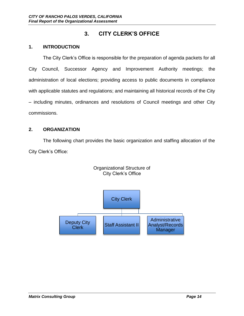# **3. CITY CLERK'S OFFICE**

### **1. INTRODUCTION**

The City Clerk's Office is responsible for the preparation of agenda packets for all City Council, Successor Agency and Improvement Authority meetings; the administration of local elections; providing access to public documents in compliance with applicable statutes and regulations; and maintaining all historical records of the City – including minutes, ordinances and resolutions of Council meetings and other City commissions.

### **2. ORGANIZATION**

The following chart provides the basic organization and staffing allocation of the City Clerk's Office:



### Organizational Structure of City Clerk's Office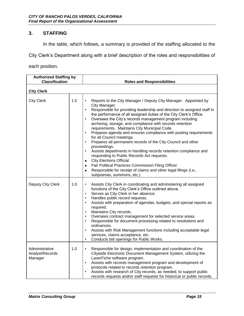In the table, which follows, a summary is provided of the staffing allocated to the

City Clerk's Department along with a brief description of the roles and responsibilities of

each position.

| <b>Authorized Staffing by</b>                |     |                                                                                                                                                                                                                                                                                                                                                                                                                                                                                                                                                                                                                                                                                                                                                                                                                                                                                                                                                                                                                             |
|----------------------------------------------|-----|-----------------------------------------------------------------------------------------------------------------------------------------------------------------------------------------------------------------------------------------------------------------------------------------------------------------------------------------------------------------------------------------------------------------------------------------------------------------------------------------------------------------------------------------------------------------------------------------------------------------------------------------------------------------------------------------------------------------------------------------------------------------------------------------------------------------------------------------------------------------------------------------------------------------------------------------------------------------------------------------------------------------------------|
| <b>Classification</b>                        |     | <b>Roles and Responsibilities</b>                                                                                                                                                                                                                                                                                                                                                                                                                                                                                                                                                                                                                                                                                                                                                                                                                                                                                                                                                                                           |
| <b>City Clerk</b>                            |     |                                                                                                                                                                                                                                                                                                                                                                                                                                                                                                                                                                                                                                                                                                                                                                                                                                                                                                                                                                                                                             |
| <b>City Clerk</b>                            | 1.0 | Reports to the City Manager / Deputy City Manager. Appointed by<br>$\bullet$<br>City Manager.<br>Responsible for providing leadership and direction to assigned staff in<br>$\bullet$<br>the performance of all assigned duties of the City Clerk's Office.<br>Oversees the City's records management program including<br>$\bullet$<br>archiving, storage, and compliance with records retention<br>requirements. Maintains City Municipal Code.<br>Prepares agenda and ensures compliance with posting requirements<br>$\bullet$<br>for all Council meetings.<br>Prepares all permanent records of the City Council and other<br>$\bullet$<br>proceedings.<br>Assists departments in handling records retention compliance and<br>$\bullet$<br>responding to Public Records Act requests.<br><b>City Elections Official</b><br>$\bullet$<br>Fair Political Practices Commission Filing Officer<br>$\bullet$<br>Responsible for receipt of claims and other legal filings (i.e.,<br>$\bullet$<br>subpoenas, summons, etc.) |
| Deputy City Clerk                            | 1.0 | Assists City Clerk in coordinating and administering all assigned<br>$\bullet$<br>functions of the City Clerk's Office outlined above.<br>Serves as City Clerk in her absence.<br>$\bullet$<br>Handles public record requests.<br>$\bullet$<br>Assists with preparation of agendas, budgets, and special reports as<br>$\bullet$<br>required.<br>Maintains City records.<br>$\bullet$<br>Oversees contract management for selected service areas.<br>$\bullet$<br>Responsible for document processing related to resolutions and<br>$\bullet$<br>ordinances.<br>Assists with Risk Management functions including acceptable legal<br>$\bullet$<br>services, claims acceptance, etc.<br>Conducts bid openings for Public Works.<br>٠                                                                                                                                                                                                                                                                                         |
| Administrative<br>Analyst/Records<br>Manager | 1.0 | Responsible for design, implementation and coordination of the<br>$\bullet$<br>Citywide Electronic Document Management System, utilizing the<br>LaserFiche software program.<br>Assists with records management program and development of<br>$\bullet$<br>protocols related to records retention program.<br>Assists with research of City records, as needed, to support public<br>$\bullet$<br>records requests and/or staff requests for historical or public records.                                                                                                                                                                                                                                                                                                                                                                                                                                                                                                                                                  |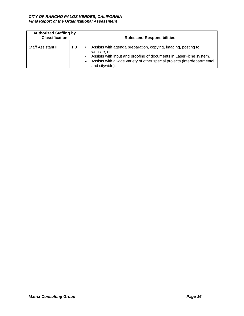| <b>Authorized Staffing by</b><br><b>Classification</b> |     | <b>Roles and Responsibilities</b>                                                                                                                                                                                                                  |  |  |
|--------------------------------------------------------|-----|----------------------------------------------------------------------------------------------------------------------------------------------------------------------------------------------------------------------------------------------------|--|--|
| <b>Staff Assistant II</b>                              | 1.0 | Assists with agenda preparation, copying, imaging, posting to<br>website, etc.<br>Assists with input and proofing of documents in LaserFiche system.<br>Assists with a wide variety of other special projects (interdepartmental<br>and citywide). |  |  |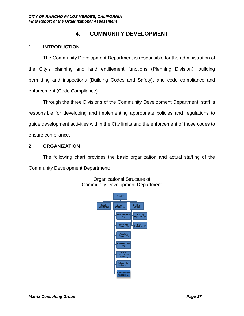# **4. COMMUNITY DEVELOPMENT**

## **1. INTRODUCTION**

The Community Development Department is responsible for the administration of the City's planning and land entitlement functions (Planning Division), building permitting and inspections (Building Codes and Safety), and code compliance and enforcement (Code Compliance).

Through the three Divisions of the Community Development Department, staff is responsible for developing and implementing appropriate policies and regulations to guide development activities within the City limits and the enforcement of those codes to ensure compliance.

#### **2. ORGANIZATION**

The following chart provides the basic organization and actual staffing of the Community Development Department:



Organizational Structure of Community Development Department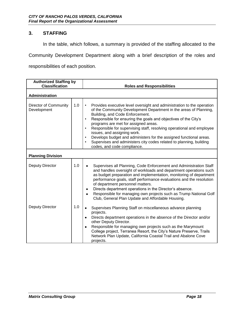In the table, which follows, a summary is provided of the staffing allocated to the

Community Development Department along with a brief description of the roles and

responsibilities of each position.

| <b>Authorized Staffing by</b><br><b>Classification</b> |     |                                                                                                                                                                                                                                                                                                                                                                                                                                                                                                                                                                                                                                                |
|--------------------------------------------------------|-----|------------------------------------------------------------------------------------------------------------------------------------------------------------------------------------------------------------------------------------------------------------------------------------------------------------------------------------------------------------------------------------------------------------------------------------------------------------------------------------------------------------------------------------------------------------------------------------------------------------------------------------------------|
|                                                        |     | <b>Roles and Responsibilities</b>                                                                                                                                                                                                                                                                                                                                                                                                                                                                                                                                                                                                              |
| Administration                                         |     |                                                                                                                                                                                                                                                                                                                                                                                                                                                                                                                                                                                                                                                |
| <b>Director of Community</b><br>Development            | 1.0 | Provides executive level oversight and administration to the operation<br>$\bullet$<br>of the Community Development Department in the areas of Planning,<br>Building, and Code Enforcement.<br>Responsible for ensuring the goals and objectives of the City's<br>$\bullet$<br>programs are met for assigned areas.<br>Responsible for supervising staff, resolving operational and employee<br>$\bullet$<br>issues, and assigning work.<br>Develops budget and administers for the assigned functional areas.<br>$\bullet$<br>Supervises and administers city codes related to planning, building<br>$\bullet$<br>codes, and code compliance. |
| <b>Planning Division</b>                               |     |                                                                                                                                                                                                                                                                                                                                                                                                                                                                                                                                                                                                                                                |
| Deputy Director                                        | 1.0 | Supervises all Planning, Code Enforcement and Administration Staff<br>and handles oversight of workloads and department operations such<br>as budget preparation and implementation, monitoring of department<br>performance goals, staff performance evaluations and the resolution<br>of department personnel matters.<br>Directs department operations in the Director's absence.<br>Responsible for managing own projects such as Trump National Golf<br>Club, General Plan Update and Affordable Housing.                                                                                                                                 |
| Deputy Director                                        | 1.0 | Supervises Planning Staff on miscellaneous advance planning<br>$\bullet$<br>projects.<br>Directs department operations in the absence of the Director and/or<br>٠<br>other Deputy Director.<br>Responsible for managing own projects such as the Marymount<br>$\bullet$<br>College project, Terranea Resort, the City's Nature Preserve, Trails<br>Network Plan Update, California Coastal Trail and Abalone Cove<br>projects.                                                                                                                                                                                                                 |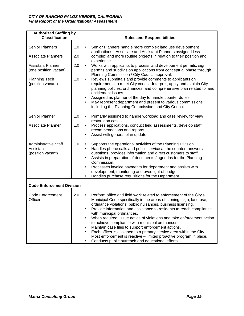| <b>Authorized Staffing by</b><br><b>Classification</b>                                                                                                |                          | <b>Roles and Responsibilities</b>                                                                                                                                                                                                                                                                                                                                                                                                                                                                                                                                                                                                                                                                                                                                                                                                                                                            |  |  |
|-------------------------------------------------------------------------------------------------------------------------------------------------------|--------------------------|----------------------------------------------------------------------------------------------------------------------------------------------------------------------------------------------------------------------------------------------------------------------------------------------------------------------------------------------------------------------------------------------------------------------------------------------------------------------------------------------------------------------------------------------------------------------------------------------------------------------------------------------------------------------------------------------------------------------------------------------------------------------------------------------------------------------------------------------------------------------------------------------|--|--|
| <b>Senior Planners</b><br><b>Associate Planners</b><br><b>Assistant Planner</b><br>(one position vacant)<br><b>Planning Tech</b><br>(position vacant) | 1.0<br>2.0<br>2.0<br>1.0 | Senior Planners handle more complex land use development<br>$\bullet$<br>applications. Associate and Assistant Planners assigned less<br>complex and more routine projects in relation to their position and<br>experience.<br>Works with applicants to process land development permits, sign<br>$\bullet$<br>permits and subdivision applications from conceptual phase through<br>Planning Commission / City Council approval.<br>Reviews submittals and provide comments to applicants on<br>$\bullet$<br>requirements to meet City codes. Interpret, apply and explain City<br>planning policies, ordinances, and comprehensive plan related to land<br>entitlement issues<br>Assigned as planner of the day to handle counter duties.<br>$\bullet$<br>May represent department and present to various commissions<br>$\bullet$<br>including the Planning Commission, and City Council. |  |  |
| <b>Senior Planner</b><br>Associate Planner                                                                                                            | 1.0<br>1.0               | Primarily assigned to handle workload and case review for view<br>$\bullet$<br>restoration cases.<br>Process applications, conduct field assessments, develop staff<br>$\bullet$<br>recommendations and reports.<br>Assist with general plan update.<br>$\bullet$                                                                                                                                                                                                                                                                                                                                                                                                                                                                                                                                                                                                                            |  |  |
| <b>Administrative Staff</b><br>Assistant<br>(position vacant)                                                                                         | 1.0                      | Supports the operational activities of the Planning Division.<br>$\bullet$<br>Handles phone calls and public service at the counter, answers<br>$\bullet$<br>questions, provides information and direct customers to staff.<br>Assists in preparation of documents / agendas for the Planning<br>$\bullet$<br>Commission.<br>Processes invoice payments for department and assists with<br>$\bullet$<br>development, monitoring and oversight of budget.<br>Handles purchase requisitions for the Department.<br>$\bullet$                                                                                                                                                                                                                                                                                                                                                                   |  |  |
| <b>Code Enforcement Division</b>                                                                                                                      |                          |                                                                                                                                                                                                                                                                                                                                                                                                                                                                                                                                                                                                                                                                                                                                                                                                                                                                                              |  |  |
| <b>Code Enforcement</b><br>Officer                                                                                                                    | 2.0                      | Perform office and field work related to enforcement of the City's<br>$\bullet$<br>Municipal Code specifically in the areas of: zoning, sign, land use,<br>ordinance violations, public nuisances, business licensing.<br>Provide information and assistance to residents to reach compliance<br>with municipal ordinances.<br>When required, issue notice of violations and take enforcement action<br>$\bullet$<br>to achieve compliance with municipal ordinances.<br>Maintain case files to support enforcement actions.<br>$\bullet$<br>Each officer is assigned to a primary service area within the City.<br>$\bullet$<br>Most enforcement is reactive - limited proactive program in place.<br>Conducts public outreach and educational efforts.<br>$\bullet$                                                                                                                        |  |  |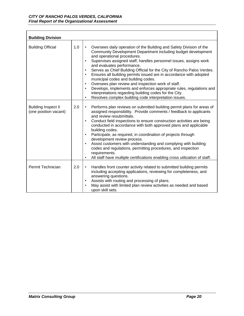| <b>Building Division</b>                            |     |                                                                                                                                                                                                                                                                                                                                                                                                                                                                                                                                                                                                                                                                                                                                                                                                           |
|-----------------------------------------------------|-----|-----------------------------------------------------------------------------------------------------------------------------------------------------------------------------------------------------------------------------------------------------------------------------------------------------------------------------------------------------------------------------------------------------------------------------------------------------------------------------------------------------------------------------------------------------------------------------------------------------------------------------------------------------------------------------------------------------------------------------------------------------------------------------------------------------------|
| <b>Building Official</b>                            | 1.0 | Oversees daily operation of the Building and Safety Division of the<br>$\bullet$<br>Community Development Department including budget development<br>and operational procedures.<br>Supervises assigned staff, handles personnel issues, assigns work<br>$\bullet$<br>and evaluates performance.<br>Serves as Chief Building Official for the City of Rancho Palos Verdes.<br>$\bullet$<br>Ensures all building permits issued are in accordance with adopted<br>$\bullet$<br>municipal codes and building codes.<br>Oversees plan review and inspection work of staff.<br>$\bullet$<br>Develops, implements and enforces appropriate rules, regulations and<br>$\bullet$<br>interpretations regarding building codes for the City.<br>Resolves complex building code interpretation issues.<br>$\bullet$ |
| <b>Building Inspect II</b><br>(one position vacant) | 2.0 | Performs plan reviews on submitted building permit plans for areas of<br>$\bullet$<br>assigned responsibility. Provide comments / feedback to applicants<br>and review resubmittals.<br>Conduct field inspections to ensure construction activities are being<br>$\bullet$<br>conducted in accordance with both approved plans and applicable<br>building codes.<br>Participate, as required, in coordination of projects through<br>$\bullet$<br>development review process.<br>Assist customers with understanding and complying with building<br>$\bullet$<br>codes and regulations, permitting procedures, and inspection<br>requirements.<br>All staff have multiple certifications enabling cross utilization of staff.<br>$\bullet$                                                                |
| Permit Technician                                   | 2.0 | Handles front counter activity related to submitted building permits<br>$\bullet$<br>including accepting applications, reviewing for completeness, and<br>answering questions.<br>Assists with routing and processing of plans.<br>$\bullet$<br>May assist with limited plan review activities as needed and based<br>$\bullet$<br>upon skill sets.                                                                                                                                                                                                                                                                                                                                                                                                                                                       |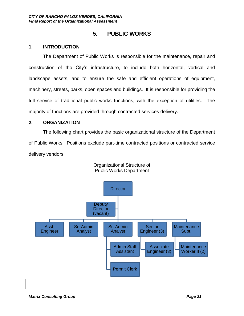# **5. PUBLIC WORKS**

#### **1. INTRODUCTION**

The Department of Public Works is responsible for the maintenance, repair and construction of the City's infrastructure, to include both horizontal, vertical and landscape assets, and to ensure the safe and efficient operations of equipment, machinery, streets, parks, open spaces and buildings. It is responsible for providing the full service of traditional public works functions, with the exception of utilities. The majority of functions are provided through contracted services delivery.

### **2. ORGANIZATION**

The following chart provides the basic organizational structure of the Department of Public Works. Positions exclude part-time contracted positions or contracted service delivery vendors.



Organizational Structure of Public Works Department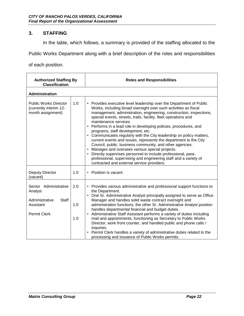In the table, which follows, a summary is provided of the staffing allocated to the

Public Works Department along with a brief description of the roles and responsibilities

of each position.

| <b>Authorized Staffing By</b><br><b>Classification</b>                                                 |                   | <b>Roles and Responsibilities</b>                                                                                                                                                                                                                                                                                                                                                                                                                                                                                                                                                                                                                                                                                                                                                                                                                                                       |  |  |
|--------------------------------------------------------------------------------------------------------|-------------------|-----------------------------------------------------------------------------------------------------------------------------------------------------------------------------------------------------------------------------------------------------------------------------------------------------------------------------------------------------------------------------------------------------------------------------------------------------------------------------------------------------------------------------------------------------------------------------------------------------------------------------------------------------------------------------------------------------------------------------------------------------------------------------------------------------------------------------------------------------------------------------------------|--|--|
| <b>Administration</b>                                                                                  |                   |                                                                                                                                                                                                                                                                                                                                                                                                                                                                                                                                                                                                                                                                                                                                                                                                                                                                                         |  |  |
| <b>Public Works Director</b><br>(currently interim 12-<br>month assignment)                            | 1.0               | • Provides executive level leadership over the Department of Public<br>Works, including broad oversight over such activities as fiscal<br>management, administration, engineering, construction, inspections,<br>special events, streets, trails, facility, fleet operations and<br>maintenance services.<br>Performs in a lead role in developing policies, procedures, and<br>$\bullet$<br>programs, staff development, etc.<br>• Communicates regularly with the City leadership on policy matters,<br>current events and issues, represents the department to the City<br>Council, public, business community, and other agencies.<br>Manages and oversees various special projects.<br>Directly supervises personnel to include professional, para-<br>$\bullet$<br>professional, supervising and engineering staff and a variety of<br>contracted and external service providers. |  |  |
| Deputy Director<br>(vacant)                                                                            | 1.0               | • Position is vacant.                                                                                                                                                                                                                                                                                                                                                                                                                                                                                                                                                                                                                                                                                                                                                                                                                                                                   |  |  |
| Senior Administrative<br>Analyst<br><b>Staff</b><br>Administrative<br>Assistant<br><b>Permit Clerk</b> | 2.0<br>1.0<br>1.0 | • Provides various administrative and professional support functions to<br>the Department.<br>• One Sr. Administrative Analyst principally assigned to serve as Office<br>Manager and handles solid waste contract oversight and<br>administration functions, the other Sr. Administrative Analyst position<br>handles departmental financial and budget duties.<br>• Administrative Staff Assistant performs a variety of duties including<br>mail and appointments, functioning as Secretary to Public Works<br>Director, work front counter, and handled public and phone calls /<br>inquiries.<br>• Permit Clerk handles a variety of administrative duties related to the<br>processing and issuance of Public Works permits.                                                                                                                                                      |  |  |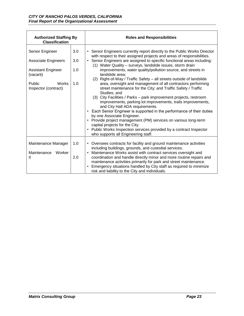| <b>Authorized Staffing By</b><br><b>Classification</b> |            | <b>Roles and Responsibilities</b>                                                                                                                                                                                                                                                                                                                                                                                                                                                                                                                                                                                                                                                                                            |  |
|--------------------------------------------------------|------------|------------------------------------------------------------------------------------------------------------------------------------------------------------------------------------------------------------------------------------------------------------------------------------------------------------------------------------------------------------------------------------------------------------------------------------------------------------------------------------------------------------------------------------------------------------------------------------------------------------------------------------------------------------------------------------------------------------------------------|--|
| Senior Engineer                                        | 3.0        | • Senior Engineers currently report directly to the Public Works Director<br>with respect to their assigned projects and areas of responsibilities.                                                                                                                                                                                                                                                                                                                                                                                                                                                                                                                                                                          |  |
| <b>Associate Engineers</b>                             | 3.0        | Senior Engineers are assigned to specific functional areas including:<br>$\bullet$<br>(1) Water Quality - surveys, landslide issues, storm drain                                                                                                                                                                                                                                                                                                                                                                                                                                                                                                                                                                             |  |
| <b>Assistant Engineer</b><br>(vacant)                  | 1.0        | improvements, water quality/pollution source, and streets in<br>landslide area:                                                                                                                                                                                                                                                                                                                                                                                                                                                                                                                                                                                                                                              |  |
| Works<br>Public<br>Inspector (contract)                | 1.0        | Right-of-Way / Traffic Safety - all streets outside of landslide<br>(2)<br>area, oversight and management of all contractors performing<br>street maintenance for the City; and Traffic Safety / Traffic<br>Studies; and<br>(3) City Facilities / Parks - park improvement projects, restroom<br>improvements, parking lot improvements, trails improvements,<br>and City Hall ADA requirements.<br>Each Senior Engineer is supported in the performance of their duties<br>٠<br>by one Associate Engineer.<br>• Provide project management (PM) services on various long-term<br>capital projects for the City.<br>Public Works Inspection services provided by a contract Inspector<br>who supports all Engineering staff. |  |
| Maintenance Manager<br>Maintenance<br>Worker<br>Ш      | 1.0<br>2.0 | Oversees contracts for facility and ground maintenance activities<br>$\bullet$<br>including buildings, grounds, and custodial services.<br>Maintenance Works assist with contract services oversight and<br>coordination and handle directly minor and more routine repairs and<br>maintenance activities primarily for park and street maintenance.<br>Emergency situations handled by City staff as required to minimize<br>risk and liability to the City and individuals.                                                                                                                                                                                                                                                |  |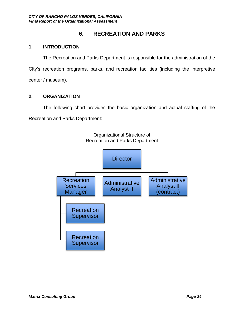# **6. RECREATION AND PARKS**

## **1. INTRODUCTION**

The Recreation and Parks Department is responsible for the administration of the City's recreation programs, parks, and recreation facilities (including the interpretive center / museum).

## **2. ORGANIZATION**

The following chart provides the basic organization and actual staffing of the Recreation and Parks Department:

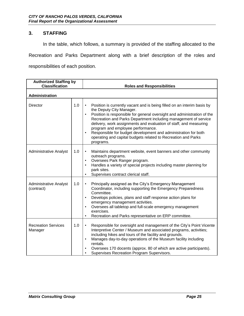In the table, which follows, a summary is provided of the staffing allocated to the

Recreation and Parks Department along with a brief description of the roles and

responsibilities of each position.

| <b>Authorized Staffing by</b><br><b>Classification</b> |     | <b>Roles and Responsibilities</b>                                                                                                                                                                                                                                                                                                                                                                                                                                                                                                                  |  |  |
|--------------------------------------------------------|-----|----------------------------------------------------------------------------------------------------------------------------------------------------------------------------------------------------------------------------------------------------------------------------------------------------------------------------------------------------------------------------------------------------------------------------------------------------------------------------------------------------------------------------------------------------|--|--|
| Administration                                         |     |                                                                                                                                                                                                                                                                                                                                                                                                                                                                                                                                                    |  |  |
| Director                                               | 1.0 | Position is currently vacant and is being filled on an interim basis by<br>$\bullet$<br>the Deputy City Manager.<br>Position is responsible for general oversight and administration of the<br>$\bullet$<br>Recreation and Parks Department including management of service<br>delivery, work assignments and evaluation of staff, and measuring<br>program and employee performance.<br>Responsible for budget development and administration for both<br>$\bullet$<br>operating and capital budgets related to Recreation and Parks<br>programs. |  |  |
| <b>Administrative Analyst</b>                          | 1.0 | Maintains department website, event banners and other community<br>$\bullet$<br>outreach programs.<br>Oversees Park Ranger program.<br>$\bullet$<br>Handles a variety of special projects including master planning for<br>$\bullet$<br>park sites.<br>Supervises contract clerical staff.<br>$\bullet$                                                                                                                                                                                                                                            |  |  |
| <b>Administrative Analyst</b><br>(contract)            | 1.0 | Principally assigned as the City's Emergency Management<br>$\bullet$<br>Coordinator, including supporting the Emergency Preparedness<br>Committee.<br>Develops policies, plans and staff response action plans for<br>$\bullet$<br>emergency management activities.<br>Oversees all tabletop and full-scale emergency management<br>$\bullet$<br>exercises.<br>Recreation and Parks representative on ERP committee.<br>$\bullet$                                                                                                                  |  |  |
| <b>Recreation Services</b><br>Manager                  | 1.0 | Responsible for oversight and management of the City's Point Vicente<br>$\bullet$<br>Interpretive Center / Museum and associated programs, activities;<br>including hikes and tours of the facility and grounds.<br>Manages day-to-day operations of the Museum facility including<br>$\bullet$<br>rentals.<br>Oversees 170 docents (approx. 80 of which are active participants).<br>$\bullet$<br>Supervises Recreation Program Supervisors.                                                                                                      |  |  |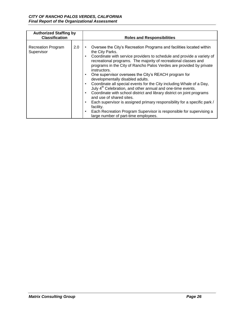| <b>Authorized Staffing by</b><br><b>Classification</b> |     | <b>Roles and Responsibilities</b>                                                                                                                                                                                                                                                                                                                                                                                                                                                                                                                                                                                                                                                                                                                                                                                                                                                                                      |  |  |
|--------------------------------------------------------|-----|------------------------------------------------------------------------------------------------------------------------------------------------------------------------------------------------------------------------------------------------------------------------------------------------------------------------------------------------------------------------------------------------------------------------------------------------------------------------------------------------------------------------------------------------------------------------------------------------------------------------------------------------------------------------------------------------------------------------------------------------------------------------------------------------------------------------------------------------------------------------------------------------------------------------|--|--|
| <b>Recreation Program</b><br>Supervisor                | 2.0 | Oversee the City's Recreation Programs and facilities located within<br>٠<br>the City Parks.<br>Coordinate with service providers to schedule and provide a variety of<br>٠<br>recreational programs. The majority of recreational classes and<br>programs in the City of Rancho Palos Verdes are provided by private<br>instructors.<br>One supervisor oversees the City's REACH program for<br>٠<br>developmentally disabled adults.<br>Coordinate all special events for the City including Whale of a Day,<br>٠<br>July 4 <sup>th</sup> Celebration, and other annual and one-time events.<br>Coordinate with school district and library district on joint programs<br>and use of shared sites.<br>Each supervisor is assigned primary responsibility for a specific park /<br>٠<br>facility.<br>Each Recreation Program Supervisor is responsible for supervising a<br>٠<br>large number of part-time employees. |  |  |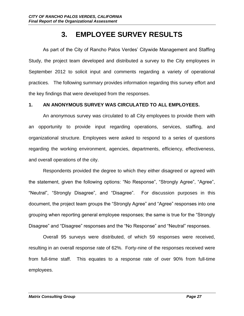# **3. EMPLOYEE SURVEY RESULTS**

As part of the City of Rancho Palos Verdes' Citywide Management and Staffing Study, the project team developed and distributed a survey to the City employees in September 2012 to solicit input and comments regarding a variety of operational practices. The following summary provides information regarding this survey effort and the key findings that were developed from the responses.

### **1. AN ANONYMOUS SURVEY WAS CIRCULATED TO ALL EMPLOYEES.**

An anonymous survey was circulated to all City employees to provide them with an opportunity to provide input regarding operations, services, staffing, and organizational structure. Employees were asked to respond to a series of questions regarding the working environment, agencies, departments, efficiency, effectiveness, and overall operations of the city.

Respondents provided the degree to which they either disagreed or agreed with the statement, given the following options: "No Response", "Strongly Agree", "Agree", "Neutral", "Strongly Disagree", and "Disagree". For discussion purposes in this document, the project team groups the "Strongly Agree" and "Agree" responses into one grouping when reporting general employee responses; the same is true for the "Strongly Disagree" and "Disagree" responses and the "No Response" and "Neutral" responses.

Overall 95 surveys were distributed, of which 59 responses were received, resulting in an overall response rate of 62%. Forty-nine of the responses received were from full-time staff. This equates to a response rate of over 90% from full-time employees.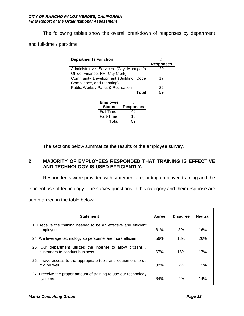The following tables show the overall breakdown of responses by department and full-time / part-time.

| <b>Department / Function</b>            |                  |
|-----------------------------------------|------------------|
|                                         | <b>Responses</b> |
| Administrative Services (City Manager's | 20               |
| Office, Finance, HR, City Clerk)        |                  |
| Community Development (Building, Code   | 17               |
| Compliance, and Planning)               |                  |
| Public Works / Parks & Recreation       | 22               |
| Total                                   | 59               |

| <b>Employee</b><br><b>Status</b> | #<br><b>Responses</b> |
|----------------------------------|-----------------------|
| Full-Time                        | 49                    |
| Part-Time                        | 10                    |
| Total                            | 59                    |

The sections below summarize the results of the employee survey.

## **2. MAJORITY OF EMPLOYEES RESPONDED THAT TRAINING IS EFFECTIVE AND TECHNOLOGY IS USED EFFICIENTLY.**

Respondents were provided with statements regarding employee training and the

efficient use of technology. The survey questions in this category and their response are

summarized in the table below:

| <b>Statement</b>                                                                             | Agree | <b>Disagree</b> | <b>Neutral</b> |
|----------------------------------------------------------------------------------------------|-------|-----------------|----------------|
| 1. I receive the training needed to be an effective and efficient<br>employee.               | 81%   | 3%              | 16%            |
| 24. We leverage technology so personnel are more efficient.                                  | 56%   | 18%             | 26%            |
| 25. Our department utilizes the internet to allow citizens<br>customers to conduct business. | 67%   | 16%             | 17%            |
| 26. I have access to the appropriate tools and equipment to do<br>my job well.               | 82%   | 7%              | 11%            |
| 27. I receive the proper amount of training to use our technology<br>systems.                | 84%   | 2%              | 14%            |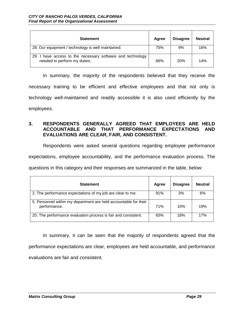| <b>Statement</b>                                                                           | Agree | <b>Disagree</b> | <b>Neutral</b> |
|--------------------------------------------------------------------------------------------|-------|-----------------|----------------|
| 28. Our equipment / technology is well maintained.                                         | 75%   | 9%              | 16%            |
| 29. I have access to the necessary software and technology<br>needed to perform my duties. | 66%   | <b>20%</b>      | 14%            |

In summary, the majority of the respondents believed that they receive the necessary training to be efficient and effective employees and that not only is technology well-maintained and readily accessible it is also used efficiently by the employees.

#### **3. RESPONDENTS GENERALLY AGREED THAT EMPLOYEES ARE HELD ACCOUNTABLE AND THAT PERFORMANCE EXPECTATIONS AND EVALUATIONS ARE CLEAR, FAIR, AND CONSISTENT.**

Respondents were asked several questions regarding employee performance expectations, employee accountability, and the performance evaluation process. The questions in this category and their responses are summarized in the table, below:

| <b>Statement</b>                                                                 | Agree | <b>Disagree</b> | <b>Neutral</b> |
|----------------------------------------------------------------------------------|-------|-----------------|----------------|
| 2. The performance expectations of my job are clear to me.                       | 91%   | 3%              | 6%             |
| 5. Personnel within my department are held accountable for their<br>performance. | 71%   | 10%             | 19%            |
| 20. The performance evaluation process is fair and consistent.                   | 65%   | 18%             | 17%            |

In summary, it can be seen that the majority of respondents agreed that the performance expectations are clear, employees are held accountable, and performance evaluations are fair and consistent.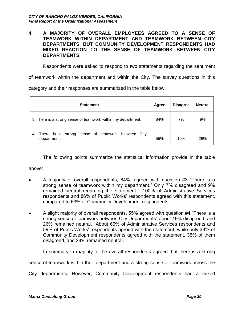#### **4. A MAJORITY OF OVERALL EMPLOYEES AGREED TO A SENSE OF TEAMWORK WITHIN DEPARTMENT AND TEAMWORK BETWEEN CITY DEPARTMENTS, BUT COMMUNITY DEVELOPMENT RESPONDENTS HAD MIXED REACTION TO THE SENSE OF TEAMWORK BETWEEN CITY DEPARTMENTS.**

Respondents were asked to respond to two statements regarding the sentiment

of teamwork within the department and within the City. The survey questions in this

category and their responses are summarized in the table below:

| <b>Statement</b>                                                          | <b>Agree</b> | <b>Disagree</b> | <b>Neutral</b> |
|---------------------------------------------------------------------------|--------------|-----------------|----------------|
| 3. There is a strong sense of teamwork within my department.              | 84%          | 7%              | 9%             |
| sense of teamwork between City<br>There is a strong<br>4.<br>departments. | 55%          | 19%             | 26%            |

The following points summarize the statistical information provide in the table

above:

- A majority of overall respondents, 84%, agreed with question #3 "There is a strong sense of teamwork within my department." Only 7% disagreed and 9% remained neutral regarding the statement. 100% of Administrative Services respondents and 86% of Public Works' respondents agreed with this statement, compared to 63% of Community Development respondents.
- A slight majority of overall respondents, 55% agreed with question #4 "There is a strong sense of teamwork between City Departments" about 19% disagreed, and 26% remained neutral. About 65% of Administrative Services respondents and 59% of Public Works' respondents agreed with the statement, while only 38% of Community Development respondents agreed with the statement, 38% of them disagreed, and 24% remained neutral.

In summary, a majority of the overall respondents agreed that there is a strong

sense of teamwork within their department and a strong sense of teamwork across the

City departments. However, Community Development respondents had a mixed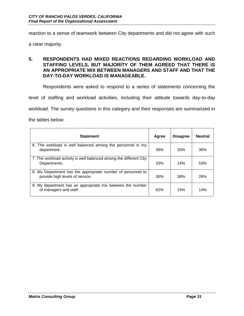reaction to a sense of teamwork between City departments and did not agree with such

a clear majority.

#### **5. RESPONDENTS HAD MIXED REACTIONS REGARDING WORKLOAD AND STAFFING LEVELS, BUT MAJORITY OF THEM AGREED THAT THERE IS AN APPROPRIATE MIX BETWEEN MANAGERS AND STAFF AND THAT THE DAY-TO-DAY WORKLOAD IS MANAGEABLE.**

Respondents were asked to respond to a series of statements concerning the

level of staffing and workload activities, including their attitude towards day-to-day

workload. The survey questions in this category and their responses are summarized in

the tables below:

| <b>Statement</b>                                                                               | Agree | <b>Disagree</b> | <b>Neutral</b> |
|------------------------------------------------------------------------------------------------|-------|-----------------|----------------|
| 6. The workload is well balanced among the personnel in my<br>department.                      | 39%   | 25%             | 36%            |
| 7. The workload activity is well balanced among the different City<br>Departments.             | 33%   | 14%             | 53%            |
| 8. My Department has the appropriate number of personnel to<br>provide high levels of service. | 36%   | 38%             | 26%            |
| 9. My department has an appropriate mix between the number<br>of managers and staff.           | 62%   | <b>24%</b>      | 14%            |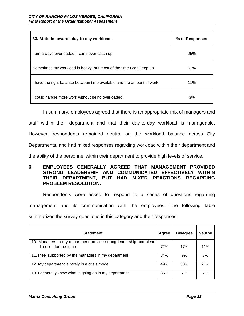| 33. Attitude towards day-to-day workload.                               | % of Responses |
|-------------------------------------------------------------------------|----------------|
| I am always overloaded. I can never catch up.                           | 25%            |
| Sometimes my workload is heavy, but most of the time I can keep up.     | 61%            |
| I have the right balance between time available and the amount of work. | 11%            |
| I could handle more work without being overloaded.                      | 3%             |

In summary, employees agreed that there is an appropriate mix of managers and staff within their department and that their day-to-day workload is manageable. However, respondents remained neutral on the workload balance across City Departments, and had mixed responses regarding workload within their department and the ability of the personnel within their department to provide high levels of service.

#### **6. EMPLOYEES GENERALLY AGREED THAT MANAGEMENT PROVIDED STRONG LEADERSHIP AND COMMUNICATED EFFECTIVELY WITHIN THEIR DEPARTMENT, BUT HAD MIXED REACTIONS REGARDING PROBLEM RESOLUTION.**

Respondents were asked to respond to a series of questions regarding management and its communication with the employees. The following table

summarizes the survey questions in this category and their responses:

| <b>Statement</b>                                                                               | Agree | <b>Disagree</b> | <b>Neutral</b> |
|------------------------------------------------------------------------------------------------|-------|-----------------|----------------|
| 10. Managers in my department provide strong leadership and clear<br>direction for the future. | 72%   | 17%             | 11%            |
| 11. I feel supported by the managers in my department.                                         | 84%   | 9%              | 7%             |
| 12. My department is rarely in a crisis mode.                                                  | 49%   | 30%             | 21%            |
| 13. I generally know what is going on in my department.                                        | 86%   | 7%              | 7%             |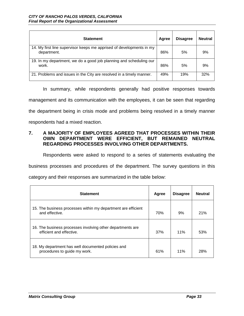| <b>Statement</b>                                                                    | Agree | <b>Disagree</b> | <b>Neutral</b> |
|-------------------------------------------------------------------------------------|-------|-----------------|----------------|
| 14. My first line supervisor keeps me apprised of developments in my<br>department. | 86%   | 5%              | 9%             |
| 19. In my department, we do a good job planning and scheduling our<br>work.         | 86%   | 5%              | 9%             |
| 21. Problems and issues in the City are resolved in a timely manner.                | 49%   | 19%             | 32%            |

In summary, while respondents generally had positive responses towards management and its communication with the employees, it can be seen that regarding the department being in crisis mode and problems being resolved in a timely manner respondents had a mixed reaction.

### **7. A MAJORITY OF EMPLOYEES AGREED THAT PROCESSES WITHIN THEIR OWN DEPARTMENT WERE EFFICIENT, BUT REMAINED NEUTRAL REGARDING PROCESSES INVOLVING OTHER DEPARTMENTS.**

Respondents were asked to respond to a series of statements evaluating the

business processes and procedures of the department. The survey questions in this

category and their responses are summarized in the table below:

| <b>Statement</b>                                                                       | Agree | <b>Disagree</b> | <b>Neutral</b> |
|----------------------------------------------------------------------------------------|-------|-----------------|----------------|
| 15. The business processes within my department are efficient<br>and effective.        | 70%   | 9%              | 21%            |
| 16. The business processes involving other departments are<br>efficient and effective. | 37%   | 11%             | 53%            |
| 18. My department has well documented policies and<br>procedures to guide my work.     | 61%   | 11%             | 28%            |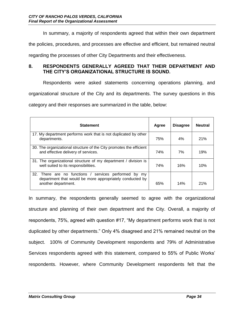In summary, a majority of respondents agreed that within their own department

the policies, procedures, and processes are effective and efficient, but remained neutral

regarding the processes of other City Departments and their effectiveness.

#### **8. RESPONDENTS GENERALLY AGREED THAT THEIR DEPARTMENT AND THE CITY'S ORGANIZATIONAL STRUCTURE IS SOUND.**

Respondents were asked statements concerning operations planning, and organizational structure of the City and its departments. The survey questions in this category and their responses are summarized in the table, below:

| <b>Statement</b>                                                                                                                            | Agree | <b>Disagree</b> | <b>Neutral</b> |
|---------------------------------------------------------------------------------------------------------------------------------------------|-------|-----------------|----------------|
| 17. My department performs work that is not duplicated by other<br>departments.                                                             | 75%   | 4%              | 21%            |
| 30. The organizational structure of the City promotes the efficient<br>and effective delivery of services.                                  | 74%   | 7%              | 19%            |
| 31. The organizational structure of my department / division is<br>well suited to its responsibilities.                                     | 74%   | 16%             | 10%            |
| 32. There are no functions /<br>services performed by my<br>department that would be more appropriately conducted by<br>another department. | 65%   | 14%             | 21%            |

In summary, the respondents generally seemed to agree with the organizational structure and planning of their own department and the City. Overall, a majority of respondents, 75%, agreed with question #17, "My department performs work that is not duplicated by other departments." Only 4% disagreed and 21% remained neutral on the subject. 100% of Community Development respondents and 79% of Administrative Services respondents agreed with this statement, compared to 55% of Public Works' respondents. However, where Community Development respondents felt that the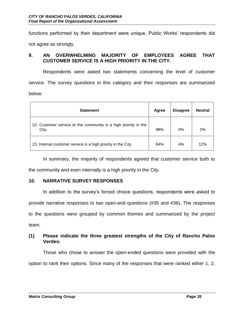functions performed by their department were unique, Public Works' respondents did not agree as strongly.

## **9. AN OVERWHELMING MAJORITY OF EMPLOYEES AGREE THAT CUSTOMER SERVICE IS A HIGH PRIORITY IN THE CITY.**

Respondents were asked two statements concerning the level of customer service. The survey questions in this category and their responses are summarized below:

| <b>Statement</b>                                                         | Agree | <b>Disagree</b> | <b>Neutral</b> |
|--------------------------------------------------------------------------|-------|-----------------|----------------|
| 22. Customer service to the community is a high priority in the<br>City. | 98%   | 0%              | 2%             |
| 23. Internal customer service is a high priority in the City.            | 84%   | 4%              | 12%            |

In summary, the majority of respondents agreed that customer service both to the community and even internally is a high priority in the City.

#### **10. NARRATIVE SURVEY RESPONSES**

In addition to the survey's forced choice questions, respondents were asked to provide narrative responses to two open-end questions (#35 and #36). The responses to the questions were grouped by common themes and summarized by the project team.

## **(1) Please indicate the three greatest strengths of the City of Rancho Palos Verdes:**

Those who chose to answer the open-ended questions were provided with the option to rank their options. Since many of the responses that were ranked either 1, 2,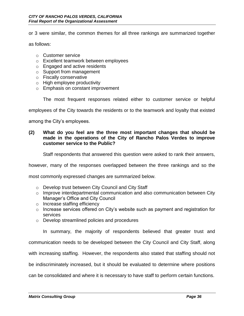or 3 were similar, the common themes for all three rankings are summarized together

as follows:

- o Customer service
- o Excellent teamwork between employees
- o Engaged and active residents
- o Support from management
- o Fiscally conservative
- o High employee productivity
- o Emphasis on constant improvement

The most frequent responses related either to customer service or helpful

employees of the City towards the residents or to the teamwork and loyalty that existed

among the City's employees.

#### **(2) What do you feel are the three most important changes that should be made in the operations of the City of Rancho Palos Verdes to improve customer service to the Public?**

Staff respondents that answered this question were asked to rank their answers,

however, many of the responses overlapped between the three rankings and so the

most commonly expressed changes are summarized below.

- o Develop trust between City Council and City Staff
- o Improve interdepartmental communication and also communication between City Manager's Office and City Council
- o Increase staffing efficiency
- o Increase services offered on City's website such as payment and registration for services
- o Develop streamlined policies and procedures

In summary, the majority of respondents believed that greater trust and

communication needs to be developed between the City Council and City Staff, along

with increasing staffing. However, the respondents also stated that staffing should not

be indiscriminately increased, but it should be evaluated to determine where positions

can be consolidated and where it is necessary to have staff to perform certain functions.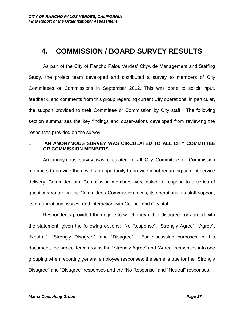# **4. COMMISSION / BOARD SURVEY RESULTS**

As part of the City of Rancho Palos Verdes' Citywide Management and Staffing Study, the project team developed and distributed a survey to members of City Committees or Commissions in September 2012. This was done to solicit input, feedback, and comments from this group regarding current City operations, in particular, the support provided to their Committee or Commission by City staff. The following section summarizes the key findings and observations developed from reviewing the responses provided on the survey.

### **1. AN ANONYMOUS SURVEY WAS CIRCULATED TO ALL CITY COMMITTEE OR COMMISSION MEMBERS.**

An anonymous survey was circulated to all City Committee or Commission members to provide them with an opportunity to provide input regarding current service delivery. Committee and Commission members were asked to respond to a series of questions regarding the Committee / Commission focus, its operations, its staff support, its organizational issues, and interaction with Council and City staff.

Respondents provided the degree to which they either disagreed or agreed with the statement, given the following options: "No Response", "Strongly Agree", "Agree", "Neutral", "Strongly Disagree", and "Disagree". For discussion purposes in this document, the project team groups the "Strongly Agree" and "Agree" responses into one grouping when reporting general employee responses; the same is true for the "Strongly Disagree" and "Disagree" responses and the "No Response" and "Neutral" responses.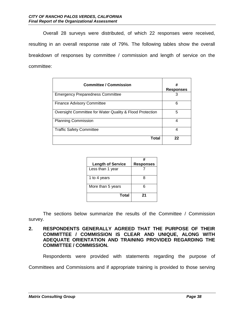Overall 28 surveys were distributed, of which 22 responses were received, resulting in an overall response rate of 79%. The following tables show the overall breakdown of responses by committee / commission and length of service on the committee:

| <b>Committee / Commission</b>                            | #<br><b>Responses</b> |
|----------------------------------------------------------|-----------------------|
| <b>Emergency Preparedness Committee</b>                  | З                     |
| <b>Finance Advisory Committee</b>                        | 6                     |
| Oversight Committee for Water Quality & Flood Protection | 5                     |
| <b>Planning Commission</b>                               | 4                     |
| <b>Traffic Safety Committee</b>                          | 4                     |
| Total                                                    | 22                    |

| <b>Length of Service</b> | #<br><b>Responses</b> |
|--------------------------|-----------------------|
| Less than 1 year         |                       |
| 1 to 4 years             | 8                     |
| More than 5 years        | ี                     |
| Total                    | 21                    |

The sections below summarize the results of the Committee / Commission survey.

**2. RESPONDENTS GENERALLY AGREED THAT THE PURPOSE OF THEIR COMMITTEE / COMMISSION IS CLEAR AND UNIQUE, ALONG WITH ADEQUATE ORIENTATION AND TRAINING PROVIDED REGARDING THE COMMITTEE / COMMISSION.** 

Respondents were provided with statements regarding the purpose of

Committees and Commissions and if appropriate training is provided to those serving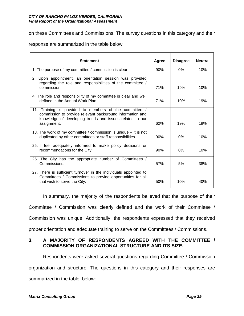on these Committees and Commissions. The survey questions in this category and their

response are summarized in the table below:

| <b>Statement</b>                                                                                                                                                                               | Agree | <b>Disagree</b> | <b>Neutral</b> |
|------------------------------------------------------------------------------------------------------------------------------------------------------------------------------------------------|-------|-----------------|----------------|
| 1. The purpose of my committee / commission is clear.                                                                                                                                          | 90%   | $0\%$           | 10%            |
| 2. Upon appointment, an orientation session was provided<br>regarding the role and responsibilities of the committee /<br>commission.                                                          | 71%   | 19%             | 10%            |
| 4. The role and responsibility of my committee is clear and well<br>defined in the Annual Work Plan.                                                                                           | 71%   | 10%             | 19%            |
| 11. Training is provided to members of the committee /<br>commission to provide relevant background information and<br>knowledge of developing trends and issues related to our<br>assignment. | 62%   | 19%             | 19%            |
| 18. The work of my committee / commission is unique $-$ it is not<br>duplicated by other committees or staff responsibilities.                                                                 |       | $0\%$           | 10%            |
| 25. I feel adequately informed to make policy decisions or<br>recommendations for the City.                                                                                                    |       | $0\%$           | 10%            |
| 26. The City has the appropriate number of Committees /<br>Commissions.                                                                                                                        | 57%   | 5%              | 38%            |
| 27. There is sufficient turnover in the individuals appointed to<br>Committees / Commissions to provide opportunities for all<br>that wish to serve the City.                                  | 50%   | 10%             | 40%            |

In summary, the majority of the respondents believed that the purpose of their Committee / Commission was clearly defined and the work of their Committee / Commission was unique. Additionally, the respondents expressed that they received proper orientation and adequate training to serve on the Committees / Commissions.

## **3. A MAJORITY OF RESPONDENTS AGREED WITH THE COMMITTEE / COMMISSION ORGANIZATIONAL STRUCTURE AND ITS SIZE.**

Respondents were asked several questions regarding Committee / Commission organization and structure. The questions in this category and their responses are summarized in the table, below: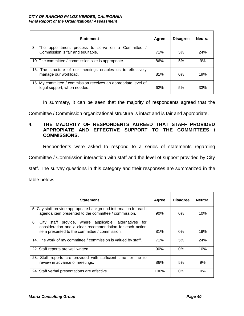| <b>Statement</b>                                                                              | Agree | <b>Disagree</b> | <b>Neutral</b> |
|-----------------------------------------------------------------------------------------------|-------|-----------------|----------------|
| 3.<br>The appointment process to serve on a Committee<br>Commission is fair and equitable.    | 71%   | 5%              | 24%            |
| 10. The committee / commission size is appropriate.                                           | 86%   | 5%              | 9%             |
| 15. The structure of our meetings enables us to effectively<br>manage our workload.           | 81%   | $0\%$           | 19%            |
| 16. My committee / commission receives an appropriate level of<br>legal support, when needed. | 62%   | 5%              | 33%            |

In summary, it can be seen that the majority of respondents agreed that the

Committee / Commission organizational structure is intact and is fair and appropriate.

## **4. THE MAJORITY OF RESPONDENTS AGREED THAT STAFF PROVIDED APPROPIATE AND EFFECTIVE SUPPORT TO THE COMMITTEES / COMMISSIONS.**

Respondents were asked to respond to a series of statements regarding

Committee / Commission interaction with staff and the level of support provided by City

staff. The survey questions in this category and their responses are summarized in the

table below:

| <b>Statement</b>                                                                                                                                                             | Agree | <b>Disagree</b> | <b>Neutral</b> |
|------------------------------------------------------------------------------------------------------------------------------------------------------------------------------|-------|-----------------|----------------|
| 5. City staff provide appropriate background information for each<br>agenda item presented to the committee / commission.                                                    | 90%   | $0\%$           | 10%            |
| 6.<br>City staff provide, where applicable, alternatives<br>tor<br>consideration and a clear recommendation for each action<br>item presented to the committee / commission. | 81%   | $0\%$           | 19%            |
| 14. The work of my committee / commission is valued by staff.                                                                                                                | 71%   | 5%              | 24%            |
| 22. Staff reports are well written.                                                                                                                                          | 90%   | $0\%$           | 10%            |
| 23. Staff reports are provided with sufficient time for me to<br>review in advance of meetings.                                                                              | 86%   | 5%              | 9%             |
| 24. Staff verbal presentations are effective.                                                                                                                                | 100%  | $0\%$           | $0\%$          |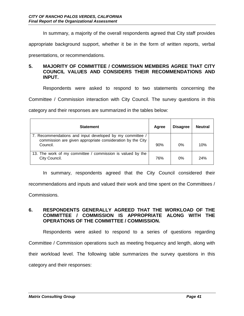In summary, a majority of the overall respondents agreed that City staff provides

appropriate background support, whether it be in the form of written reports, verbal

presentations, or recommendations.

### **5. MAJORITY OF COMMITTEE / COMMISSION MEMBERS AGREE THAT CITY COUNCIL VALUES AND CONSIDERS THEIR RECOMMENDATIONS AND INPUT.**

Respondents were asked to respond to two statements concerning the Committee / Commission interaction with City Council. The survey questions in this

category and their responses are summarized in the tables below:

| <b>Statement</b>                                                                                                                   | Agree | <b>Disagree</b> | <b>Neutral</b> |
|------------------------------------------------------------------------------------------------------------------------------------|-------|-----------------|----------------|
| 7. Recommendations and input developed by my committee /<br>commission are given appropriate consideration by the City<br>Council. |       | $0\%$           | 10%            |
| 13. The work of my committee / commission is valued by the<br>City Council.                                                        | 76%   | $0\%$           | 24%            |

In summary, respondents agreed that the City Council considered their recommendations and inputs and valued their work and time spent on the Committees /

Commissions.

## **6. RESPONDENTS GENERALLY AGREED THAT THE WORKLOAD OF THE COMMITTEE / COMMISSION IS APPROPRIATE ALONG WITH THE OPERATIONS OF THE COMMITTEE / COMMISSION.**

Respondents were asked to respond to a series of questions regarding Committee / Commission operations such as meeting frequency and length, along with their workload level. The following table summarizes the survey questions in this category and their responses: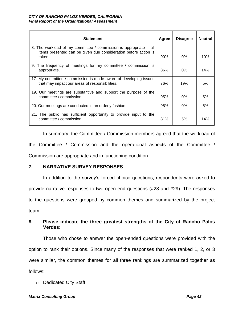| <b>Statement</b>                                                                                                                               | Agree | <b>Disagree</b> | <b>Neutral</b> |
|------------------------------------------------------------------------------------------------------------------------------------------------|-------|-----------------|----------------|
| 8. The workload of my committee / commission is appropriate – all<br>items presented can be given due consideration before action is<br>taken. | 90%   | $0\%$           | 10%            |
| 9. The frequency of meetings for my committee / commission is<br>appropriate.                                                                  | 86%   | $0\%$           | 14%            |
| 17. My committee / commission is made aware of developing issues<br>that may impact our areas of responsibilities.                             | 76%   | 19%             | 5%             |
| 19. Our meetings are substantive and support the purpose of the<br>committee / commission.                                                     | 95%   | $0\%$           | 5%             |
| 20. Our meetings are conducted in an orderly fashion.                                                                                          | 95%   | $0\%$           | 5%             |
| 21. The public has sufficient opportunity to provide input to the<br>committee / commission.                                                   | 81%   | 5%              | 14%            |

In summary, the Committee / Commission members agreed that the workload of the Committee / Commission and the operational aspects of the Committee / Commission are appropriate and in functioning condition.

#### **7. NARRATIVE SURVEY RESPONSES**

In addition to the survey's forced choice questions, respondents were asked to provide narrative responses to two open-end questions (#28 and #29). The responses to the questions were grouped by common themes and summarized by the project team.

## **8. Please indicate the three greatest strengths of the City of Rancho Palos Verdes:**

Those who chose to answer the open-ended questions were provided with the option to rank their options. Since many of the responses that were ranked 1, 2, or 3 were similar, the common themes for all three rankings are summarized together as follows:

o Dedicated City Staff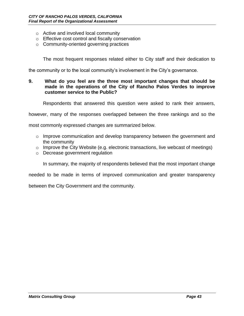- o Active and involved local community
- o Effective cost control and fiscally conservation
- o Community-oriented governing practices

The most frequent responses related either to City staff and their dedication to

the community or to the local community's involvement in the City's governance.

#### **9. What do you feel are the three most important changes that should be made in the operations of the City of Rancho Palos Verdes to improve customer service to the Public?**

Respondents that answered this question were asked to rank their answers,

however, many of the responses overlapped between the three rankings and so the

most commonly expressed changes are summarized below.

- $\circ$  Improve communication and develop transparency between the government and the community
- o Improve the City Website (e.g. electronic transactions, live webcast of meetings)
- o Decrease government regulation

In summary, the majority of respondents believed that the most important change

needed to be made in terms of improved communication and greater transparency

between the City Government and the community.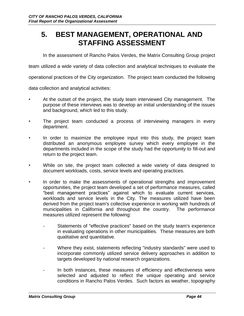# **5. BEST MANAGEMENT, OPERATIONAL AND STAFFING ASSESSMENT**

In the assessment of Rancho Palos Verdes, the Matrix Consulting Group project

team utilized a wide variety of data collection and analytical techniques to evaluate the

operational practices of the City organization. The project team conducted the following

data collection and analytical activities:

- At the outset of the project, the study team interviewed City management. The purpose of these interviews was to develop an initial understanding of the issues and background, which led to this study.
- The project team conducted a process of interviewing managers in every department.
- In order to maximize the employee input into this study, the project team distributed an anonymous employee survey which every employee in the departments included in the scope of the study had the opportunity to fill-out and return to the project team.
- While on site, the project team collected a wide variety of data designed to document workloads, costs, service levels and operating practices.
- In order to make the assessments of operational strengths and improvement opportunities, the project team developed a set of performance measures, called "best management practices" against which to evaluate current services, workloads and service levels in the City. The measures utilized have been derived from the project team's collective experience in working with hundreds of municipalities in California and throughout the country. The performance measures utilized represent the following:
	- Statements of "effective practices" based on the study team's experience in evaluating operations in other municipalities. These measures are both qualitative and quantitative.
	- Where they exist, statements reflecting "industry standards" were used to incorporate commonly utilized service delivery approaches in addition to targets developed by national research organizations.
	- In both instances, these measures of efficiency and effectiveness were selected and adjusted to reflect the unique operating and service conditions in Rancho Palos Verdes. Such factors as weather, topography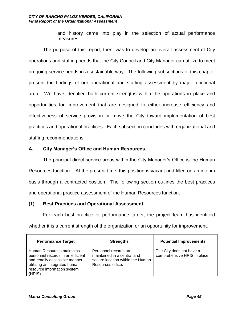and history came into play in the selection of actual performance measures.

The purpose of this report, then, was to develop an overall assessment of City operations and staffing needs that the City Council and City Manager can utilize to meet on-going service needs in a sustainable way. The following subsections of this chapter present the findings of our operational and staffing assessment by major functional area. We have identified both current strengths within the operations in place and opportunities for improvement that are designed to either increase efficiency and effectiveness of service provision or move the City toward implementation of best practices and operational practices. Each subsection concludes with organizational and staffing recommendations.

## **A. City Manager's Office and Human Resources.**

The principal direct service areas within the City Manager's Office is the Human Resources function. At the present time, this position is vacant and filled on an interim basis through a contracted position. The following section outlines the best practices and operational practice assessment of the Human Resources function.

#### **(1) Best Practices and Operational Assessment.**

For each best practice or performance target, the project team has identified whether it is a current strength of the organization or an opportunity for improvement.

| <b>Performance Target</b>                                                                                                                                                  | <b>Strengths</b>                                                                                              | <b>Potential Improvements</b>                            |
|----------------------------------------------------------------------------------------------------------------------------------------------------------------------------|---------------------------------------------------------------------------------------------------------------|----------------------------------------------------------|
| Human Resources maintains<br>personnel records in an efficient<br>and readily accessible manner<br>utilizing an integrated human<br>resource information system<br>(HRIS). | Personnel records are<br>maintained in a central and<br>secure location within the Human<br>Resources office. | The City does not have a<br>comprehensive HRIS in place. |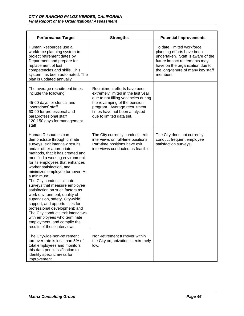| <b>Performance Target</b>                                                                                                                                                                                                                                                                                                                                                                                                                                                                                                                                                                                                                                                          | <b>Strengths</b>                                                                                                                                                                                                                       | <b>Potential Improvements</b>                                                                                                                                                                                      |
|------------------------------------------------------------------------------------------------------------------------------------------------------------------------------------------------------------------------------------------------------------------------------------------------------------------------------------------------------------------------------------------------------------------------------------------------------------------------------------------------------------------------------------------------------------------------------------------------------------------------------------------------------------------------------------|----------------------------------------------------------------------------------------------------------------------------------------------------------------------------------------------------------------------------------------|--------------------------------------------------------------------------------------------------------------------------------------------------------------------------------------------------------------------|
| Human Resources use a<br>workforce planning system to<br>project retirement dates by<br>Department and prepare for<br>replacement of lost<br>competencies and skills. This<br>system has been automated. The<br>plan is updated annually.                                                                                                                                                                                                                                                                                                                                                                                                                                          |                                                                                                                                                                                                                                        | To date, limited workforce<br>planning efforts have been<br>undertaken. Staff is aware of the<br>future impact retirements may<br>have on the organization due to<br>the long-tenure of many key staff<br>members. |
| The average recruitment times<br>include the following:<br>45-60 days for clerical and<br>'operations' staff<br>60-90 for professional and<br>paraprofessional staff<br>120-150 days for management<br>staff                                                                                                                                                                                                                                                                                                                                                                                                                                                                       | Recruitment efforts have been<br>extremely limited in the last year<br>due to not filling vacancies during<br>the revamping of the pension<br>program. Average recruitment<br>times have not been analyzed<br>due to limited data set. |                                                                                                                                                                                                                    |
| Human Resources can<br>demonstrate through climate<br>surveys, exit interview results,<br>and/or other appropriate<br>methods, that it has created and<br>modified a working environment<br>for its employees that enhances<br>worker satisfaction, and<br>minimizes employee turnover. At<br>a minimum:<br>The City conducts climate<br>surveys that measure employee<br>satisfaction on such factors as<br>work environment, quality of<br>supervision, safety, City-wide<br>support, and opportunities for<br>professional development; and<br>The City conducts exit interviews<br>with employees who terminate<br>employment, and compile the<br>results of these interviews. | The City currently conducts exit<br>interviews on full-time positions.<br>Part-time positions have exit<br>interviews conducted as feasible.                                                                                           | The City does not currently<br>conduct frequent employee<br>satisfaction surveys.                                                                                                                                  |
| The Citywide non-retirement<br>turnover rate is less than 5% of<br>total employees and monitors<br>this data per classification to<br>identify specific areas for<br>improvement.                                                                                                                                                                                                                                                                                                                                                                                                                                                                                                  | Non-retirement turnover within<br>the City organization is extremely<br>low.                                                                                                                                                           |                                                                                                                                                                                                                    |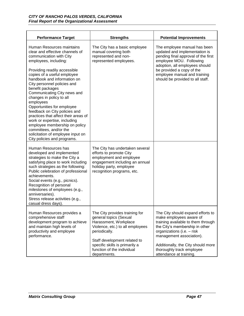| <b>Performance Target</b>                                                                                                                                                                                                                                                                                                                                                                                                                                                                                                                                                                                       | <b>Strengths</b>                                                                                                                                                                                                                                       | <b>Potential Improvements</b>                                                                                                                                                                                                                                                                |
|-----------------------------------------------------------------------------------------------------------------------------------------------------------------------------------------------------------------------------------------------------------------------------------------------------------------------------------------------------------------------------------------------------------------------------------------------------------------------------------------------------------------------------------------------------------------------------------------------------------------|--------------------------------------------------------------------------------------------------------------------------------------------------------------------------------------------------------------------------------------------------------|----------------------------------------------------------------------------------------------------------------------------------------------------------------------------------------------------------------------------------------------------------------------------------------------|
| Human Resources maintains<br>clear and effective channels of<br>communication with City<br>employees, including:<br>Providing readily accessible<br>copies of a useful employee<br>handbook and information on<br>City personnel policies and<br>benefit packages<br>Communicating City news and<br>changes in policy to all<br>employees<br>Opportunities for employee<br>feedback on City policies and<br>practices that affect their areas of<br>work or expertise, including<br>employee membership on policy<br>committees, and/or the<br>solicitation of employee input on<br>City policies and programs. | The City has a basic employee<br>manual covering both<br>represented and non-<br>represented employees.                                                                                                                                                | The employee manual has been<br>updated and implementation is<br>pending final approval of the first<br>employee MOU. Following<br>adoption, all employees should<br>be provided a copy of the<br>employee manual and training<br>should be provided to all staff.                           |
| Human Resources has<br>developed and implemented<br>strategies to make the City a<br>satisfying place to work including<br>such strategies as the following:<br>Public celebration of professional<br>achievements.<br>Social events (e.g., picnics).<br>Recognition of personal<br>milestones of employees (e.g.,<br>anniversaries).<br>Stress release activities (e.g.,<br>casual dress days).                                                                                                                                                                                                                | The City has undertaken several<br>efforts to promote City<br>employment and employee<br>engagement including an annual<br>holiday party, employee<br>recognition programs, etc.                                                                       |                                                                                                                                                                                                                                                                                              |
| Human Resources provides a<br>comprehensive staff<br>development program to achieve<br>and maintain high levels of<br>productivity and employee<br>performance.                                                                                                                                                                                                                                                                                                                                                                                                                                                 | The City provides training for<br>general topics (Sexual<br>Harassment, Workplace<br>Violence, etc.) to all employees<br>periodically.<br>Staff development related to<br>specific skills is primarily a<br>function of the individual<br>departments. | The City should expand efforts to<br>make employees aware of<br>training available to them through<br>the City's membership in other<br>organizations (i.e. - risk<br>management association).<br>Additionally, the City should more<br>thoroughly track employee<br>attendance at training. |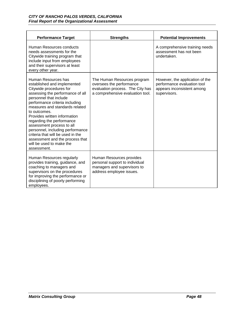| <b>Performance Target</b>                                                                                                                                                                                                                                                                                                                                                                                                                                                        | <b>Strengths</b>                                                                                                                | <b>Potential Improvements</b>                                                                                |
|----------------------------------------------------------------------------------------------------------------------------------------------------------------------------------------------------------------------------------------------------------------------------------------------------------------------------------------------------------------------------------------------------------------------------------------------------------------------------------|---------------------------------------------------------------------------------------------------------------------------------|--------------------------------------------------------------------------------------------------------------|
| Human Resources conducts<br>needs assessments for the<br>Citywide training program that<br>include input from employees<br>and their supervisors at least<br>every other year.                                                                                                                                                                                                                                                                                                   |                                                                                                                                 | A comprehensive training needs<br>assessment has not been<br>undertaken.                                     |
| Human Resources has<br>established and implemented<br>Citywide procedures for<br>assessing the performance of all<br>personnel that include<br>performance criteria including<br>measures and standards related<br>to outcomes.<br>Provides written information<br>regarding the performance<br>assessment process to all<br>personnel, including performance<br>criteria that will be used in the<br>assessment and the process that<br>will be used to make the<br>assessment. | The Human Resources program<br>oversees the performance<br>evaluation process. The City has<br>a comprehensive evaluation tool. | However, the application of the<br>performance evaluation tool<br>appears inconsistent among<br>supervisors. |
| Human Resources regularly<br>provides training, guidance, and<br>coaching to managers and<br>supervisors on the procedures<br>for improving the performance or<br>disciplining of poorly performing<br>employees.                                                                                                                                                                                                                                                                | Human Resources provides<br>personal support to individual<br>managers and supervisors to<br>address employee issues.           |                                                                                                              |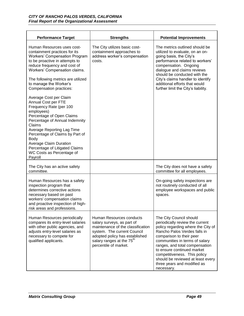| <b>Performance Target</b>                                                                                                                                                                                                                                                                                                                                                                                                                                                                                                                                                                                                                         | <b>Strengths</b>                                                                                                                                                                                                               | <b>Potential Improvements</b>                                                                                                                                                                                                                                                                                                                                                    |
|---------------------------------------------------------------------------------------------------------------------------------------------------------------------------------------------------------------------------------------------------------------------------------------------------------------------------------------------------------------------------------------------------------------------------------------------------------------------------------------------------------------------------------------------------------------------------------------------------------------------------------------------------|--------------------------------------------------------------------------------------------------------------------------------------------------------------------------------------------------------------------------------|----------------------------------------------------------------------------------------------------------------------------------------------------------------------------------------------------------------------------------------------------------------------------------------------------------------------------------------------------------------------------------|
| Human Resources uses cost-<br>containment practices for its<br><b>Workers' Compensation Program</b><br>to be proactive in attempts to<br>reduce frequency and cost of<br>Workers' Compensation claims.<br>The following metrics are utilized<br>to manage the Worker's<br>Compensation practices:<br>Average Cost per Claim<br>Annual Cost per FTE<br>Frequency Rate (per 100<br>employees)<br>Percentage of Open Claims<br>Percentage of Annual Indemnity<br>Claims<br>Average Reporting Lag Time<br>Percentage of Claims by Part of<br>Body<br>Average Claim Duration<br>Percentage of Litigated Claims<br>WC Costs as Percentage of<br>Payroll | The City utilizes basic cost-<br>containment approaches to<br>address worker's compensation<br>costs.                                                                                                                          | The metrics outlined should be<br>utilized to evaluate, on an on-<br>going basis, the City's<br>performance related to workers'<br>compensation. Ongoing<br>dialogue and claims reviews<br>should be conducted with the<br>City's claims handler to identify<br>additional efforts that would<br>further limit the City's liability.                                             |
| The City has an active safety<br>committee.                                                                                                                                                                                                                                                                                                                                                                                                                                                                                                                                                                                                       |                                                                                                                                                                                                                                | The City does not have a safety<br>committee for all employees.                                                                                                                                                                                                                                                                                                                  |
| Human Resources has a safety<br>inspection program that<br>determines corrective actions<br>necessary based on past<br>workers' compensation claims<br>and proactive inspection of high-<br>risk areas and professions.                                                                                                                                                                                                                                                                                                                                                                                                                           |                                                                                                                                                                                                                                | On-going safety inspections are<br>not routinely conducted of all<br>employee workspaces and public<br>spaces.                                                                                                                                                                                                                                                                   |
| Human Resources periodically<br>compares its entry-level salaries<br>with other public agencies, and<br>adjusts entry-level salaries as<br>necessary to compete for<br>qualified applicants.                                                                                                                                                                                                                                                                                                                                                                                                                                                      | Human Resources conducts<br>salary surveys, as part of<br>maintenance of the classification<br>system. The current Council<br>adopted policy has established<br>salary ranges at the 75 <sup>th</sup><br>percentile of market. | The City Council should<br>periodically review the current<br>policy regarding where the City of<br>Rancho Palos Verdes falls in<br>comparison to their peer<br>communities in terms of salary<br>ranges, and total compensation<br>to ensure continued market<br>competitiveness. This policy<br>should be reviewed at least every<br>three years and modified as<br>necessary. |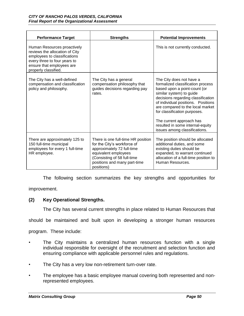| <b>Performance Target</b>                                                                                                                                                          | <b>Strengths</b>                                                                                                                                                                                     | <b>Potential Improvements</b>                                                                                                                                                                                                                                                                                                                                              |
|------------------------------------------------------------------------------------------------------------------------------------------------------------------------------------|------------------------------------------------------------------------------------------------------------------------------------------------------------------------------------------------------|----------------------------------------------------------------------------------------------------------------------------------------------------------------------------------------------------------------------------------------------------------------------------------------------------------------------------------------------------------------------------|
| Human Resources proactively<br>reviews the allocation of City<br>employees to classifications<br>every three to four years to<br>ensure that employees are<br>properly classified. |                                                                                                                                                                                                      | This is not currently conducted.                                                                                                                                                                                                                                                                                                                                           |
| The City has a well-defined<br>compensation and classification<br>policy and philosophy.                                                                                           | The City has a general<br>compensation philosophy that<br>guides decisions regarding pay<br>rates.                                                                                                   | The City does not have a<br>formalized classification process<br>based upon a point-count (or<br>similar system) to guide<br>decisions regarding classification<br>of individual positions. Positions<br>are compared to the local market<br>for classification purposes.<br>The current approach has<br>resulted in some internal-equity<br>issues among classifications. |
| There are approximately 125 to<br>150 full-time municipal<br>employees for every 1 full-time<br>HR employee.                                                                       | There is one full-time HR position<br>for the City's workforce of<br>approximately 72 full-time<br>equivalent employees<br>(Consisting of 58 full-time<br>positions and many part-time<br>positions) | The position should be allocated<br>additional duties, and some<br>existing duties should be<br>expanded, to warrant continued<br>allocation of a full-time position to<br>Human Resources.                                                                                                                                                                                |

The following section summarizes the key strengths and opportunities for

improvement.

#### **(2) Key Operational Strengths.**

The City has several current strengths in place related to Human Resources that

should be maintained and built upon in developing a stronger human resources

program. These include:

- The City maintains a centralized human resources function with a single individual responsible for oversight of the recruitment and selection function and ensuring compliance with applicable personnel rules and regulations.
- The City has a very low non-retirement turn-over rate.
- The employee has a basic employee manual covering both represented and nonrepresented employees.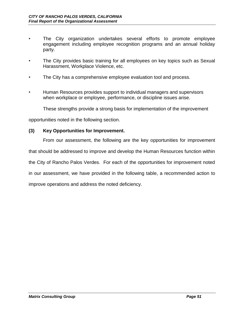- The City organization undertakes several efforts to promote employee engagement including employee recognition programs and an annual holiday party.
- The City provides basic training for all employees on key topics such as Sexual Harassment, Workplace Violence, etc.
- The City has a comprehensive employee evaluation tool and process.
- Human Resources provides support to individual managers and supervisors when workplace or employee, performance, or discipline issues arise.

These strengths provide a strong basis for implementation of the improvement

opportunities noted in the following section.

#### **(3) Key Opportunities for Improvement.**

From our assessment, the following are the key opportunities for improvement

that should be addressed to improve and develop the Human Resources function within

the City of Rancho Palos Verdes. For each of the opportunities for improvement noted

in our assessment, we have provided in the following table, a recommended action to

improve operations and address the noted deficiency.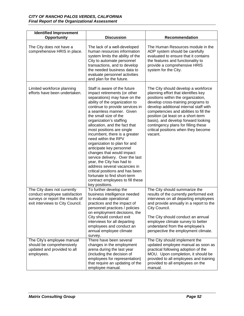| <b>Identified Improvement</b><br>Opportunity                                                                                         | <b>Discussion</b>                                                                                                                                                                                                                                                                                                                                                                                                                                                                                                                                                                                                                                                                         | Recommendation                                                                                                                                                                                                                                                                                                                                                                                                   |
|--------------------------------------------------------------------------------------------------------------------------------------|-------------------------------------------------------------------------------------------------------------------------------------------------------------------------------------------------------------------------------------------------------------------------------------------------------------------------------------------------------------------------------------------------------------------------------------------------------------------------------------------------------------------------------------------------------------------------------------------------------------------------------------------------------------------------------------------|------------------------------------------------------------------------------------------------------------------------------------------------------------------------------------------------------------------------------------------------------------------------------------------------------------------------------------------------------------------------------------------------------------------|
| The City does not have a<br>comprehensive HRIS in place.                                                                             | The lack of a well-developed<br>human resources information<br>system limits the ability of the<br>City to automate personnel<br>transactions, and to develop<br>the needed business data to<br>evaluate personnel activities<br>and plan for the future.                                                                                                                                                                                                                                                                                                                                                                                                                                 | The Human Resources module in the<br>ADP system should be carefully<br>evaluated to ensure that it contains<br>the features and functionality to<br>provide a comprehensive HRIS<br>system for the City.                                                                                                                                                                                                         |
| Limited workforce planning<br>efforts have been undertaken.                                                                          | Staff is aware of the future<br>impact retirements (or other<br>separations) may have on the<br>ability of the organization to<br>continue to provide services in<br>a seamless manner. Given<br>the small size of the<br>organization's staffing<br>allocation, and the fact that<br>most positions are single<br>incumbent, there is a greater<br>need within the RPV<br>organization to plan for and<br>anticipate key personnel<br>changes that would impact<br>service delivery. Over the last<br>year, the City has had to<br>address several vacancies in<br>critical positions and has been<br>fortunate to find short-term<br>contract employees to fill these<br>key positions. | The City should develop a workforce<br>planning effort that identifies key<br>positions within the organization,<br>develop cross-training programs to<br>develop additional internal staff with<br>competencies and abilities to fill the<br>position (at least on a short-term<br>basis), and develop forward looking<br>contingency plans for filling these<br>critical positions when they become<br>vacant. |
| The City does not currently<br>conduct employee satisfaction<br>surveys or report the results of<br>exit interviews to City Council. | To further develop the<br>business intelligence needed<br>to evaluate operational<br>practices and the impact of<br>personnel practices / policies<br>on employment decisions, the<br>City should conduct exit<br>interviews for all departing<br>employees and conduct an<br>annual employee climate<br>survey.                                                                                                                                                                                                                                                                                                                                                                          | The City should summarize the<br>results of the currently performed exit<br>interviews on all departing employees<br>and provide annually in a report to the<br>City Council.<br>The City should conduct an annual<br>employee climate survey to better<br>understand from the employee's<br>perspective the employment climate.                                                                                 |
| The City's employee manual<br>should be comprehensively<br>updated and provided to all<br>employees.                                 | There have been several<br>changes in the employment<br>arena during the last year<br>(including the decision of<br>employees for representation)<br>that require an updating of the<br>employee manual.                                                                                                                                                                                                                                                                                                                                                                                                                                                                                  | The City should implement the<br>updated employee manual as soon as<br>practical following adoption of the<br>MOU. Upon completion, it should be<br>provided to all employees and training<br>provided to all employees on the<br>manual.                                                                                                                                                                        |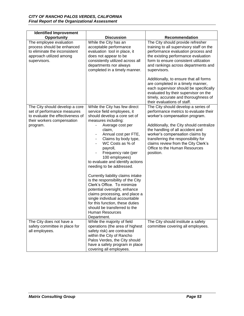| <b>Identified Improvement</b>                                                                                                     |                                                                                                                                                                                                                                                                                                                                                                                                                                                                                                                                             |                                                                                                                                                                                                                                                            |
|-----------------------------------------------------------------------------------------------------------------------------------|---------------------------------------------------------------------------------------------------------------------------------------------------------------------------------------------------------------------------------------------------------------------------------------------------------------------------------------------------------------------------------------------------------------------------------------------------------------------------------------------------------------------------------------------|------------------------------------------------------------------------------------------------------------------------------------------------------------------------------------------------------------------------------------------------------------|
| Opportunity                                                                                                                       | <b>Discussion</b>                                                                                                                                                                                                                                                                                                                                                                                                                                                                                                                           | Recommendation                                                                                                                                                                                                                                             |
| The employee evaluation<br>process should be enhanced<br>to eliminate the inconsistent<br>approach utilized among<br>supervisors. | While the City has an<br>acceptable performance<br>evaluation tool in place, it<br>does not appear to be<br>consistently utilized across all<br>departments nor always<br>completed in a timely manner.                                                                                                                                                                                                                                                                                                                                     | The City should provide refresher<br>training to all supervisory staff on the<br>performance evaluation process and<br>the existing performance evaluation<br>form to ensure consistent utilization<br>and rankings across departments and<br>supervisors. |
|                                                                                                                                   |                                                                                                                                                                                                                                                                                                                                                                                                                                                                                                                                             | Additionally, to ensure that all forms<br>are completed in a timely manner,<br>each supervisor should be specifically<br>evaluated by their supervisor on the<br>timely, accurate and thoroughness of<br>their evaluations of staff.                       |
| The City should develop a core<br>set of performance measures<br>to evaluate the effectiveness of<br>their workers compensation   | While the City has few direct<br>service field employees, it<br>should develop a core set of<br>measures including:                                                                                                                                                                                                                                                                                                                                                                                                                         | The City should develop a series of<br>performance metrics to evaluate their<br>worker's compensation program.                                                                                                                                             |
| program.                                                                                                                          | Average cost per<br>claim,<br>Annual cost per FTE,<br>Claims by body type,<br>WC Costs as % of<br>payroll,<br>Frequency rate (per<br>100 employees)<br>to evaluate and identify actions<br>needing to be addressed.<br>Currently liability claims intake<br>is the responsibility of the City<br>Clerk's Office. To minimize<br>potential oversight, enhance<br>claims processing, and place a<br>single individual accountable<br>for this function, these duties<br>should be transferred to the<br><b>Human Resources</b><br>Department. | Additionally, the City should centralize<br>the handling of all accident and<br>worker's compensation claims by<br>transferring the responsibility for<br>claims review from the City Clerk's<br>Office to the Human Resources<br>position.                |
| The City does not have a<br>safety committee in place for<br>all employees.                                                       | While the majority of field<br>operations (the area of highest<br>safety risk) are contracted<br>within the City of Rancho<br>Palos Verdes, the City should<br>have a safety program in place<br>covering all employees.                                                                                                                                                                                                                                                                                                                    | The City should institute a safety<br>committee covering all employees.                                                                                                                                                                                    |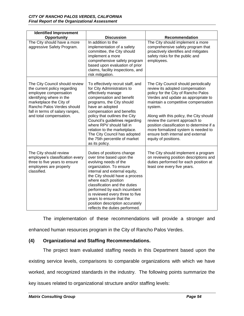| <b>Identified Improvement</b>                                                                                                                                                                                                              |                                                                                                                                                                                                                                                                                                                                                                                                                  |                                                                                                                                                                                                                                                                                                                                                                                                                                       |
|--------------------------------------------------------------------------------------------------------------------------------------------------------------------------------------------------------------------------------------------|------------------------------------------------------------------------------------------------------------------------------------------------------------------------------------------------------------------------------------------------------------------------------------------------------------------------------------------------------------------------------------------------------------------|---------------------------------------------------------------------------------------------------------------------------------------------------------------------------------------------------------------------------------------------------------------------------------------------------------------------------------------------------------------------------------------------------------------------------------------|
| Opportunity                                                                                                                                                                                                                                | <b>Discussion</b>                                                                                                                                                                                                                                                                                                                                                                                                | Recommendation                                                                                                                                                                                                                                                                                                                                                                                                                        |
| The City should have a more<br>aggressive Safety Program.                                                                                                                                                                                  | In addition to the<br>implementation of a safety<br>committee, the City should<br>implement a more<br>comprehensive safety program<br>based upon evaluation of prior<br>claims, facility inspections, and<br>risk mitigation.                                                                                                                                                                                    | The City should implement a more<br>comprehensive safety program that<br>proactively identifies and mitigates<br>safety risks for the public and<br>employees.                                                                                                                                                                                                                                                                        |
| The City Council should review<br>the current policy regarding<br>employee compensation<br>identifying where in the<br>marketplace the City of<br>Rancho Palos Verdes should<br>fall in terms of salary ranges,<br>and total compensation. | To effectively recruit staff, and<br>for City Administrators to<br>effectively manage<br>compensation and benefit<br>programs, the City should<br>have an adopted<br>compensation and benefits<br>policy that outlines the City<br>Council's guidelines regarding<br>where RPV should fall in<br>relation to the marketplace.<br>The City Council has adopted<br>the 75th percentile of market<br>as its policy. | The City Council should periodically<br>review its adopted compensation<br>policy for the City of Rancho Palos<br>Verdes and update as appropriate to<br>maintain a competitive compensation<br>system.<br>Along with this policy, the City should<br>review the current approach to<br>position classification to determine if a<br>more formalized system is needed to<br>ensure both internal and external<br>equity of positions. |
| The City should review<br>employee's classification every<br>three to five years to ensure<br>employees are properly<br>classified.                                                                                                        | Duties of positions change<br>over time based upon the<br>evolving needs of the<br>organization. To ensure<br>internal and external equity,<br>the City should have a process<br>where each position<br>classification and the duties<br>performed by each incumbent<br>is reviewed every three to five<br>years to ensure that the<br>position description accurately<br>reflects the duties performed.         | The City should implement a program<br>on reviewing position descriptions and<br>duties performed for each position at<br>least one every five years.                                                                                                                                                                                                                                                                                 |

The implementation of these recommendations will provide a stronger and enhanced human resources program in the City of Rancho Palos Verdes.

#### **(4) Organizational and Staffing Recommendations.**

The project team evaluated staffing needs in this Department based upon the existing service levels, comparisons to comparable organizations with which we have worked, and recognized standards in the industry. The following points summarize the key issues related to organizational structure and/or staffing levels: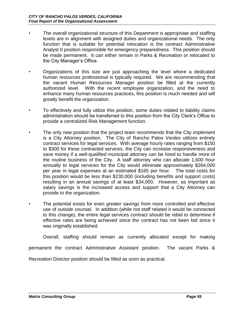- The overall organizational structure of this Department is appropriate and staffing levels are in alignment with assigned duties and organizational needs. The only function that is suitable for potential relocation is the contract Administrative Analyst II position responsible for emergency preparedness. This position should be made permanent. It can either remain in Parks & Recreation or relocated to the City Manager's Office.
- Organizations of this size are just approaching the level where a dedicated human resources professional is typically required. We are recommending that the vacant Human Resources Manager position be filled at the currently authorized level. With the recent employee organization, and the need to enhance many human resources practices, this position is much needed and will greatly benefit the organization.
- To effectively and fully utilize this position, some duties related to liability claims administration should be transferred to this position from the City Clerk's Office to provide a centralized Risk Management function.
- The only new position that the project team recommends that the City implement is a City Attorney position. The City of Rancho Palos Verdes utilizes entirely contract services for legal services. With average hourly rates ranging from \$150 to \$300 for these contracted services, the City can increase responsiveness and save money if a well-qualified municipal attorney can be hired to handle more of the routine business of the City. A staff attorney who can allocate 1,600 hour annually to legal services for the City would eliminate approximately \$264,000 per year in legal expenses at an estimated \$165 per hour. The total costs for this position would be less than \$230,000 (including benefits and support costs) resulting in an annual savings of at least \$34,000. However, as important as salary savings is the increased access and support that a City Attorney can provide to the organization.
- The potential exists for even greater savings from more controlled and effective use of outside counsel. In addition (while not staff related it would be connected to this change), the entire legal services contract should be rebid to determine if effective rates are being achieved since the contract has not been bid since it was originally established.

Overall, staffing should remain as currently allocated except for making

permanent the contract Administrative Assistant position. The vacant Parks &

Recreation Director position should be filled as soon as practical.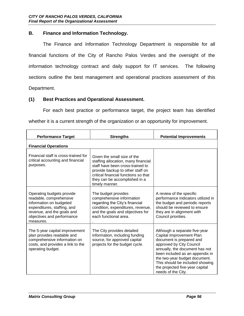#### **B. Finance and Information Technology.**

The Finance and Information Technology Department is responsible for all financial functions of the City of Rancho Palos Verdes and the oversight of the information technology contract and daily support for IT services. The following sections outline the best management and operational practices assessment of this Department.

#### **(1) Best Practices and Operational Assessment.**

For each best practice or performance target, the project team has identified whether it is a current strength of the organization or an opportunity for improvement.

| <b>Performance Target</b>                                                                                                                                                               | <b>Strengths</b>                                                                                                                                                                                                                      | <b>Potential Improvements</b>                                                                                                                                                                                                                                                                                       |
|-----------------------------------------------------------------------------------------------------------------------------------------------------------------------------------------|---------------------------------------------------------------------------------------------------------------------------------------------------------------------------------------------------------------------------------------|---------------------------------------------------------------------------------------------------------------------------------------------------------------------------------------------------------------------------------------------------------------------------------------------------------------------|
| <b>Financial Operations</b>                                                                                                                                                             |                                                                                                                                                                                                                                       |                                                                                                                                                                                                                                                                                                                     |
| Financial staff is cross-trained for<br>critical accounting and financial<br>purposes.                                                                                                  | Given the small size of the<br>staffing allocation, many financial<br>staff have been cross-trained to<br>provide backup to other staff on<br>critical financial functions so that<br>they can be accomplished in a<br>timely manner. |                                                                                                                                                                                                                                                                                                                     |
| Operating budgets provide<br>readable, comprehensive<br>information on budgeted<br>expenditures, staffing, and<br>revenue, and the goals and<br>objectives and performance<br>measures. | The budget provides<br>comprehensive information<br>regarding the City's financial<br>condition, expenditures, revenue,<br>and the goals and objectives for<br>each functional area.                                                  | A review of the specific<br>performance indicators utilized in<br>the budget and periodic reports<br>should be reviewed to ensure<br>they are in alignment with<br>Council priorities.                                                                                                                              |
| The 5-year capital improvement<br>plan provides readable and<br>comprehensive information on<br>costs, and provides a link to the<br>operating budget.                                  | The City provides detailed<br>information, including funding<br>source, for approved capital<br>projects for the budget cycle.                                                                                                        | Although a separate five-year<br>Capital Improvement Plan<br>document is prepared and<br>approved by City Council<br>annually, the document has not<br>been included as an appendix in<br>the two-year budget document.<br>This should be included showing<br>the projected five-year capital<br>needs of the City. |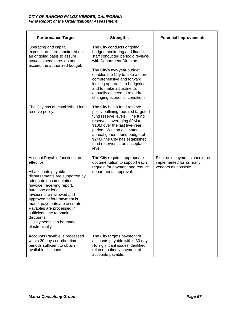| <b>Performance Target</b>                                                                                                                                                                                                                                                                                                                                                                        | <b>Strengths</b>                                                                                                                                                                                                                                                                                                                                           | <b>Potential Improvements</b>                                                    |
|--------------------------------------------------------------------------------------------------------------------------------------------------------------------------------------------------------------------------------------------------------------------------------------------------------------------------------------------------------------------------------------------------|------------------------------------------------------------------------------------------------------------------------------------------------------------------------------------------------------------------------------------------------------------------------------------------------------------------------------------------------------------|----------------------------------------------------------------------------------|
| Operating and capital<br>expenditures are monitored on<br>an ongoing basis to assure<br>actual expenditures do not<br>exceed the authorized budget.                                                                                                                                                                                                                                              | The City conducts ongoing<br>budget monitoring and financial<br>staff conducted periodic reviews<br>with Department Directors.<br>The City's two-year budget<br>enables the City to take a more<br>comprehensive and forward<br>looking approach to budgeting<br>and to make adjustments<br>annually as needed to address<br>changing economic conditions. |                                                                                  |
| The City has an established fund<br>reserve policy.                                                                                                                                                                                                                                                                                                                                              | The City has a fund reserve<br>policy outlining required targeted<br>fund reserve levels. The fund<br>reserve is averaging \$9M to<br>\$10M over the last five-year<br>period. With an estimated<br>annual general fund budget of<br>\$24M, the City has established<br>fund reserves at an acceptable<br>level.                                           |                                                                                  |
| Account Payable functions are<br>effective:<br>All accounts payable<br>disbursements are supported by<br>adequate documentation<br>(invoice, receiving report,<br>purchase order).<br>Invoices are reviewed and<br>approved before payment is<br>made; payments are accurate.<br>Payables are processed in<br>sufficient time to obtain<br>discounts.<br>Payments can be made<br>electronically. | The City requires appropriate<br>documentation to support each<br>request for payment and require<br>departmental approval.                                                                                                                                                                                                                                | Electronic payments should be<br>implemented for as many<br>vendors as possible. |
| Accounts Payable is processed<br>within 30 days or other time<br>periods sufficient to obtain<br>available discounts.                                                                                                                                                                                                                                                                            | The City targets payment of<br>accounts payable within 30 days.<br>No significant issues identified<br>related to timely payment of<br>accounts payable.                                                                                                                                                                                                   |                                                                                  |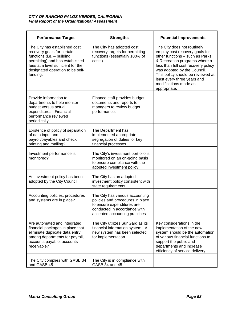| <b>Performance Target</b>                                                                                                                                                                                          | <b>Strengths</b>                                                                                                                                                    | <b>Potential Improvements</b>                                                                                                                                                                                                                                                                                        |
|--------------------------------------------------------------------------------------------------------------------------------------------------------------------------------------------------------------------|---------------------------------------------------------------------------------------------------------------------------------------------------------------------|----------------------------------------------------------------------------------------------------------------------------------------------------------------------------------------------------------------------------------------------------------------------------------------------------------------------|
| The City has established cost<br>recovery goals for certain<br>functions (i.e. - building<br>permitting) and has established<br>fees at a level sufficient for the<br>designated operation to be self-<br>funding. | The City has adopted cost<br>recovery targets for permitting<br>functions (essentially 100% of<br>costs).                                                           | The City does not routinely<br>employ cost recovery goals for<br>other functions - such as Parks<br>& Recreation programs where a<br>less than full cost recovery policy<br>was adopted by the Council.<br>This policy should be reviewed at<br>least every three years and<br>modifications made as<br>appropriate. |
| Provide information to<br>departments to help monitor<br>budget versus actual<br>expenditures. Financial<br>performance reviewed<br>periodically.                                                                  | Finance staff provides budget<br>documents and reports to<br>managers to review budget<br>performance.                                                              |                                                                                                                                                                                                                                                                                                                      |
| Existence of policy of separation<br>of data input and<br>payroll/payables and check<br>printing and mailing?                                                                                                      | The Department has<br>implemented appropriate<br>segregation of duties for key<br>financial processes.                                                              |                                                                                                                                                                                                                                                                                                                      |
| Investment performance is<br>monitored?                                                                                                                                                                            | The City's investment portfolio is<br>monitored on an on-going basis<br>to ensure compliance with the<br>adopted investment policy.                                 |                                                                                                                                                                                                                                                                                                                      |
| An investment policy has been<br>adopted by the City Council.                                                                                                                                                      | The City has an adopted<br>investment policy consistent with<br>state requirements.                                                                                 |                                                                                                                                                                                                                                                                                                                      |
| Accounting policies, procedures<br>and systems are in place?                                                                                                                                                       | The City has various accounting<br>policies and procedures in place<br>to ensure expenditures are<br>conducted in accordance with<br>accepted accounting practices. |                                                                                                                                                                                                                                                                                                                      |
| Are automated and integrated<br>financial packages in place that<br>eliminate duplicate data entry<br>among departments for payroll,<br>accounts payable, accounts<br>receivable?                                  | The City utilizes SunGard as its<br>financial information system. A<br>new system has been selected<br>for implementation.                                          | Key considerations in the<br>implementation of the new<br>system should be the automation<br>of various financial functions to<br>support the public and<br>departments and increase<br>efficiency of service delivery.                                                                                              |
| The City complies with GASB 34<br>and GASB 45.                                                                                                                                                                     | The City is in compliance with<br>GASB 34 and 45.                                                                                                                   |                                                                                                                                                                                                                                                                                                                      |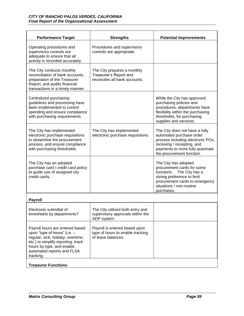| <b>Performance Target</b>                                                                                                                                                                                          | <b>Strengths</b>                                                                        | <b>Potential Improvements</b>                                                                                                                                                                  |
|--------------------------------------------------------------------------------------------------------------------------------------------------------------------------------------------------------------------|-----------------------------------------------------------------------------------------|------------------------------------------------------------------------------------------------------------------------------------------------------------------------------------------------|
| Operating procedures and<br>supervisory controls are<br>adequate to ensure that all<br>activity is recorded accurately.                                                                                            | Procedures and supervisory<br>controls are appropriate.                                 |                                                                                                                                                                                                |
| The City conducts monthly<br>reconciliation of bank accounts,<br>preparation of the Treasurer<br>Report, and audits financial<br>transactions in a timely manner.                                                  | The City prepares a monthly<br>Treasurer's Report and<br>reconciles all bank accounts.  |                                                                                                                                                                                                |
| Centralized purchasing<br>guidelines and processing have<br>been implemented to control<br>spending and ensure compliance<br>with purchasing requirements.                                                         |                                                                                         | While the City has approved<br>purchasing policies and<br>procedures, departments have<br>flexibility within the purchasing<br>thresholds, for purchasing<br>supplies and services.            |
| The City has implemented<br>electronic purchase requisitions<br>to streamline the procurement<br>process, and ensure compliance<br>with purchasing thresholds.                                                     | The City has implemented<br>electronic purchase requisitions.                           | The City does not have a fully<br>automated purchase order<br>process including electronic POs,<br>receiving / receipting, and<br>payments to more fully automate<br>the procurement function. |
| The City has an adopted<br>purchase card / credit card policy<br>to guide use of assigned city<br>credit cards.                                                                                                    |                                                                                         | The City has adopted<br>procurement cards for some<br>functions. The City has a<br>strong preference to limit<br>procurement cards to emergency<br>situations / non-routine<br>purchases.      |
| <b>Payroll</b>                                                                                                                                                                                                     |                                                                                         |                                                                                                                                                                                                |
| Electronic submittal of<br>timesheets by departments?                                                                                                                                                              | The City utilized both entry and<br>supervisory approvals within the<br>ADP system.     |                                                                                                                                                                                                |
| Payroll hours are entered based<br>upon "type of hours" (i.e. -<br>regular, sick, holiday, overtime,<br>etc.) to simplify reporting, track<br>hours by type, and enable<br>automated reports and FLSA<br>tracking. | Payroll is entered based upon<br>type of hours to enable tracking<br>of leave balances. |                                                                                                                                                                                                |
| <b>Treasurer Functions</b>                                                                                                                                                                                         |                                                                                         |                                                                                                                                                                                                |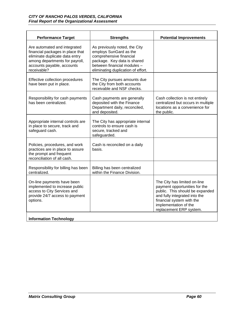| <b>Performance Target</b>                                                                                                                                                         | <b>Strengths</b>                                                                                                                                                                       | <b>Potential Improvements</b>                                                                                                                                                                                      |
|-----------------------------------------------------------------------------------------------------------------------------------------------------------------------------------|----------------------------------------------------------------------------------------------------------------------------------------------------------------------------------------|--------------------------------------------------------------------------------------------------------------------------------------------------------------------------------------------------------------------|
| Are automated and integrated<br>financial packages in place that<br>eliminate duplicate data entry<br>among departments for payroll,<br>accounts payable, accounts<br>receivable? | As previously noted, the City<br>employs SunGard as the<br>comprehensive financial<br>package. Key data is shared<br>between financial modules -<br>eliminating duplication of effort. |                                                                                                                                                                                                                    |
| Effective collection procedures<br>have been put in place.                                                                                                                        | The City pursues amounts due<br>the City from both accounts<br>receivable and NSF checks.                                                                                              |                                                                                                                                                                                                                    |
| Responsibility for cash payments<br>has been centralized.                                                                                                                         | Cash payments are generally<br>deposited with the Finance<br>Department daily, reconciled,<br>and deposited.                                                                           | Cash collection is not entirely<br>centralized but occurs in multiple<br>locations as a convenience for<br>the public.                                                                                             |
| Appropriate internal controls are<br>in place to secure, track and<br>safeguard cash.                                                                                             | The City has appropriate internal<br>controls to ensure cash is<br>secure, tracked and<br>safeguarded.                                                                                 |                                                                                                                                                                                                                    |
| Policies, procedures, and work<br>practices are in place to assure<br>the prompt and frequent<br>reconciliation of all cash.                                                      | Cash is reconciled on a daily<br>basis.                                                                                                                                                |                                                                                                                                                                                                                    |
| Responsibility for billing has been<br>centralized.                                                                                                                               | Billing has been centralized<br>within the Finance Division.                                                                                                                           |                                                                                                                                                                                                                    |
| On-line payments have been<br>implemented to increase public<br>access to City Services and<br>provide 24/7 access to payment<br>options.                                         |                                                                                                                                                                                        | The City has limited on-line<br>payment opportunities for the<br>public. This should be expanded<br>and fully integrated into the<br>financial system with the<br>implementation of the<br>replacement ERP system. |
| <b>Information Technology</b>                                                                                                                                                     |                                                                                                                                                                                        |                                                                                                                                                                                                                    |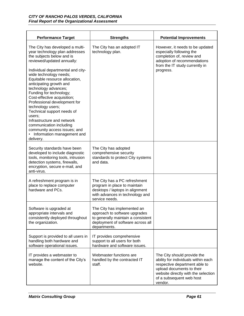| <b>Performance Target</b>                                                                                                                                                                                                                                                                                                                                                                                                                                                                                                                                                     | <b>Strengths</b>                                                                                                                                        | <b>Potential Improvements</b>                                                                                                                                                                                  |
|-------------------------------------------------------------------------------------------------------------------------------------------------------------------------------------------------------------------------------------------------------------------------------------------------------------------------------------------------------------------------------------------------------------------------------------------------------------------------------------------------------------------------------------------------------------------------------|---------------------------------------------------------------------------------------------------------------------------------------------------------|----------------------------------------------------------------------------------------------------------------------------------------------------------------------------------------------------------------|
| The City has developed a multi-<br>year technology plan addresses<br>the subjects below and is<br>reviewed/updated annually:<br>Individual departmental and city-<br>wide technology needs;<br>Equitable resource allocation,<br>anticipating growth and<br>technology advances;<br>Funding for technology;<br>Cost-effective acquisition;<br>Professional development for<br>technology users;<br>Technical support needs of<br>users;<br>Infrastructure and network<br>communication including<br>community access issues; and<br>• Information management and<br>delivery. | The City has an adopted IT<br>technology plan.                                                                                                          | However, it needs to be updated<br>especially following the<br>completion of, review and<br>adoption of recommendations<br>from the IT study currently in<br>progress.                                         |
| Security standards have been<br>developed to include diagnostic<br>tools, monitoring tools, intrusion<br>detection systems, firewalls,<br>encryption, secure e-mail, and<br>anti-virus.                                                                                                                                                                                                                                                                                                                                                                                       | The City has adopted<br>comprehensive security<br>standards to protect City systems<br>and data.                                                        |                                                                                                                                                                                                                |
| A refreshment program is in<br>place to replace computer<br>hardware and PCs.                                                                                                                                                                                                                                                                                                                                                                                                                                                                                                 | The City has a PC refreshment<br>program in place to maintain<br>desktops / laptops in alignment<br>with advances in technology and<br>service needs.   |                                                                                                                                                                                                                |
| Software is upgraded at<br>appropriate intervals and<br>consistently deployed throughout<br>the organization.                                                                                                                                                                                                                                                                                                                                                                                                                                                                 | The City has implemented an<br>approach to software upgrades<br>to generally maintain a consistent<br>deployment of software across all<br>departments. |                                                                                                                                                                                                                |
| Support is provided to all users in<br>handling both hardware and<br>software operational issues.                                                                                                                                                                                                                                                                                                                                                                                                                                                                             | IT provides comprehensive<br>support to all users for both<br>hardware and software issues.                                                             |                                                                                                                                                                                                                |
| IT provides a webmaster to<br>manage the content of the City's<br>website.                                                                                                                                                                                                                                                                                                                                                                                                                                                                                                    | Webmaster functions are<br>handled by the contracted IT<br>staff.                                                                                       | The City should provide the<br>ability for individuals within each<br>respective department able to<br>upload documents to their<br>website directly with the selection<br>of a subsequent web host<br>vendor. |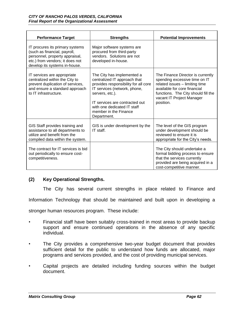| <b>Performance Target</b>                                                                                                                                             | <b>Strengths</b>                                                                                                                                                                                                                                               | <b>Potential Improvements</b>                                                                                                                                                                                         |
|-----------------------------------------------------------------------------------------------------------------------------------------------------------------------|----------------------------------------------------------------------------------------------------------------------------------------------------------------------------------------------------------------------------------------------------------------|-----------------------------------------------------------------------------------------------------------------------------------------------------------------------------------------------------------------------|
| IT procures its primary systems<br>(such as financial, payroll,<br>personnel, property appraisal,<br>etc.) from vendors; it does not<br>develop its systems in-house. | Major software systems are<br>procured from third-party<br>vendors. Solutions are not<br>developed in-house.                                                                                                                                                   |                                                                                                                                                                                                                       |
| IT services are appropriate<br>centralized within the City to<br>prevent duplication of services,<br>and ensure a standard approach<br>to IT infrastructure.          | The City has implemented a<br>centralized IT approach that<br>provides responsibility for all core<br>IT services (network, phone,<br>servers, etc.).<br>IT services are contracted out<br>with one dedicated IT staff<br>member in the Finance<br>Department. | The Finance Director is currently<br>spending excessive time on IT<br>related issues - limiting time<br>available for core financial<br>functions. The City should fill the<br>vacant IT Project Manager<br>position. |
| GIS Staff provides training and<br>assistance to all departments to<br>utilize and benefit from the<br>compiled data within the system.                               | GIS is under development by the<br>IT staff.                                                                                                                                                                                                                   | The level of the GIS program<br>under development should be<br>reviewed to ensure it is<br>appropriate for the City's needs.                                                                                          |
| The contract for IT services is bid<br>out periodically to ensure cost-<br>competitiveness.                                                                           |                                                                                                                                                                                                                                                                | The City should undertake a<br>formal bidding process to ensure<br>that the services currently<br>provided are being acquired in a<br>cost-competitive manner.                                                        |

## **(2) Key Operational Strengths.**

The City has several current strengths in place related to Finance and

Information Technology that should be maintained and built upon in developing a

stronger human resources program. These include:

- Financial staff have been suitably cross-trained in most areas to provide backup support and ensure continued operations in the absence of any specific individual.
- The City provides a comprehensive two-year budget document that provides sufficient detail for the public to understand how funds are allocated, major programs and services provided, and the cost of providing municipal services.
- Capital projects are detailed including funding sources within the budget document.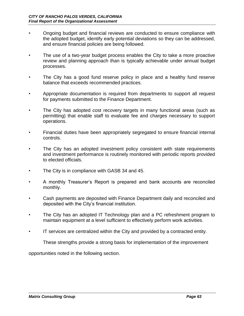- Ongoing budget and financial reviews are conducted to ensure compliance with the adopted budget, identify early potential deviations so they can be addressed, and ensure financial policies are being followed.
- The use of a two-year budget process enables the City to take a more proactive review and planning approach than is typically achievable under annual budget processes.
- The City has a good fund reserve policy in place and a healthy fund reserve balance that exceeds recommended practices.
- Appropriate documentation is required from departments to support all request for payments submitted to the Finance Department.
- The City has adopted cost recovery targets in many functional areas (such as permitting) that enable staff to evaluate fee and charges necessary to support operations.
- Financial duties have been appropriately segregated to ensure financial internal controls.
- The City has an adopted investment policy consistent with state requirements and investment performance is routinely monitored with periodic reports provided to elected officials.
- The City is in compliance with GASB 34 and 45.
- A monthly Treasurer's Report is prepared and bank accounts are reconciled monthly.
- Cash payments are deposited with Finance Department daily and reconciled and deposited with the City's financial institution.
- The City has an adopted IT Technology plan and a PC refreshment program to maintain equipment at a level sufficient to effectively perform work activities.
- IT services are centralized within the City and provided by a contracted entity.

These strengths provide a strong basis for implementation of the improvement

opportunities noted in the following section.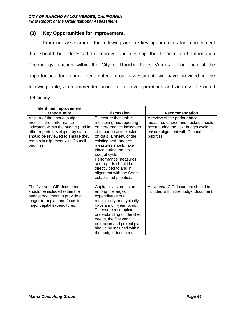#### **(3) Key Opportunities for Improvement.**

From our assessment, the following are the key opportunities for improvement that should be addressed to improve and develop the Finance and Information Technology function within the City of Rancho Palos Verdes. For each of the opportunities for improvement noted in our assessment, we have provided in the following table, a recommended action to improve operations and address the noted deficiency.

| <b>Identified Improvement</b>                                                                                                                                                                                                 |                                                                                                                                                                                                                                                                                                                                                                           |                                                                                                                                                              |
|-------------------------------------------------------------------------------------------------------------------------------------------------------------------------------------------------------------------------------|---------------------------------------------------------------------------------------------------------------------------------------------------------------------------------------------------------------------------------------------------------------------------------------------------------------------------------------------------------------------------|--------------------------------------------------------------------------------------------------------------------------------------------------------------|
| <b>Opportunity</b>                                                                                                                                                                                                            | <b>Discussion</b>                                                                                                                                                                                                                                                                                                                                                         | <b>Recommendation</b>                                                                                                                                        |
| As part of the annual budget<br>process, the performance<br>indicators within the budget (and in<br>other reports developed by staff)<br>should be reviewed to ensure they<br>remain in alignment with Council<br>priorities. | To ensure that staff is<br>monitoring and reporting<br>on performance indicators<br>of importance to elected<br>officials, a review of the<br>existing performance<br>measures should take<br>place during the next<br>budget cycle.<br>Performance measures<br>and reports should be<br>directly tied to and in<br>alignment with the Council<br>established priorities. | A review of the performance<br>measures utilized and tracked should<br>occur during the next budget cycle to<br>ensure alignment with Council<br>priorities. |
| The five-year CIP document<br>should be included within the<br>budget document to provide a<br>longer-term plan and focus for<br>major capital expenditures.                                                                  | Capital investments are<br>among the largest<br>expenditures of a<br>municipality and typically<br>have a multi-year focus.<br>To ensure a complete<br>understanding of identified<br>needs, the five year<br>projection and project plan<br>should be included within<br>the budget document.                                                                            | A five-year CIP document should be<br>included within the budget document.                                                                                   |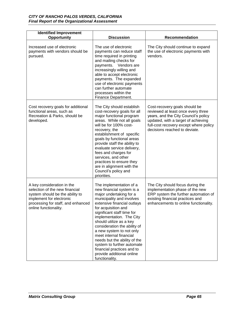| <b>Identified Improvement</b><br>Opportunity                                                                                                                                               | <b>Discussion</b>                                                                                                                                                                                                                                                                                                                                                                                                                                                                         | Recommendation                                                                                                                                                                                                                |
|--------------------------------------------------------------------------------------------------------------------------------------------------------------------------------------------|-------------------------------------------------------------------------------------------------------------------------------------------------------------------------------------------------------------------------------------------------------------------------------------------------------------------------------------------------------------------------------------------------------------------------------------------------------------------------------------------|-------------------------------------------------------------------------------------------------------------------------------------------------------------------------------------------------------------------------------|
| Increased use of electronic<br>payments with vendors should be<br>pursued.                                                                                                                 | The use of electronic<br>payments can reduce staff<br>time required in printing<br>and mailing checks for<br>payments. Vendors are<br>increasingly willing and<br>able to accept electronic<br>payments. The expanded<br>use of electronic payments<br>can further automate<br>processes within the<br>Finance Department.                                                                                                                                                                | The City should continue to expand<br>the use of electronic payments with<br>vendors.                                                                                                                                         |
| Cost recovery goals for additional<br>functional areas, such as<br>Recreation & Parks, should be<br>developed.                                                                             | The City should establish<br>cost-recovery goals for all<br>major functional program<br>areas. While not all goals<br>will be for 100% cost-<br>recovery, the<br>establishment of specific<br>goals by functional areas<br>provide staff the ability to<br>evaluate service delivery,<br>fees and charges for<br>services, and other<br>practices to ensure they<br>are in alignment with the<br>Council's policy and<br>priorities.                                                      | Cost-recovery goals should be<br>reviewed at least once every three<br>years, and the City Council's policy<br>updated, with a target of achieving<br>full-cost recovery except where policy<br>decisions reached to deviate. |
| A key consideration in the<br>selection of the new financial<br>system should be the ability to<br>implement for electronic<br>processing for staff, and enhanced<br>online functionality. | The implementation of a<br>new financial system is a<br>major undertaking for a<br>municipality and involves<br>extensive financial outlays<br>for acquisition and<br>significant staff time for<br>implementation. The City<br>should utilize as a key<br>consideration the ability of<br>a new system to not only<br>meet internal financial<br>needs but the ability of the<br>system to further automate<br>financial practices and to<br>provide additional online<br>functionality. | The City should focus during the<br>implementation phase of the new<br>ERP system the further automation of<br>existing financial practices and<br>enhancements to online functionality.                                      |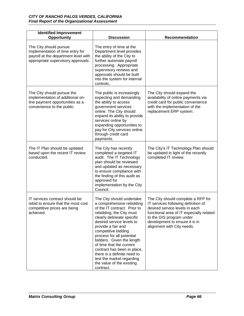| <b>Identified Improvement</b><br>Opportunity                                                                                             | <b>Discussion</b>                                                                                                                                                                                                                                                                                                                                                                                                                                     | Recommendation                                                                                                                                                                                                                                      |
|------------------------------------------------------------------------------------------------------------------------------------------|-------------------------------------------------------------------------------------------------------------------------------------------------------------------------------------------------------------------------------------------------------------------------------------------------------------------------------------------------------------------------------------------------------------------------------------------------------|-----------------------------------------------------------------------------------------------------------------------------------------------------------------------------------------------------------------------------------------------------|
| The City should pursue<br>implementation of time entry for<br>payroll at the department level with<br>appropriate supervisory approvals. | The entry of time at the<br>Department level provides<br>the ability of the City to<br>further automate payroll<br>processing. Appropriate<br>supervisory reviews and<br>approvals should be built<br>into the system for internal<br>controls.                                                                                                                                                                                                       |                                                                                                                                                                                                                                                     |
| The City should pursue the<br>implementation of additional on-<br>line payment opportunities as a<br>convenience to the public.          | The public is increasingly<br>expecting and demanding<br>the ability to access<br>government services<br>online. The City should<br>expand its ability to provide<br>services online by<br>expanding opportunities to<br>pay for City services online<br>through credit card<br>payments.                                                                                                                                                             | The City should expand the<br>availability of online payments via<br>credit card for public convenience<br>with the implementation of the<br>replacement ERP system.                                                                                |
| The IT Plan should be updated<br>based upon the recent IT review<br>conducted.                                                           | The City has recently<br>completed a targeted IT<br>audit. The IT Technology<br>plan should be reviewed<br>and updated as necessary<br>to ensure compliance with<br>the finding of this audit as<br>approved for<br>implementation by the City<br>Council.                                                                                                                                                                                            | The City's IT Technology Plan should<br>be updated in light of the recently<br>completed IT review.                                                                                                                                                 |
| IT services contract should be<br>rebid to ensure that the most cost<br>competitive prices are being<br>achieved.                        | The City should undertake<br>a comprehensive rebidding<br>of the IT contract. Prior to<br>rebidding, the City must<br>clearly delineate specific<br>desired service levels to<br>provide a fair and<br>competitive bidding<br>process for all potential<br>bidders. Given the length<br>of time that the current<br>contract has been in place,<br>there is a definite need to<br>test the market regarding<br>the value of the existing<br>contract. | The City should complete a RFP for<br>IT services following definition of<br>desired service levels in each<br>functional area of IT especially related<br>to the GIS program under<br>development to ensure it is in<br>alignment with City needs. |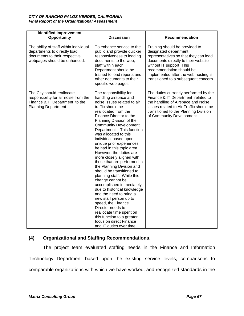| <b>Identified Improvement</b><br>Opportunity                                                                                            | <b>Discussion</b>                                                                                                                                                                                                                                                                                                                                                                                                                                                                                                                                                                                                                                                                                                                                                                                                                          | <b>Recommendation</b>                                                                                                                                                                                                                                                           |
|-----------------------------------------------------------------------------------------------------------------------------------------|--------------------------------------------------------------------------------------------------------------------------------------------------------------------------------------------------------------------------------------------------------------------------------------------------------------------------------------------------------------------------------------------------------------------------------------------------------------------------------------------------------------------------------------------------------------------------------------------------------------------------------------------------------------------------------------------------------------------------------------------------------------------------------------------------------------------------------------------|---------------------------------------------------------------------------------------------------------------------------------------------------------------------------------------------------------------------------------------------------------------------------------|
| The ability of staff within individual<br>departments to directly load<br>documents to their respective<br>webpages should be enhanced. | To enhance service to the<br>public and provide quicker<br>responsiveness to loading<br>documents to the web,<br>staff within each<br>Department should be<br>trained to load reports and<br>other documents to their<br>specific web pages.                                                                                                                                                                                                                                                                                                                                                                                                                                                                                                                                                                                               | Training should be provided to<br>designated department<br>representatives so that they can load<br>documents directly to their website<br>without IT support This<br>recommendation should be<br>implemented after the web hosting is<br>transitioned to a subsequent concern. |
| The City should reallocate<br>responsibility for air noise from the<br>Finance & IT Department to the<br>Planning Department.           | The responsibility for<br>handling airspace and<br>noise issues related to air<br>traffic should be<br>reallocated from the<br>Finance Director to the<br>Planning Division of the<br><b>Community Development</b><br>Department. This function<br>was allocated to this<br>individual based upon<br>unique prior experiences<br>he had in this topic area.<br>However, the duties are<br>more closely aligned with<br>those that are performed in<br>the Planning Division and<br>should be transitioned to<br>planning staff. While this<br>change cannot be<br>accomplished immediately<br>due to historical knowledge<br>and the need to bring a<br>new staff person up to<br>speed, the Finance<br>Director needs to<br>reallocate time spent on<br>this function to a greater<br>focus on direct Finance<br>and IT duties over time. | The duties currently performed by the<br>Finance & IT Department related to<br>the handling of Airspace and Noise<br>issues related to Air Traffic should be<br>transitioned to the Planning Division<br>of Community Development.                                              |

## **(4) Organizational and Staffing Recommendations.**

The project team evaluated staffing needs in the Finance and Information Technology Department based upon the existing service levels, comparisons to comparable organizations with which we have worked, and recognized standards in the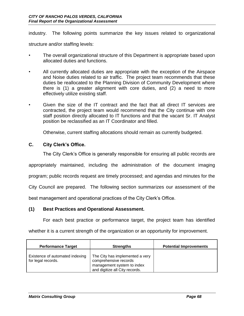industry. The following points summarize the key issues related to organizational

structure and/or staffing levels:

- The overall organizational structure of this Department is appropriate based upon allocated duties and functions.
- All currently allocated duties are appropriate with the exception of the Airspace and Noise duties related to air traffic. The project team recommends that these duties be reallocated to the Planning Division of Community Development where there is (1) a greater alignment with core duties, and (2) a need to more effectively utilize existing staff.
- Given the size of the IT contract and the fact that all direct IT services are contracted, the project team would recommend that the City continue with one staff position directly allocated to IT functions and that the vacant Sr. IT Analyst position be reclassified as an IT Coordinator and filled.

Otherwise, current staffing allocations should remain as currently budgeted.

## **C. City Clerk's Office.**

The City Clerk's Office is generally responsible for ensuring all public records are

appropriately maintained, including the administration of the document imaging

program; public records request are timely processed; and agendas and minutes for the

City Council are prepared. The following section summarizes our assessment of the

best management and operational practices of the City Clerk's Office.

#### **(1) Best Practices and Operational Assessment.**

For each best practice or performance target, the project team has identified

whether it is a current strength of the organization or an opportunity for improvement.

| <b>Performance Target</b>                             | <b>Strengths</b>                                                                                                         | <b>Potential Improvements</b> |
|-------------------------------------------------------|--------------------------------------------------------------------------------------------------------------------------|-------------------------------|
| Existence of automated indexing<br>for legal records. | The City has implemented a very<br>comprehensive records<br>management system to index<br>and digitize all City records. |                               |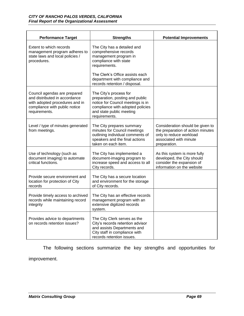| <b>Performance Target</b>                                                                                                                         | <b>Strengths</b>                                                                                                                                                                                                              | <b>Potential Improvements</b>                                                                                                              |
|---------------------------------------------------------------------------------------------------------------------------------------------------|-------------------------------------------------------------------------------------------------------------------------------------------------------------------------------------------------------------------------------|--------------------------------------------------------------------------------------------------------------------------------------------|
| Extent to which records<br>management program adheres to<br>state laws and local policies /<br>procedures.                                        | The City has a detailed and<br>comprehensive records<br>management program in<br>compliance with state<br>requirements.<br>The Clerk's Office assists each<br>department with compliance and<br>records retention / disposal. |                                                                                                                                            |
| Council agendas are prepared<br>and distributed in accordance<br>with adopted procedures and in<br>compliance with public notice<br>requirements. | The City's process for<br>preparation, posting and public<br>notice for Council meetings is in<br>compliance with adopted policies<br>and state public meeting<br>requirements.                                               |                                                                                                                                            |
| Level / type of minutes generated<br>from meetings.                                                                                               | The City prepares summary<br>minutes for Council meetings<br>outlining individual comments of<br>speakers and the final actions<br>taken on each item.                                                                        | Consideration should be given to<br>the preparation of action minutes<br>only to reduce workload<br>associated with minute<br>preparation. |
| Use of technology (such as<br>document imaging) to automate<br>critical functions.                                                                | The City has implemented a<br>document-imaging program to<br>increase speed and access to all<br>City records.                                                                                                                | As this system is more fully<br>developed, the City should<br>consider the expansion of<br>information on the website                      |
| Provide secure environment and<br>location for protection of City<br>records                                                                      | The City has a secure location<br>and environment for the storage<br>of City records.                                                                                                                                         |                                                                                                                                            |
| Provide timely access to archived<br>records while maintaining record<br>integrity                                                                | The City has an effective records<br>management program with an<br>extensive digitized records<br>system.                                                                                                                     |                                                                                                                                            |
| Provides advice to departments<br>on records retention issues?                                                                                    | The City Clerk serves as the<br>City's records retention advisor<br>and assists Departments and<br>City staff in compliance with<br>records retention issues.                                                                 |                                                                                                                                            |

The following sections summarize the key strengths and opportunities for improvement.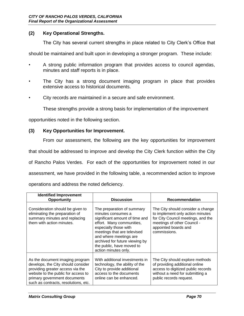#### **(2) Key Operational Strengths.**

The City has several current strengths in place related to City Clerk's Office that

should be maintained and built upon in developing a stronger program. These include:

- A strong public information program that provides access to council agendas, minutes and staff reports is in place.
- The City has a strong document imaging program in place that provides extensive access to historical documents.
- City records are maintained in a secure and safe environment.

These strengths provide a strong basis for implementation of the improvement

opportunities noted in the following section.

#### **(3) Key Opportunities for Improvement.**

From our assessment, the following are the key opportunities for improvement

that should be addressed to improve and develop the City Clerk function within the City

of Rancho Palos Verdes. For each of the opportunities for improvement noted in our

assessment, we have provided in the following table, a recommended action to improve

operations and address the noted deficiency.

| <b>Identified Improvement</b><br><b>Opportunity</b>                                                                                                                                                                      | <b>Discussion</b>                                                                                                                                                                                                                                                                        | <b>Recommendation</b>                                                                                                                                                              |
|--------------------------------------------------------------------------------------------------------------------------------------------------------------------------------------------------------------------------|------------------------------------------------------------------------------------------------------------------------------------------------------------------------------------------------------------------------------------------------------------------------------------------|------------------------------------------------------------------------------------------------------------------------------------------------------------------------------------|
| Consideration should be given to<br>eliminating the preparation of<br>summary minutes and replacing<br>them with action minutes.                                                                                         | The preparation of summary<br>minutes consumes a<br>significant amount of time and<br>effort. Many communities,<br>especially those with<br>meetings that are televised<br>and where meetings are<br>archived for future viewing by<br>the public, have moved to<br>action minutes only. | The City should consider a change<br>to implement only action minutes<br>for City Council meetings, and the<br>meetings of other Council -<br>appointed boards and<br>commissions. |
| As the document imaging program<br>develops, the City should consider<br>providing greater access via the<br>website to the public for access to<br>primary government documents<br>such as contracts, resolutions, etc. | With additional investments in<br>technology, the ability of the<br>City to provide additional<br>access to the documents<br>online can be enhanced.                                                                                                                                     | The City should explore methods<br>of providing additional online<br>access to digitized public records<br>without a need for submitting a<br>public records request.              |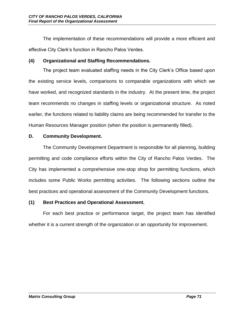The implementation of these recommendations will provide a more efficient and effective City Clerk's function in Rancho Palos Verdes.

# **(4) Organizational and Staffing Recommendations.**

The project team evaluated staffing needs in the City Clerk's Office based upon the existing service levels, comparisons to comparable organizations with which we have worked, and recognized standards in the industry. At the present time, the project team recommends no changes in staffing levels or organizational structure. As noted earlier, the functions related to liability claims are being recommended for transfer to the Human Resources Manager position (when the position is permanently filled).

# **D. Community Development.**

The Community Development Department is responsible for all planning, building permitting and code compliance efforts within the City of Rancho Palos Verdes. The City has implemented a comprehensive one-stop shop for permitting functions, which includes some Public Works permitting activities. The following sections outline the best practices and operational assessment of the Community Development functions.

# **(1) Best Practices and Operational Assessment.**

For each best practice or performance target, the project team has identified whether it is a current strength of the organization or an opportunity for improvement.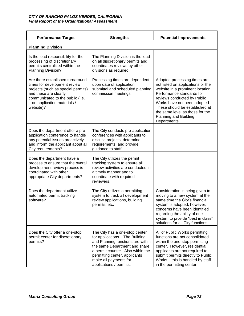| <b>Performance Target</b>                                                                                                                                                                                        | <b>Strengths</b>                                                                                                                                                                                                                                                 | <b>Potential Improvements</b>                                                                                                                                                                                                                                                                                   |
|------------------------------------------------------------------------------------------------------------------------------------------------------------------------------------------------------------------|------------------------------------------------------------------------------------------------------------------------------------------------------------------------------------------------------------------------------------------------------------------|-----------------------------------------------------------------------------------------------------------------------------------------------------------------------------------------------------------------------------------------------------------------------------------------------------------------|
| <b>Planning Division</b>                                                                                                                                                                                         |                                                                                                                                                                                                                                                                  |                                                                                                                                                                                                                                                                                                                 |
| Is the lead responsibility for the<br>processing of discretionary<br>permits centralized within the<br>Planning Division?                                                                                        | The Planning Division is the lead<br>on all discretionary permits and<br>coordinates reviews by other<br>divisions as required.                                                                                                                                  |                                                                                                                                                                                                                                                                                                                 |
| Are there established turnaround<br>times for development review<br>projects (such as special permits)<br>and these are clearly<br>communicated to the public (i.e.<br>- on application materials /<br>website)? | Processing times are dependent<br>upon date of application<br>submittal and scheduled planning<br>commission meetings.                                                                                                                                           | Adopted processing times are<br>not listed on applications or the<br>website in a prominent location.<br>Performance standards for<br>reviews conducted by Public<br>Works have not been adopted.<br>These should be established at<br>the same level as those for the<br>Planning and Building<br>Departments. |
| Does the department offer a pre-<br>application conference to handle<br>any potential issues proactively<br>and inform the applicant about all<br>City requirements?                                             | The City conducts pre-application<br>conferences with applicants to<br>discuss projects, determine<br>requirements, and provide<br>guidance to staff.                                                                                                            |                                                                                                                                                                                                                                                                                                                 |
| Does the department have a<br>process to ensure that the overall<br>development review process is<br>coordinated with other<br>appropriate City departments?                                                     | The City utilizes the permit<br>tracking system to ensure all<br>review activities are conducted in<br>a timely manner and to<br>coordinate with required<br>reviewers.                                                                                          |                                                                                                                                                                                                                                                                                                                 |
| Does the department utilize<br>automated permit tracking<br>software?                                                                                                                                            | The City utilizes a permitting<br>system to track all development<br>review applications, building<br>permits, etc.                                                                                                                                              | Consideration is being given to<br>moving to a new system at the<br>same time the City's financial<br>system is adopted; however,<br>concerns have been identified<br>regarding the ability of one<br>system to provide "best in class"<br>solutions for all City functions.                                    |
| Does the City offer a one-stop<br>permit center for discretionary<br>permits?                                                                                                                                    | The City has a one-stop center<br>for applications. The Building<br>and Planning functions are within<br>the same Department and share<br>a permit counter. Also within the<br>permitting center, applicants<br>make all payments for<br>applications / permits. | All of Public Works permitting<br>functions are not consolidated<br>within the one-stop permitting<br>center. However, residential<br>applicants are not required to<br>submit permits directly to Public<br>Works - this is handled by staff<br>in the permitting center.                                      |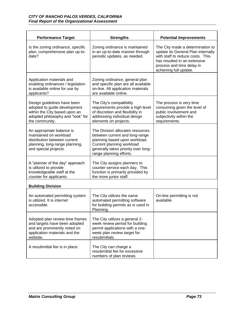| <b>Performance Target</b>                                                                                                                           | <b>Strengths</b>                                                                                                                                                                                   | <b>Potential Improvements</b>                                                                                                                                                                     |
|-----------------------------------------------------------------------------------------------------------------------------------------------------|----------------------------------------------------------------------------------------------------------------------------------------------------------------------------------------------------|---------------------------------------------------------------------------------------------------------------------------------------------------------------------------------------------------|
| Is the zoning ordinance, specific<br>plan, comprehensive plan up-to-<br>date?                                                                       | Zoning ordinance is maintained<br>in an up-to-date manner through<br>periodic updates, as needed.                                                                                                  | The City made a determination to<br>update its General Plan internally<br>with staff to reduce costs. This<br>has resulted in an extensive<br>process and time delay in<br>achieving full update. |
| Application materials and<br>enabling ordinances / legislation<br>is available online for use by<br>applicants?                                     | Zoning ordinance, general plan<br>and specific plan are all available<br>on-line. All application materials<br>are available online.                                                               |                                                                                                                                                                                                   |
| Design guidelines have been<br>adopted to guide development<br>within the City based upon an<br>adopted philosophy and "look" for<br>the community. | The City's compatibility<br>requirements provide a high level<br>of discretion and flexibility in<br>addressing individual design<br>elements on projects.                                         | The process is very time<br>consuming given the level of<br>public involvement and<br>subjectivity within the<br>requirements.                                                                    |
| An appropriate balance is<br>maintained on workload<br>distribution between current<br>planning, long-range planning,<br>and special projects.      | The Division allocates resources<br>between current and long-range<br>planning based upon workload.<br>Current planning workload<br>generally takes priority over long-<br>range planning efforts. |                                                                                                                                                                                                   |
| A "planner of the day" approach<br>is utilized to provide<br>knowledgeable staff at the<br>counter for applicants.                                  | The City assigns planners to<br>counter service each day. This<br>function is primarily provided by<br>the more junior staff.                                                                      |                                                                                                                                                                                                   |
| <b>Building Division</b>                                                                                                                            |                                                                                                                                                                                                    |                                                                                                                                                                                                   |
| An automated permitting system<br>is utilized. It is internet<br>accessible.                                                                        | The City utilizes the same<br>automated permitting software<br>for building permits as is used in<br>Planning.                                                                                     | On-line permitting is not<br>available.                                                                                                                                                           |
| Adopted plan review time frames<br>and targets have been adopted<br>and are prominently noted on<br>application materials and the<br>website.       | The City utilizes a general 2-<br>week review period for building<br>permit applications with a one-<br>week plan review target for<br>resubmittals.                                               |                                                                                                                                                                                                   |
| A resubmittal fee is in place.                                                                                                                      | The City can charge a<br>resubmittal fee for excessive<br>numbers of plan reviews.                                                                                                                 |                                                                                                                                                                                                   |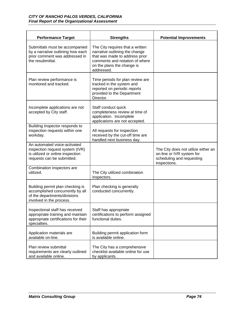| <b>Performance Target</b>                                                                                                         | <b>Strengths</b>                                                                                                                                                                   | <b>Potential Improvements</b>                                                                                 |
|-----------------------------------------------------------------------------------------------------------------------------------|------------------------------------------------------------------------------------------------------------------------------------------------------------------------------------|---------------------------------------------------------------------------------------------------------------|
| Submittals must be accompanied<br>by a narrative outlining how each<br>prior comment was addressed in<br>the resubmittal.         | The City requires that a written<br>narrative outlining the change<br>that was made to address prior<br>comments and notation of where<br>on the plans the change is<br>addressed. |                                                                                                               |
| Plan review performance is<br>monitored and tracked.                                                                              | Time periods for plan review are<br>tracked in the system and<br>reported on periodic reports<br>provided to the Department<br>Director.                                           |                                                                                                               |
| Incomplete applications are not<br>accepted by City staff.                                                                        | Staff conduct quick<br>completeness review at time of<br>application. Incomplete<br>applications are not accepted.                                                                 |                                                                                                               |
| Building Inspector responds to<br>inspection requests within one<br>workday.                                                      | All requests for inspection<br>received by the cut-off time are<br>handled next business day.                                                                                      |                                                                                                               |
| An automated voice-activated<br>inspection request system (IVR)<br>is utilized or online inspection<br>requests can be submitted. |                                                                                                                                                                                    | The City does not utilize either an<br>on-line or IVR system for<br>scheduling and requesting<br>inspections. |
| Combination inspectors are<br>utilized.                                                                                           | The City utilized combination<br>inspectors.                                                                                                                                       |                                                                                                               |
| Building permit plan checking is<br>accomplished concurrently by all<br>of the departments/divisions<br>involved in the process.  | Plan checking is generally<br>conducted concurrently.                                                                                                                              |                                                                                                               |
| Inspectional staff has received<br>appropriate training and maintain<br>appropriate certifications for their<br>specialties.      | Staff has appropriate<br>certifications to perform assigned<br>functional duties.                                                                                                  |                                                                                                               |
| Application materials are<br>available on-line.                                                                                   | Building permit application form<br>is available online.                                                                                                                           |                                                                                                               |
| Plan review submittal<br>requirements are clearly outlined<br>and available online.                                               | The City has a comprehensive<br>checklist available online for use<br>by applicants.                                                                                               |                                                                                                               |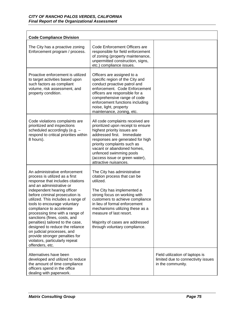| <b>Code Compliance Division</b>                                                                                                                                                                                                                                                                                                                                                                                                                                                                                                                                   |                                                                                                                                                                                                                                                                                                                                              |                                                                                            |
|-------------------------------------------------------------------------------------------------------------------------------------------------------------------------------------------------------------------------------------------------------------------------------------------------------------------------------------------------------------------------------------------------------------------------------------------------------------------------------------------------------------------------------------------------------------------|----------------------------------------------------------------------------------------------------------------------------------------------------------------------------------------------------------------------------------------------------------------------------------------------------------------------------------------------|--------------------------------------------------------------------------------------------|
| The City has a proactive zoning<br>Enforcement program / process.                                                                                                                                                                                                                                                                                                                                                                                                                                                                                                 | Code Enforcement Officers are<br>responsible for field enforcement<br>of zoning (property maintenance,<br>unpermitted construction, signs,<br>etc.) compliance issues.                                                                                                                                                                       |                                                                                            |
| Proactive enforcement is utilized<br>to target activities based upon<br>such factors as compliant<br>volume, risk assessment, and<br>property condition.                                                                                                                                                                                                                                                                                                                                                                                                          | Officers are assigned to a<br>specific region of the City and<br>conduct proactive patrol and<br>enforcement. Code Enforcement<br>officers are responsible for a<br>comprehensive range of code<br>enforcement functions including<br>noise, light, property<br>maintenance, zoning, etc.                                                    |                                                                                            |
| Code violations complaints are<br>prioritized and inspections<br>scheduled accordingly (e.g. -<br>respond to critical priorities within<br>8 hours).                                                                                                                                                                                                                                                                                                                                                                                                              | All code complaints received are<br>prioritized upon receipt to ensure<br>highest priority issues are<br>addressed first. Immediate<br>responses are generated for high<br>priority complaints such as<br>vacant or abandoned homes,<br>unfenced swimming pools<br>(access issue or green water),<br>attractive nuisances.                   |                                                                                            |
| An administrative enforcement<br>process is utilized as a first<br>response that includes citations<br>and an administrative or<br>independent hearing officer<br>before criminal prosecution is<br>utilized. This includes a range of<br>tools to encourage voluntary<br>compliance to accelerate<br>processing time with a range of<br>sanctions (fines, costs, and<br>penalties) tailored to the case,<br>designed to reduce the reliance<br>on judicial processes, and<br>provide stronger penalties for<br>violators, particularly repeat<br>offenders, etc. | The City has administrative<br>citation process that can be<br>utilized.<br>The City has implemented a<br>strong focus on working with<br>customers to achieve compliance<br>in lieu of formal enforcement<br>mechanisms utilizing these as a<br>measure of last resort.<br>Majority of cases are addressed<br>through voluntary compliance. |                                                                                            |
| Alternatives have been<br>developed and utilized to reduce<br>the amount of time compliance<br>officers spend in the office<br>dealing with paperwork.                                                                                                                                                                                                                                                                                                                                                                                                            |                                                                                                                                                                                                                                                                                                                                              | Field utilization of laptops is<br>limited due to connectivity issues<br>in the community. |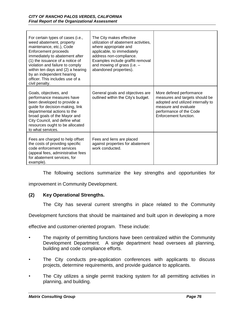| For certain types of cases (i.e.,<br>weed abatement, property<br>maintenance, etc.), Code<br>Enforcement proceeds<br>immediately to abatement after<br>(1) the issuance of a notice of<br>violation and failure to comply<br>within ten days and (2) a hearing<br>by an independent hearing<br>officer. This includes use of a<br>civil penalty. | The City makes effective<br>utilization of abatement activities,<br>where appropriate and<br>applicable, to immediately<br>address non-compliance.<br>Examples include graffiti removal<br>and mowing of grass (i.e. -<br>abandoned properties). |                                                                                                                                                                              |
|--------------------------------------------------------------------------------------------------------------------------------------------------------------------------------------------------------------------------------------------------------------------------------------------------------------------------------------------------|--------------------------------------------------------------------------------------------------------------------------------------------------------------------------------------------------------------------------------------------------|------------------------------------------------------------------------------------------------------------------------------------------------------------------------------|
| Goals, objectives, and<br>performance measures have<br>been developed to provide a<br>guide for decision-making, link<br>departmental actions to the<br>broad goals of the Mayor and<br>City Council, and define what<br>resources ought to be allocated<br>to what services.                                                                    | General goals and objectives are<br>outlined within the City's budget.                                                                                                                                                                           | More defined performance<br>measures and targets should be<br>adopted and utilized internally to<br>measure and evaluate<br>performance of the Code<br>Enforcement function. |
| Fees are charged to help offset<br>the costs of providing specific<br>code enforcement services<br>(appeal fees, administrative fees<br>for abatement services, for<br>example).                                                                                                                                                                 | Fees and liens are placed<br>against properties for abatement<br>work conducted.                                                                                                                                                                 |                                                                                                                                                                              |

The following sections summarize the key strengths and opportunities for

improvement in Community Development.

## **(2) Key Operational Strengths.**

The City has several current strengths in place related to the Community

Development functions that should be maintained and built upon in developing a more

effective and customer-oriented program. These include:

- The majority of permitting functions have been centralized within the Community Development Department. A single department head oversees all planning, building and code compliance efforts.
- The City conducts pre-application conferences with applicants to discuss projects, determine requirements, and provide guidance to applicants.
- The City utilizes a single permit tracking system for all permitting activities in planning, and building.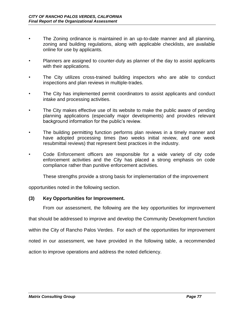- The Zoning ordinance is maintained in an up-to-date manner and all planning, zoning and building regulations, along with applicable checklists, are available online for use by applicants.
- Planners are assigned to counter-duty as planner of the day to assist applicants with their applications.
- The City utilizes cross-trained building inspectors who are able to conduct inspections and plan reviews in multiple-trades.
- The City has implemented permit coordinators to assist applicants and conduct intake and processing activities.
- The City makes effective use of its website to make the public aware of pending planning applications (especially major developments) and provides relevant background information for the public's review.
- The building permitting function performs plan reviews in a timely manner and have adopted processing times (two weeks initial review, and one week resubmittal reviews) that represent best practices in the industry.
- Code Enforcement officers are responsible for a wide variety of city code enforcement activities and the City has placed a strong emphasis on code compliance rather than punitive enforcement activities.

These strengths provide a strong basis for implementation of the improvement

opportunities noted in the following section.

## **(3) Key Opportunities for Improvement.**

From our assessment, the following are the key opportunities for improvement

that should be addressed to improve and develop the Community Development function

within the City of Rancho Palos Verdes. For each of the opportunities for improvement

noted in our assessment, we have provided in the following table, a recommended

action to improve operations and address the noted deficiency.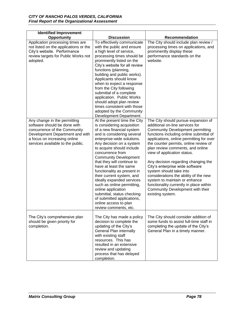| <b>Identified Improvement</b>                                                                                                                                                                        |                                                                                                                                                                                                                                                                                                                                                                                                                                                                                                                                                                                     |                                                                                                                                                                                                                                                                                                                                                                                                                                                                                                                                                                                                        |
|------------------------------------------------------------------------------------------------------------------------------------------------------------------------------------------------------|-------------------------------------------------------------------------------------------------------------------------------------------------------------------------------------------------------------------------------------------------------------------------------------------------------------------------------------------------------------------------------------------------------------------------------------------------------------------------------------------------------------------------------------------------------------------------------------|--------------------------------------------------------------------------------------------------------------------------------------------------------------------------------------------------------------------------------------------------------------------------------------------------------------------------------------------------------------------------------------------------------------------------------------------------------------------------------------------------------------------------------------------------------------------------------------------------------|
| Opportunity                                                                                                                                                                                          | <b>Discussion</b>                                                                                                                                                                                                                                                                                                                                                                                                                                                                                                                                                                   | Recommendation                                                                                                                                                                                                                                                                                                                                                                                                                                                                                                                                                                                         |
| Application processing times are<br>not listed on the applications or the<br>City's website. Performance<br>review targets for Public Works not<br>adopted.                                          | To effectively communicate<br>with the public and ensure<br>a high level of service,<br>processing times should be<br>prominently listed on the<br>City's website for all review<br>functions (planning,<br>building and public works).<br>Applicants should know<br>when to expect a response<br>from the City following<br>submittal of a complete<br>application. Public Works<br>should adopt plan review<br>times consistent with those<br>adopted by the Community<br>Development Department.                                                                                 | The City should include plan review /<br>processing times on applications, and<br>prominently display these<br>performance standards on the<br>website.                                                                                                                                                                                                                                                                                                                                                                                                                                                |
| Any change in the permitting<br>software should be done with<br>concurrence of the Community<br>Development Department and with<br>a focus on increasing online<br>services available to the public. | At the present time the City<br>is considering acquisition<br>of a new financial system<br>and is considering several<br>enterprise-wide solutions.<br>Any decision on a system<br>to acquire should include<br>concurrence from<br><b>Community Development</b><br>that they will continue to<br>have at least the same<br>functionality as present in<br>their current system, and<br>ideally expanded services<br>such as online permitting,<br>online application<br>submittal, status checking<br>of submitted applications,<br>online access to plan<br>review comments, etc. | The City should pursue expansion of<br>additional on-line services for<br><b>Community Development permitting</b><br>functions including online submittal of<br>applications, online permitting for over<br>the counter permits, online review of<br>plan review comments, and online<br>view of application status.<br>Any decision regarding changing the<br>City's enterprise wide software<br>system should take into<br>considerations the ability of the new<br>system to maintain or enhance<br>functionality currently in place within<br>Community Development with their<br>existing system. |
| The City's comprehensive plan<br>should be given priority for<br>completion.                                                                                                                         | The City has made a policy<br>decision to complete the<br>updating of the City's<br>General Plan internally<br>with existing staff<br>resources. This has<br>resulted in an extensive<br>review and updating<br>process that has delayed<br>completion.                                                                                                                                                                                                                                                                                                                             | The City should consider addition of<br>some funds to assist full-time staff in<br>completing the update of the City's<br>General Plan in a timely manner.                                                                                                                                                                                                                                                                                                                                                                                                                                             |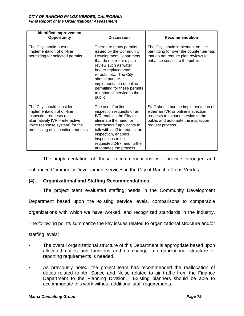| <b>Identified Improvement</b><br><b>Opportunity</b>                                                                                                                                         | <b>Discussion</b>                                                                                                                                                                                                                                                                                             | Recommendation                                                                                                                                                             |
|---------------------------------------------------------------------------------------------------------------------------------------------------------------------------------------------|---------------------------------------------------------------------------------------------------------------------------------------------------------------------------------------------------------------------------------------------------------------------------------------------------------------|----------------------------------------------------------------------------------------------------------------------------------------------------------------------------|
| The City should pursue<br>implementation of on-line<br>permitting for selected permits.                                                                                                     | There are many permits<br>issued by the Community<br><b>Development Department</b><br>that do not require plan<br>review such as water<br>heater replacements,<br>reroofs, etc. The City<br>should pursue<br>implementation of online<br>permitting for these permits<br>to enhance service to the<br>public. | The City should implement on-line<br>permitting for over the counter permits<br>that do not require plan reviews to<br>enhance service to the public.                      |
| The City should consider<br>implementation of on-line<br>inspection requests (or<br>alternatively IVR - interactive<br>voice response system) for the<br>processing of inspection requests. | The use of online<br>inspection requests or an<br>IVR enables the City to<br>eliminate the need for<br>contractors / applicants to<br>talk with staff to request an<br>inspection, enables<br>inspections to be<br>requested 24/7, and further<br>automates the process.                                      | Staff should pursue implementation of<br>either an IVR or online inspection<br>requests to expand service to the<br>public and automate the inspection<br>request process. |

The implementation of these recommendations will provide stronger and enhanced Community Development services in the City of Rancho Palos Verdes.

## **(4) Organizational and Staffing Recommendations.**

The project team evaluated staffing needs in the Community Development

Department based upon the existing service levels, comparisons to comparable

organizations with which we have worked, and recognized standards in the industry.

The following points summarize the key issues related to organizational structure and/or

staffing levels:

- The overall organizational structure of this Department is appropriate based upon allocated duties and functions and no change in organizational structure or reporting requirements is needed.
- As previously noted, the project team has recommended the reallocation of duties related to Air, Space and Noise related to air traffic from the Finance Department to the Planning Division. Existing planners should be able to accommodate this work without additional staff requirements.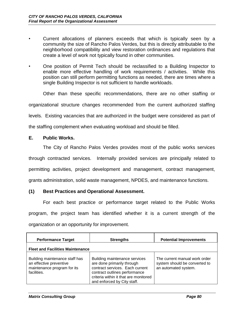- Current allocations of planners exceeds that which is typically seen by a community the size of Rancho Palos Verdes, but this is directly attributable to the neighborhood compatibility and view restoration ordinances and regulations that create a level of work not typically found in other communities.
- One position of Permit Tech should be reclassified to a Building Inspector to enable more effective handling of work requirements / activities. While this position can still perform permitting functions as needed, there are times where a single Building Inspector is not sufficient to handle workloads.

Other than these specific recommendations, there are no other staffing or organizational structure changes recommended from the current authorized staffing levels. Existing vacancies that are authorized in the budget were considered as part of the staffing complement when evaluating workload and should be filled.

## **E. Public Works.**

The City of Rancho Palos Verdes provides most of the public works services through contracted services. Internally provided services are principally related to permitting activities, project development and management, contract management, grants administration, solid waste management, NPDES, and maintenance functions.

## **(1) Best Practices and Operational Assessment.**

For each best practice or performance target related to the Public Works program, the project team has identified whether it is a current strength of the organization or an opportunity for improvement.

| <b>Performance Target</b>                                                                               | <b>Strengths</b>                                                                                                                                                                                        | <b>Potential Improvements</b>                                                          |
|---------------------------------------------------------------------------------------------------------|---------------------------------------------------------------------------------------------------------------------------------------------------------------------------------------------------------|----------------------------------------------------------------------------------------|
| <b>Fleet and Facilities Maintenance</b>                                                                 |                                                                                                                                                                                                         |                                                                                        |
| Building maintenance staff has<br>an effective preventive<br>maintenance program for its<br>facilities. | Building maintenance services<br>are done primarily through<br>contract services. Each current<br>contract outlines performance<br>criteria within it that are monitored<br>and enforced by City staff. | The current manual work order<br>system should be converted to<br>an automated system. |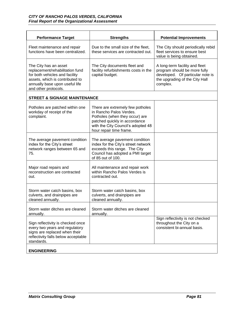| <b>Performance Target</b>                                                                                                                                                               | <b>Strengths</b>                                                                                                                                                                                | <b>Potential Improvements</b>                                                                                                                    |
|-----------------------------------------------------------------------------------------------------------------------------------------------------------------------------------------|-------------------------------------------------------------------------------------------------------------------------------------------------------------------------------------------------|--------------------------------------------------------------------------------------------------------------------------------------------------|
| Fleet maintenance and repair<br>functions have been centralized.                                                                                                                        | Due to the small size of the fleet,<br>these services are contracted out.                                                                                                                       | The City should periodically rebid<br>fleet services to ensure best<br>value is being obtained.                                                  |
| The City has an asset<br>replacement/rehabilitation fund<br>for both vehicles and facility<br>assets, which is contributed to<br>annually base upon useful life<br>and other protocols. | The City documents fleet and<br>facility refurbishments costs in the<br>capital budget.                                                                                                         | A long-term facility and fleet<br>program should be more fully<br>developed. Of particular note is<br>the upgrading of the City Hall<br>complex. |
| <b>STREET &amp; SIGNAGE MAINTENANCE</b>                                                                                                                                                 |                                                                                                                                                                                                 |                                                                                                                                                  |
| Potholes are patched within one<br>workday of receipt of the<br>complaint.                                                                                                              | There are extremely few potholes<br>in Rancho Palos Verdes.<br>Potholes (when they occur) are<br>patched quickly in accordance<br>with the City Council's adopted 48<br>hour repair time frame. |                                                                                                                                                  |
| The average pavement condition<br>index for the City's street<br>network ranges between 65 and<br>75.                                                                                   | The average pavement condition<br>index for the City's street network<br>exceeds this range. The City<br>Council has adopted a PMI target<br>of 85 out of 100.                                  |                                                                                                                                                  |
| Major road repairs and<br>reconstruction are contracted<br>out.                                                                                                                         | All maintenance and repair work<br>within Rancho Palos Verdes is<br>contracted out.                                                                                                             |                                                                                                                                                  |
| Storm water catch basins, box<br>culverts, and drainpipes are<br>cleaned annually.                                                                                                      | Storm water catch basins, box<br>culverts, and drainpipes are<br>cleaned annually.                                                                                                              |                                                                                                                                                  |
| Storm water ditches are cleaned.<br>annually.                                                                                                                                           | Storm water ditches are cleaned<br>annually.                                                                                                                                                    |                                                                                                                                                  |
| Sign reflectivity is checked once<br>every two years and regulatory<br>signs are replaced when their<br>reflectivity falls below acceptable<br>standards.                               |                                                                                                                                                                                                 | Sign reflectivity is not checked<br>throughout the City on a<br>consistent bi-annual basis.                                                      |
| <b>ENGINEERING</b>                                                                                                                                                                      |                                                                                                                                                                                                 |                                                                                                                                                  |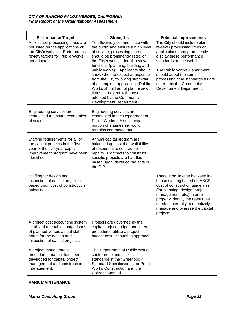| <b>Performance Target</b>                                                                                                                                              | <b>Strengths</b>                                                                                                                                                                                                                                                                                                                                                                                                                                                                           | <b>Potential Improvements</b>                                                                                                                                                                                                                                                                               |
|------------------------------------------------------------------------------------------------------------------------------------------------------------------------|--------------------------------------------------------------------------------------------------------------------------------------------------------------------------------------------------------------------------------------------------------------------------------------------------------------------------------------------------------------------------------------------------------------------------------------------------------------------------------------------|-------------------------------------------------------------------------------------------------------------------------------------------------------------------------------------------------------------------------------------------------------------------------------------------------------------|
| Application processing times are<br>not listed on the applications or<br>the City's website. Performance<br>review targets for Public Works<br>not adopted.            | To effectively communicate with<br>the public and ensure a high level<br>of service, processing times<br>should be prominently listed on<br>the City's website for all review<br>functions (planning, building and<br>public works). Applicants should<br>know when to expect a response<br>from the City following submittal<br>of a complete application. Public<br>Works should adopt plan review<br>times consistent with those<br>adopted by the Community<br>Development Department. | The City should include plan<br>review / processing times on<br>applications, and prominently<br>display these performance<br>standards on the website.<br>The Public Works Department<br>should adopt the same<br>processing time standards as are<br>utilized by the Community<br>Development Department. |
| Engineering services are<br>centralized to ensure economies<br>of scale.                                                                                               | Engineering services are<br>centralized in the Department of<br>Public Works. A substantial<br>portion of engineering work<br>remains contracted out.                                                                                                                                                                                                                                                                                                                                      |                                                                                                                                                                                                                                                                                                             |
| Staffing requirements for all of<br>the capital projects in the first<br>year of the five-year capital<br>improvement program have been<br>identified.                 | Annual capital program are<br>balanced against the availability<br>of resources to contract for<br>repairs. Contracts to construct<br>specific projects are handled<br>based upon identified projects in<br>the CIP.                                                                                                                                                                                                                                                                       |                                                                                                                                                                                                                                                                                                             |
| Staffing for design and<br>inspection of capital projects is<br>based upon cost of construction<br>guidelines.                                                         |                                                                                                                                                                                                                                                                                                                                                                                                                                                                                            | There is no linkage between in-<br>house staffing based on ASCE<br>cost of construction guidelines<br>(for planning, design, project<br>management, etc.) in order to<br>properly identify the resources<br>needed internally to effectively<br>manage and oversee the capital<br>projects.                 |
| A project cost accounting system<br>is utilized to enable comparisons<br>of planned versus actual staff<br>hours for the design and<br>inspection of capital projects. | Projects are governed by the<br>capital project budget and internal<br>procedures utilize a project<br>budget cost accounting approach.                                                                                                                                                                                                                                                                                                                                                    |                                                                                                                                                                                                                                                                                                             |
| A project management<br>procedures manual has been<br>developed for capital project<br>management and construction<br>management.                                      | The Department of Public Works<br>conforms to and utilizes<br>standards in the "Greenbook"<br><b>Standard Specifications for Public</b><br>Works Construction and the<br>Caltrans Manual.                                                                                                                                                                                                                                                                                                  |                                                                                                                                                                                                                                                                                                             |
| <b>PARK MAINTENANCE</b>                                                                                                                                                |                                                                                                                                                                                                                                                                                                                                                                                                                                                                                            |                                                                                                                                                                                                                                                                                                             |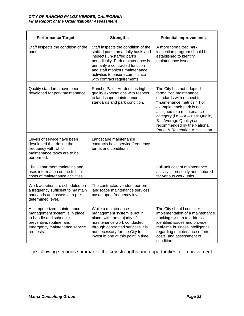| <b>Performance Target</b>                                                                                                                                       | <b>Strengths</b>                                                                                                                                                                                                                                                                   | <b>Potential Improvements</b>                                                                                                                                                                                                                                                                              |
|-----------------------------------------------------------------------------------------------------------------------------------------------------------------|------------------------------------------------------------------------------------------------------------------------------------------------------------------------------------------------------------------------------------------------------------------------------------|------------------------------------------------------------------------------------------------------------------------------------------------------------------------------------------------------------------------------------------------------------------------------------------------------------|
| Staff inspects the condition of the<br>parks.                                                                                                                   | Staff inspects the condition of the<br>staffed parks on a daily basis and<br>inspects un-staffed parks<br>periodically. Park maintenance is<br>primarily a contracted function<br>and staff monitors maintenance<br>activities to ensure compliance<br>with contract requirements. | A more formalized park<br>inspection program should be<br>established to identify<br>maintenance issues.                                                                                                                                                                                                   |
| Quality standards have been<br>developed for park maintenance.                                                                                                  | Rancho Palos Verdes has high<br>quality expectations with respect<br>to landscape maintenance<br>standards and park condition.                                                                                                                                                     | The City has not adopted<br>formalized maintenance<br>standards with respect to<br>"maintenance metrics." For<br>example, each park is not<br>assigned to a maintenance<br>category (i.e. - A - Best Quality;<br>B - Average Quality) as<br>recommended by the National<br>Parks & Recreation Association. |
| Levels of service have been<br>developed that define the<br>frequency with which<br>maintenance tasks are to be<br>performed.                                   | Landscape maintenance<br>contracts have service frequency<br>terms and conditions.                                                                                                                                                                                                 |                                                                                                                                                                                                                                                                                                            |
| The Department maintains and<br>uses information on the full unit<br>costs of maintenance activities.                                                           |                                                                                                                                                                                                                                                                                    | Full unit cost of maintenance<br>activity is presently not captured<br>for various work units.                                                                                                                                                                                                             |
| Work activities are scheduled on<br>a frequency sufficient to maintain<br>parklands and assets at a pre-<br>determined level.                                   | The contracted vendors perform<br>landscape maintenance services<br>based upon frequency levels.                                                                                                                                                                                   |                                                                                                                                                                                                                                                                                                            |
| A computerized maintenance<br>management system is in place<br>to handle and schedule<br>preventive, routine, and<br>emergency maintenance service<br>requests. | While a maintenance<br>management system is not in<br>place, with the majority of<br>maintenance work conducted<br>through contracted services it is<br>not necessary for the City to<br>invest in one at this point in time.                                                      | The City should consider<br>implementation of a maintenance<br>tracking system to address<br>identified issues and provide<br>real-time business intelligence<br>regarding maintenance efforts,<br>costs, and assessment of<br>condition.                                                                  |

The following sections summarize the key strengths and opportunities for improvement.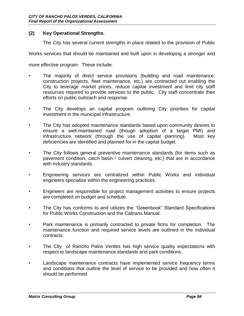## **(2) Key Operational Strengths.**

The City has several current strengths in place related to the provision of Public

Works services that should be maintained and built upon in developing a stronger and

more effective program. These include:

- The majority of direct service provisions (building and road maintenance, construction projects, fleet maintenance, etc.) are contracted out enabling the City to leverage market prices, reduce capital investment and limit city staff resources required to provide services to the public. City staff concentrate their efforts on public outreach and response.
- The City develops an capital program outlining City priorities for capital investment in the municipal infrastructure.
- The City has adopted maintenance standards based upon community desires to ensure a well-maintained road (though adoption of a target PMI) and infrastructure network (through the use of capital planning). Most key deficiencies are identified and planned for in the capital budget.
- The City follows general preventive maintenance standards (for items such as pavement condition, catch basin / culvert cleaning, etc.) that are in accordance with industry standards.
- Engineering services are centralized within Public Works and individual engineers specialize within the engineering practices.
- Engineers are responsible for project management activities to ensure projects are completed on budget and schedule.
- The City has conforms to and utilizes the "Greenbook" Standard Specifications for Public Works Construction and the Caltrans Manual.
- Park maintenance is primarily contracted to private firms for completion. The maintenance function and required service levels are outlined in the individual contracts.
- The City of Rancho Palos Verdes has high service quality expectations with respect to landscape maintenance standards and park conditions.
- Landscape maintenance contracts have implemented service frequency terms and conditions that outline the level of service to be provided and how often it should be performed.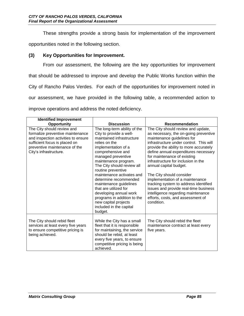These strengths provide a strong basis for implementation of the improvement

opportunities noted in the following section.

## **(3) Key Opportunities for Improvement.**

From our assessment, the following are the key opportunities for improvement that should be addressed to improve and develop the Public Works function within the City of Rancho Palos Verdes. For each of the opportunities for improvement noted in our assessment, we have provided in the following table, a recommended action to improve operations and address the noted deficiency.

| <b>Identified Improvement</b>                                                                                                                                                                     |                                                                                                                                                                                                                                                                                                                                                                                                                                                                                     |                                                                                                                                                                                                                                                                                                                                                                                                                                                                                                                                                                                  |
|---------------------------------------------------------------------------------------------------------------------------------------------------------------------------------------------------|-------------------------------------------------------------------------------------------------------------------------------------------------------------------------------------------------------------------------------------------------------------------------------------------------------------------------------------------------------------------------------------------------------------------------------------------------------------------------------------|----------------------------------------------------------------------------------------------------------------------------------------------------------------------------------------------------------------------------------------------------------------------------------------------------------------------------------------------------------------------------------------------------------------------------------------------------------------------------------------------------------------------------------------------------------------------------------|
| Opportunity                                                                                                                                                                                       | <b>Discussion</b>                                                                                                                                                                                                                                                                                                                                                                                                                                                                   | Recommendation                                                                                                                                                                                                                                                                                                                                                                                                                                                                                                                                                                   |
| The City should review and<br>formalize preventive maintenance<br>and inspection activities to ensure<br>sufficient focus is placed on<br>preventive maintenance of the<br>City's infrastructure. | The long-term ability of the<br>City to provide a well-<br>maintained infrastructure<br>relies on the<br>implementation of a<br>comprehensive and<br>managed preventive<br>maintenance program.<br>The City should review all<br>routine preventive<br>maintenance activates and<br>determine recommended<br>maintenance guidelines<br>that are utilized for<br>developing annual work<br>programs in addition to the<br>new capital projects<br>included in the capital<br>budget. | The City should review and update,<br>as necessary, the on-going preventive<br>maintenance guidelines for<br>infrastructure under control. This will<br>provide the ability to more accurately<br>define annual expenditures necessary<br>for maintenance of existing<br>infrastructure for inclusion in the<br>annual capital budget.<br>The City should consider<br>implementation of a maintenance<br>tracking system to address identified<br>issues and provide real-time business<br>intelligence regarding maintenance<br>efforts, costs, and assessment of<br>condition. |
| The City should rebid fleet<br>services at least every five years<br>to ensure competitive pricing is<br>being achieved.                                                                          | While the City has a small<br>fleet that it is responsible<br>for maintaining, the service<br>should be rebid, at least<br>every five years, to ensure<br>competitive pricing is being<br>achieved.                                                                                                                                                                                                                                                                                 | The City should rebid the fleet<br>maintenance contract at least every<br>five years.                                                                                                                                                                                                                                                                                                                                                                                                                                                                                            |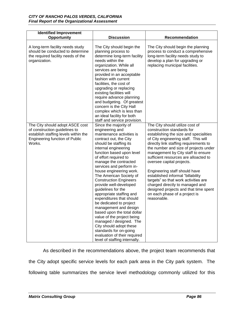| <b>Identified Improvement</b><br>Opportunity                                                                                                                | <b>Discussion</b>                                                                                                                                                                                                                                                                                                                                                                                                                                                                                                                                                                                                                                                                                                             | Recommendation                                                                                                                                                                                                                                                                                                                                                                                                                                                                                                                                                                           |
|-------------------------------------------------------------------------------------------------------------------------------------------------------------|-------------------------------------------------------------------------------------------------------------------------------------------------------------------------------------------------------------------------------------------------------------------------------------------------------------------------------------------------------------------------------------------------------------------------------------------------------------------------------------------------------------------------------------------------------------------------------------------------------------------------------------------------------------------------------------------------------------------------------|------------------------------------------------------------------------------------------------------------------------------------------------------------------------------------------------------------------------------------------------------------------------------------------------------------------------------------------------------------------------------------------------------------------------------------------------------------------------------------------------------------------------------------------------------------------------------------------|
| A long-term facility needs study<br>should be conducted to determine<br>the required facility needs of the<br>organization.                                 | The City should begin the<br>planning process to<br>determine long-term facility<br>needs within the<br>organization. While all<br>services are being<br>provided in an acceptable<br>fashion with current<br>facilities, the cost of<br>upgrading or replacing<br>existing facilities will<br>require advance planning<br>and budgeting. Of greatest<br>concern is the City Hall<br>complex which is less than<br>an ideal facility for both<br>staff and service provision.                                                                                                                                                                                                                                                 | The City should begin the planning<br>process to conduct a comprehensive<br>long-term facility needs study to<br>develop a plan for upgrading or<br>replacing municipal facilities.                                                                                                                                                                                                                                                                                                                                                                                                      |
| The City should adopt ASCE cost<br>of construction guidelines to<br>establish staffing levels within the<br><b>Engineering function of Public</b><br>Works. | Since the majority of<br>engineering and<br>maintenance activities is<br>contract out, the City<br>should be staffing its<br>internal engineering<br>function based upon level<br>of effort required to<br>manage the contracted<br>services and perform in-<br>house engineering work.<br>The American Society of<br><b>Construction Engineers</b><br>provide well-developed<br>guidelines for the<br>appropriate staffing and<br>expenditures that should<br>be dedicated to project<br>management and design<br>based upon the total dollar<br>value of the project being<br>managed / designed. The<br>City should adopt these<br>standards for on-going<br>evaluation of their required<br>level of staffing internally. | The City should utilize cost of<br>construction standards for<br>establishing the size and specialities<br>of City engineering staff. This will<br>directly link staffing requirements to<br>the number and size of projects under<br>management by City staff to ensure<br>sufficient resources are alloacted to<br>oversee capital projects.<br>Engineering staff should have<br>established informal "billability<br>targets" so that work activities are<br>charged directly to managed and<br>designed projects and that time spent<br>on each phase of a project is<br>reasonable. |

As described in the recommendations above, the project team recommends that the City adopt specific service levels for each park area in the City park system. The following table summarizes the service level methodology commonly utilized for this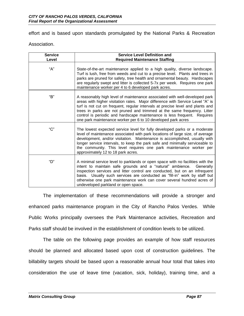effort and is based upon standards promulgated by the National Parks & Recreation

Association.

| <b>Service</b> | <b>Service Level Definition and</b>                                                                                                                                                                                                                                                                                                                                                                                                                                   |
|----------------|-----------------------------------------------------------------------------------------------------------------------------------------------------------------------------------------------------------------------------------------------------------------------------------------------------------------------------------------------------------------------------------------------------------------------------------------------------------------------|
| Level          | <b>Required Maintenance Staffing</b>                                                                                                                                                                                                                                                                                                                                                                                                                                  |
| "A"            | State-of-the-art maintenance applied to a high quality, diverse landscape.<br>Turf is lush, free from weeds and cut to a precise level. Plants and trees in<br>parks are pruned for safety, tree health and ornamental beauty. Hardscapes<br>are regularly swept and litter is collected 5-7x per week. Requires one park<br>maintenance worker per 4 to 6 developed park acres.                                                                                      |
| "В"            | A reasonably high level of maintenance associated with well-developed park<br>areas with higher visitation rates. Major difference with Service Level "A" is<br>turf is not cut on frequent, regular intervals at precise level and plants and<br>trees in parks are not pruned and trimmed at the same frequency. Litter<br>control is periodic and hardscape maintenance is less frequent. Requires<br>one park maintenance worker per 6 to 10 developed park acres |
| "C"            | The lowest expected service level for fully developed parks or a moderate<br>level of maintenance associated with park locations of large size, of average<br>development, and/or visitation. Maintenance is accomplished, usually with<br>longer service intervals, to keep the park safe and minimally serviceable to<br>the community. This level requires one park maintenance worker per<br>approximately 12 to 18 park acres.                                   |
| "D"            | A minimal service level to parklands or open space with no facilities with the<br>intent to maintain safe grounds and a "natural" ambience.<br>Generally<br>inspection services and litter control are conducted, but on an infrequent<br>basis. Usually such services are conducted as "fill-in" work by staff but<br>otherwise one park maintenance work can cover several hundred acres of<br>undeveloped parkland or open space.                                  |

The implementation of these recommendations will provide a stronger and enhanced parks maintenance program in the City of Rancho Palos Verdes. While Public Works principally oversees the Park Maintenance activities, Recreation and Parks staff should be involved in the establishment of condition levels to be utilized.

The table on the following page provides an example of how staff resources should be planned and allocated based upon cost of construction guidelines. The billability targets should be based upon a reasonable annual hour total that takes into consideration the use of leave time (vacation, sick, holiday), training time, and a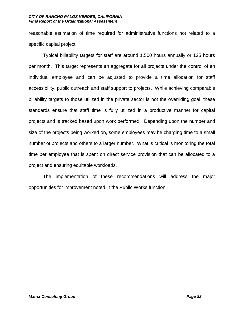reasonable estimation of time required for administrative functions not related to a specific capital project.

Typical billability targets for staff are around 1,500 hours annually or 125 hours per month. This target represents an aggregate for all projects under the control of an individual employee and can be adjusted to provide a time allocation for staff accessibility, public outreach and staff support to projects. While achieving comparable billability targets to those utilized in the private sector is not the overriding goal, these standards ensure that staff time is fully utilized in a productive manner for capital projects and is tracked based upon work performed. Depending upon the number and size of the projects being worked on, some employees may be charging time to a small number of projects and others to a larger number. What is critical is monitoring the total time per employee that is spent on direct service provision that can be allocated to a project and ensuring equitable workloads.

The implementation of these recommendations will address the major opportunities for improvement noted in the Public Works function.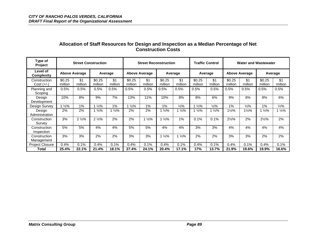| Type of<br><b>Project</b>     |                   | <b>Street Construction</b> |                   |                |                   |                      | <b>Street Reconstruction</b> |                  |                   | <b>Traffic Control</b> |                   |                      | <b>Water and Wastewater</b> |                 |
|-------------------------------|-------------------|----------------------------|-------------------|----------------|-------------------|----------------------|------------------------------|------------------|-------------------|------------------------|-------------------|----------------------|-----------------------------|-----------------|
| Level of<br><b>Complexity</b> |                   | <b>Above Average</b>       |                   | Average        |                   | <b>Above Average</b> |                              | Average          |                   | Average                |                   | <b>Above Average</b> |                             | Average         |
| Construction<br>$Cost (+/-)$  | \$0.25<br>million | \$1<br>million             | \$0.25<br>million | \$1<br>million | \$0.25<br>million | \$1<br>million       | \$0.25<br>million            | \$1<br>million   | \$0.25<br>million | \$1<br>million         | \$0.25<br>million | \$1<br>million       | \$0.25<br>million           | \$1<br>million  |
| Planning and<br>Scoping       | 0.5%              | 0.5%                       | 0.5%              | $0.5\%$        | 0.5%              | 0.5%                 | 0.5%                         | 0.5%             | 0.5%              | 0.5%                   | 0.5%              | 0.5%                 | 0.5%                        | 0.5%            |
| Desian<br>Development         | 10%               | 8%                         | 9%                | 7%             | 13%               | 11%                  | 10%                          | 8%               | 8%                | 6%                     | 9%                | 8%                   | 8%                          | 6%              |
| Design Survey                 | $1\frac{1}{2}\%$  | 1%                         | $\frac{1}{2}\%$   | 1%             | $1\frac{1}{2}\%$  | 1%                   | 1%                           | $\frac{1}{2}\%$  | $1\frac{1}{2}\%$  | $\frac{1}{2}\%$        | 1%                | $\frac{1}{2}\%$      | 1%                          | $\frac{1}{2}\%$ |
| Design<br>Administration      | 2%                | 2%                         | $\frac{1}{2}\%$   | 1 ½%           | 2%                | 2%                   | $1\frac{1}{2}\%$             | 1/2%             | $1\frac{1}{2}\%$  | $\frac{1}{2}\%$        | 1½%               | $1\frac{1}{2}\%$     | 1/2%                        | $\frac{1}{2}\%$ |
| Construction<br>Survey        | 3%                | $2\frac{1}{2}\%$           | $2\frac{1}{2}\%$  | 2%             | 2%                | $1\frac{1}{2}\%$     | $1\frac{1}{2}\%$             | 1%               | 0.1%              | 0.1%                   | $2\frac{1}{2}\%$  | 2%                   | $2\frac{1}{2}\%$            | 2%              |
| Construction<br>Inspection    | 5%                | 5%                         | 4%                | 4%             | 5%                | 5%                   | 4%                           | 4%               | 3%                | 3%                     | 4%                | 4%                   | 4%                          | 4%              |
| Construction<br>Management    | 3%                | 3%                         | 2%                | 2%             | 3%                | 3%                   | $1\frac{1}{2}\%$             | $1\frac{1}{2}\%$ | 2%                | 2%                     | 3%                | 3%                   | 2%                          | 2%              |
| <b>Project Closure</b>        | 0.4%              | 0.1%                       | 0.4%              | 0.1%           | 0.4%              | 0.1%                 | 0.4%                         | 0.1%             | 0.4%              | 0.1%                   | 0.4%              | 0.1%                 | 0.4%                        | 0.1%            |
| Total                         | 25.4%             | 22.1%                      | 21.4%             | 18.1%          | 27.4%             | 24.1%                | 20.4%                        | 17.1%            | 17%               | 13.7%                  | 21.9%             | 19.6%                | 19.9%                       | 16.6%           |

# **Allocation of Staff Resources for Design and Inspection as a Median Percentage of Net Construction Costs**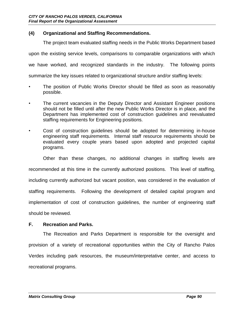## **(4) Organizational and Staffing Recommendations.**

The project team evaluated staffing needs in the Public Works Department based

upon the existing service levels, comparisons to comparable organizations with which

we have worked, and recognized standards in the industry. The following points

summarize the key issues related to organizational structure and/or staffing levels:

- The position of Public Works Director should be filled as soon as reasonably possible.
- The current vacancies in the Deputy Director and Assistant Engineer positions should not be filled until after the new Public Works Director is in place, and the Department has implemented cost of construction guidelines and reevaluated staffing requirements for Engineering positions.
- Cost of construction guidelines should be adopted for determining in-house engineering staff requirements. Internal staff resource requirements should be evaluated every couple years based upon adopted and projected capital programs.

Other than these changes, no additional changes in staffing levels are recommended at this time in the currently authorized positions. This level of staffing, including currently authorized but vacant position, was considered in the evaluation of staffing requirements. Following the development of detailed capital program and implementation of cost of construction guidelines, the number of engineering staff should be reviewed.

#### **F. Recreation and Parks.**

The Recreation and Parks Department is responsible for the oversight and provision of a variety of recreational opportunities within the City of Rancho Palos Verdes including park resources, the museum/interpretative center, and access to recreational programs.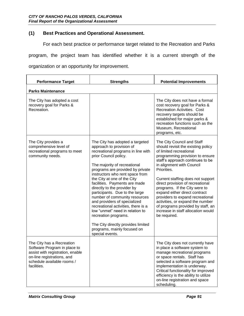# **(1) Best Practices and Operational Assessment.**

For each best practice or performance target related to the Recreation and Parks

program, the project team has identified whether it is a current strength of the

organization or an opportunity for improvement.

| <b>Performance Target</b>                                                                                                                                                | <b>Strengths</b>                                                                                                                                                                                                                                                                                                                                                                                                                                                                                                                                                                                                              | <b>Potential Improvements</b>                                                                                                                                                                                                                                                                                                                                                                                                                                                                                                |
|--------------------------------------------------------------------------------------------------------------------------------------------------------------------------|-------------------------------------------------------------------------------------------------------------------------------------------------------------------------------------------------------------------------------------------------------------------------------------------------------------------------------------------------------------------------------------------------------------------------------------------------------------------------------------------------------------------------------------------------------------------------------------------------------------------------------|------------------------------------------------------------------------------------------------------------------------------------------------------------------------------------------------------------------------------------------------------------------------------------------------------------------------------------------------------------------------------------------------------------------------------------------------------------------------------------------------------------------------------|
| <b>Parks Maintenance</b>                                                                                                                                                 |                                                                                                                                                                                                                                                                                                                                                                                                                                                                                                                                                                                                                               |                                                                                                                                                                                                                                                                                                                                                                                                                                                                                                                              |
| The City has adopted a cost<br>recovery goal for Parks &<br>Recreation.                                                                                                  |                                                                                                                                                                                                                                                                                                                                                                                                                                                                                                                                                                                                                               | The City does not have a formal<br>cost recovery goal for Parks &<br><b>Recreation Activities. Cost</b><br>recovery targets should be<br>established for major parks &<br>recreation functions such as the<br>Museum, Recreational<br>programs, etc.                                                                                                                                                                                                                                                                         |
| The City provides a<br>comprehensive level of<br>recreational programs to meet<br>community needs.                                                                       | The City has adopted a targeted<br>approach to provision of<br>recreational programs in line with<br>prior Council policy.<br>The majority of recreational<br>programs are provided by private<br>instructors who rent space from<br>the City at one of the City<br>facilities. Payments are made<br>directly to the provider by<br>participants. Due to the large<br>number of community resources<br>and providers of specialized<br>recreational activities, there is a<br>low "unmet" need in relation to<br>recreation programs.<br>The City directly provides limited<br>programs, mainly focused on<br>special events. | The City Council and Staff<br>should revisit the existing policy<br>of limited recreational<br>programming provision to ensure<br>staff's approach continues to be<br>in alignment with Council<br>Priorities.<br>Current staffing does not support<br>direct provision of recreational<br>programs. If the City were to<br>expand either direct contract<br>providers to expand recreational<br>activities, or expand the number<br>of programs provided by staff, an<br>increase in staff allocation would<br>be required. |
| The City has a Recreation<br>Software Program in place to<br>assist with registration, enable<br>on-line registrations, and<br>schedule available rooms /<br>facilities. |                                                                                                                                                                                                                                                                                                                                                                                                                                                                                                                                                                                                                               | The City does not currently have<br>in place a software system to<br>manage recreational programs<br>or space rentals. Staff has<br>selected a software program and<br>implementation is underway.<br>Critical functionality for improved<br>efficiency is the ability to utilize<br>on-line registration and space<br>scheduling.                                                                                                                                                                                           |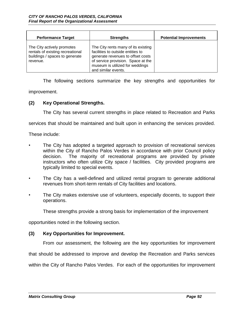| <b>Performance Target</b>                                                                                    | <b>Strengths</b>                                                                                                                                                                                              | <b>Potential Improvements</b> |
|--------------------------------------------------------------------------------------------------------------|---------------------------------------------------------------------------------------------------------------------------------------------------------------------------------------------------------------|-------------------------------|
| The City actively promotes<br>rentals of existing recreational<br>buildings / spaces to generate<br>revenue. | The City rents many of its existing<br>facilities to outside entities to<br>generate revenues to offset costs<br>of service provision. Space at the<br>museum is utilized for weddings<br>and similar events. |                               |

The following sections summarize the key strengths and opportunities for

improvement.

## **(2) Key Operational Strengths.**

The City has several current strengths in place related to Recreation and Parks

services that should be maintained and built upon in enhancing the services provided.

These include:

- The City has adopted a targeted approach to provision of recreational services within the City of Rancho Palos Verdes in accordance with prior Council policy decision. The majority of recreational programs are provided by private instructors who often utilize City space / facilities. City provided programs are typically limited to special events.
- The City has a well-defined and utilized rental program to generate additional revenues from short-term rentals of City facilities and locations.
- The City makes extensive use of volunteers, especially docents, to support their operations.

These strengths provide a strong basis for implementation of the improvement

opportunities noted in the following section.

#### **(3) Key Opportunities for Improvement.**

From our assessment, the following are the key opportunities for improvement

that should be addressed to improve and develop the Recreation and Parks services

within the City of Rancho Palos Verdes. For each of the opportunities for improvement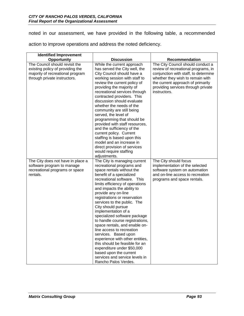noted in our assessment, we have provided in the following table, a recommended

action to improve operations and address the noted deficiency.

| <b>Identified Improvement</b>                                                                                                          |                                                                                                                                                                                                                                                                                                                                                                                                                                          |                                                                                                                                                                                                                                 |
|----------------------------------------------------------------------------------------------------------------------------------------|------------------------------------------------------------------------------------------------------------------------------------------------------------------------------------------------------------------------------------------------------------------------------------------------------------------------------------------------------------------------------------------------------------------------------------------|---------------------------------------------------------------------------------------------------------------------------------------------------------------------------------------------------------------------------------|
| Opportunity                                                                                                                            | <b>Discussion</b>                                                                                                                                                                                                                                                                                                                                                                                                                        | Recommendation                                                                                                                                                                                                                  |
| The Council should revisit the<br>existing policy of providing the<br>majority of recreational program<br>through private instructors. | While the current approach<br>has served the City well, the<br>City Council should have a<br>working session with staff to<br>review the current policy of<br>providing the majority of                                                                                                                                                                                                                                                  | The City Council should conduct a<br>review of recreational programs, in<br>conjunction with staff, to determine<br>whether they wish to remain with<br>the current approach of primarily<br>providing services through private |
|                                                                                                                                        | recreational services through<br>contracted providers. This<br>discussion should evaluate<br>whether the needs of the<br>community are still being<br>served, the level of<br>programming that should be<br>provided with staff resources,<br>and the sufficiency of the<br>current policy. Current<br>staffing is based upon this<br>model and an increase in<br>direct provision of services<br>would require staffing<br>adjustments. | instructors.                                                                                                                                                                                                                    |
| The City does not have in place a                                                                                                      | The City is managing current                                                                                                                                                                                                                                                                                                                                                                                                             | The City should focus                                                                                                                                                                                                           |
| software program to manage<br>recreational programs or space                                                                           | recreational programs and<br>space rentals without the                                                                                                                                                                                                                                                                                                                                                                                   | implementation of the selected<br>software system on automation                                                                                                                                                                 |
| rentals.                                                                                                                               | benefit of a specialized                                                                                                                                                                                                                                                                                                                                                                                                                 | and on-line access to recreation                                                                                                                                                                                                |
|                                                                                                                                        | recreational software. This                                                                                                                                                                                                                                                                                                                                                                                                              | programs and space rentals.                                                                                                                                                                                                     |
|                                                                                                                                        | limits efficiency of operations                                                                                                                                                                                                                                                                                                                                                                                                          |                                                                                                                                                                                                                                 |
|                                                                                                                                        | and impacts the ability to                                                                                                                                                                                                                                                                                                                                                                                                               |                                                                                                                                                                                                                                 |
|                                                                                                                                        | provide any on-line                                                                                                                                                                                                                                                                                                                                                                                                                      |                                                                                                                                                                                                                                 |
|                                                                                                                                        | registrations or reservation                                                                                                                                                                                                                                                                                                                                                                                                             |                                                                                                                                                                                                                                 |
|                                                                                                                                        | services to the public. The<br>City should pursue                                                                                                                                                                                                                                                                                                                                                                                        |                                                                                                                                                                                                                                 |
|                                                                                                                                        | implementation of a                                                                                                                                                                                                                                                                                                                                                                                                                      |                                                                                                                                                                                                                                 |
|                                                                                                                                        | specialized software package                                                                                                                                                                                                                                                                                                                                                                                                             |                                                                                                                                                                                                                                 |
|                                                                                                                                        | to handle course registrations,                                                                                                                                                                                                                                                                                                                                                                                                          |                                                                                                                                                                                                                                 |
|                                                                                                                                        | space rentals, and enable on-                                                                                                                                                                                                                                                                                                                                                                                                            |                                                                                                                                                                                                                                 |
|                                                                                                                                        | line access to recreation                                                                                                                                                                                                                                                                                                                                                                                                                |                                                                                                                                                                                                                                 |
|                                                                                                                                        | services. Based upon<br>experience with other entities,                                                                                                                                                                                                                                                                                                                                                                                  |                                                                                                                                                                                                                                 |
|                                                                                                                                        | this should be feasible for an                                                                                                                                                                                                                                                                                                                                                                                                           |                                                                                                                                                                                                                                 |
|                                                                                                                                        | expenditure under \$50,000                                                                                                                                                                                                                                                                                                                                                                                                               |                                                                                                                                                                                                                                 |
|                                                                                                                                        | based upon the current                                                                                                                                                                                                                                                                                                                                                                                                                   |                                                                                                                                                                                                                                 |
|                                                                                                                                        | services and service levels in                                                                                                                                                                                                                                                                                                                                                                                                           |                                                                                                                                                                                                                                 |
|                                                                                                                                        | Rancho Palos Verdes.                                                                                                                                                                                                                                                                                                                                                                                                                     |                                                                                                                                                                                                                                 |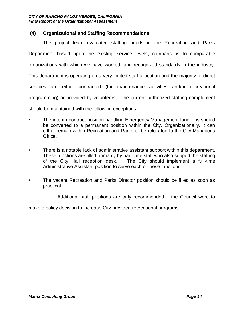## **(4) Organizational and Staffing Recommendations.**

The project team evaluated staffing needs in the Recreation and Parks Department based upon the existing service levels, comparisons to comparable organizations with which we have worked, and recognized standards in the industry. This department is operating on a very limited staff allocation and the majority of direct services are either contracted (for maintenance activities and/or recreational programming) or provided by volunteers. The current authorized staffing complement should be maintained with the following exceptions:

- The interim contract position handling Emergency Management functions should be converted to a permanent position within the City. Organizationally, it can either remain within Recreation and Parks or be relocated to the City Manager's Office.
- There is a notable lack of administrative assistant support within this department. These functions are filled primarily by part-time staff who also support the staffing of the City Hall reception desk. The City should implement a full-time Administrative Assistant position to serve each of these functions.
- The vacant Recreation and Parks Director position should be filled as soon as practical.

Additional staff positions are only recommended if the Council were to

make a policy decision to increase City provided recreational programs.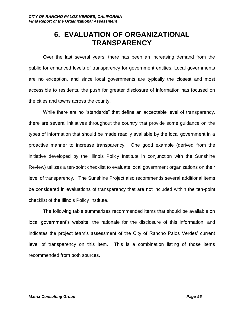# **6. EVALUATION OF ORGANIZATIONAL TRANSPARENCY**

Over the last several years, there has been an increasing demand from the public for enhanced levels of transparency for government entities. Local governments are no exception, and since local governments are typically the closest and most accessible to residents, the push for greater disclosure of information has focused on the cities and towns across the county.

While there are no "standards" that define an acceptable level of transparency, there are several initiatives throughout the country that provide some guidance on the types of information that should be made readily available by the local government in a proactive manner to increase transparency. One good example (derived from the initiative developed by the Illinois Policy Institute in conjunction with the Sunshine Review) utilizes a ten-point checklist to evaluate local government organizations on their level of transparency. The Sunshine Project also recommends several additional items be considered in evaluations of transparency that are not included within the ten-point checklist of the Illinois Policy Institute.

The following table summarizes recommended items that should be available on local government's website, the rationale for the disclosure of this information, and indicates the project team's assessment of the City of Rancho Palos Verdes' current level of transparency on this item. This is a combination listing of those items recommended from both sources.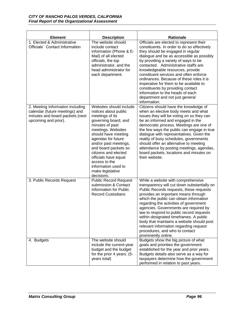| <b>Element</b>                                                                                                                | <b>Description</b>                                                                                                                                                                                                                                                                                                                                          | <b>Rationale</b>                                                                                                                                                                                                                                                                                                                                                                                                                                                                                                                                          |
|-------------------------------------------------------------------------------------------------------------------------------|-------------------------------------------------------------------------------------------------------------------------------------------------------------------------------------------------------------------------------------------------------------------------------------------------------------------------------------------------------------|-----------------------------------------------------------------------------------------------------------------------------------------------------------------------------------------------------------------------------------------------------------------------------------------------------------------------------------------------------------------------------------------------------------------------------------------------------------------------------------------------------------------------------------------------------------|
| 1. Elected & Administrative<br>Officials' Contact Information                                                                 | The website should<br>include contact<br>information (Phone & E-<br>Mail) of all elected<br>officials, the top<br>administrator, and the<br>head administrator for<br>each department.                                                                                                                                                                      | Officials are elected to represent their<br>constituents. In order to do so effectively<br>they should be engaged in regular<br>dialogue and be as accessible as possibly<br>by providing a variety of ways to be<br>contacted. Administrative staffs are<br>knowledgeable resources, provide<br>constituent services and often enforce<br>ordinances. Because of these roles it is<br>imperative for them to be available to<br>constituents by providing contact<br>information to the heads of each<br>department and not just general<br>information. |
| 2. Meeting Information including<br>calendar (future meetings) and<br>minutes and board packets (next<br>upcoming and prior). | Websites should include<br>notices about public<br>meetings of its<br>governing board, and<br>minutes of past<br>meetings. Websites<br>should have meeting<br>agendas for future<br>and/or past meetings,<br>and board packets so<br>citizens and elected<br>officials have equal<br>access to the<br>information used to<br>make legislative<br>decisions. | Citizens should have the knowledge of<br>when an elective body meets and what<br>issues they will be voting on so they can<br>be an informed and engaged in the<br>democratic process. Meetings are one of<br>the few ways the public can engage in true<br>dialogue with representatives. Given the<br>reality of busy schedules, governments<br>should offer an alternative to meeting<br>attendance by posting meetings, agendas,<br>board packets, locations and minutes on<br>their website.                                                         |
| 3. Public Records Request                                                                                                     | <b>Public Record Request</b><br>submission & Contact<br>Information for Public<br><b>Record Custodians</b>                                                                                                                                                                                                                                                  | While a website with comprehensive<br>transparency will cut down substantially on<br>Public Records requests, these requests<br>provides an important means through<br>which the public can obtain information<br>regarding the activities of government<br>agencies. Governments are required by<br>law to respond to public record requests<br>within designated timeframes. A public<br>body that maintains a website should post<br>relevant information regarding request<br>procedures, and who to contact<br>prominently online.                   |
| 4. Budgets                                                                                                                    | The website should<br>include the current-year<br>budget and the budget<br>for the prior 4 years. (5-<br>years total)                                                                                                                                                                                                                                       | Budgets show the big picture of what<br>goals and priorities the government<br>established for the year and prior years.<br>Budgets details also serve as a way for<br>taxpayers determine how the government<br>performed in relation to past years.                                                                                                                                                                                                                                                                                                     |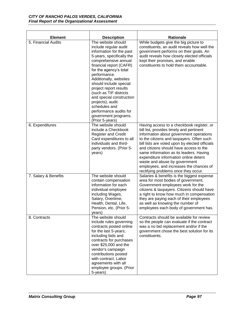| <b>Element</b>       | <b>Description</b>                                                                                                                                                                                                                                                                                                                                                                                                                              | <b>Rationale</b>                                                                                                                                                                                                                                                                                                                                                                                                                                                                  |
|----------------------|-------------------------------------------------------------------------------------------------------------------------------------------------------------------------------------------------------------------------------------------------------------------------------------------------------------------------------------------------------------------------------------------------------------------------------------------------|-----------------------------------------------------------------------------------------------------------------------------------------------------------------------------------------------------------------------------------------------------------------------------------------------------------------------------------------------------------------------------------------------------------------------------------------------------------------------------------|
| 5. Financial Audits  | The website should<br>include regular audit<br>information for the past<br>5-years, specifically the<br>comprehensive annual<br>financial report (CAFR)<br>for the agency's total<br>performance.<br>Additionally, websites<br>should include special<br>project report results<br>(such as TIF districts<br>and special construction<br>projects), audit<br>schedules and<br>performance audits for<br>government programs.<br>(Prior 5-years) | While budgets give the big picture to<br>constituents, an audit reveals how well the<br>government performs on their goals. An<br>audit reveals how closely elected officials<br>kept their promises, and enable<br>constituents to hold them accountable.                                                                                                                                                                                                                        |
| 6. Expenditures      | The website should<br>include a Checkbook<br><b>Register and Credit</b><br>Card expenditures to all<br>individuals and third-<br>party vendors. (Prior 5-<br>years)                                                                                                                                                                                                                                                                             | Having access to a checkbook register, or<br>bill list, provides timely and pertinent<br>information about government operations<br>to the citizens and taxpayers. Often such<br>bill lists are voted upon by elected officials<br>and citizens should have access to the<br>same information as its leaders. Having<br>expenditure information online deters<br>waste and abuse by government<br>employees, and increases the chances of<br>rectifying problems once they occur. |
| 7. Salary & Benefits | The website should<br>contain compensation<br>information for each<br>individual employee<br>including Wages,<br>Salary, Overtime,<br>Health, Dental, Life,<br>Pension, etc. (Prior 5-<br>years)                                                                                                                                                                                                                                                | Salaries & benefits is the biggest expense<br>area for most bodies of government.<br>Government employees work for the<br>citizens & taxpayers. Citizens should have<br>a right to know how much in compensation<br>they are paying each of their employees<br>as well as knowing the number of<br>employees each body of government has.                                                                                                                                         |
| 8. Contracts         | The website should<br>include rules governing<br>contracts posted online<br>for the last 5-years;<br>including bids and<br>contracts for purchases<br>over \$25,000 and the<br>vendor's campaign<br>contributions posted<br>with contract. Labor<br>agreements with all<br>employee groups. (Prior<br>5-years)                                                                                                                                  | Contracts should be available for review<br>so the people can evaluate if the contract<br>was a no bid replacement and/or if the<br>government chose the best solution for its<br>constituents.                                                                                                                                                                                                                                                                                   |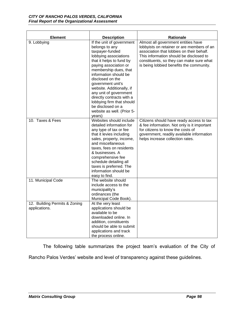| <b>Element</b>                                 | <b>Description</b>                                                                                                                                                                                                                                                                                                                                                                                                    | <b>Rationale</b>                                                                                                                                                                                                                                                  |
|------------------------------------------------|-----------------------------------------------------------------------------------------------------------------------------------------------------------------------------------------------------------------------------------------------------------------------------------------------------------------------------------------------------------------------------------------------------------------------|-------------------------------------------------------------------------------------------------------------------------------------------------------------------------------------------------------------------------------------------------------------------|
| 9. Lobbying                                    | If the unit of government<br>belongs to any<br>taxpayer-funded<br>lobbying associations<br>that it helps to fund by<br>paying association or<br>membership dues, that<br>information should be<br>disclosed on the<br>government unit's<br>website. Additionally, if<br>any unit of government<br>directly contracts with a<br>lobbying firm that should<br>be disclosed on a<br>website as well. (Prior 5-<br>years) | Almost all government entities have<br>lobbyists on retainer or are members of an<br>association that lobbies on their behalf.<br>This information should be disclosed to<br>constituents, so they can make sure what<br>is being lobbied benefits the community. |
| 10. Taxes & Fees                               | Websites should include<br>detailed information for<br>any type of tax or fee<br>that it levies including<br>sales, property, income,<br>and miscellaneous<br>taxes, fees on residents<br>& businesses. A<br>comprehensive fee<br>schedule detailing all<br>taxes is preferred. The<br>information should be<br>easy to find.                                                                                         | Citizens should have ready access to tax<br>& fee information. Not only is it important<br>for citizens to know the costs of<br>government, readily available information<br>helps increase collection rates.                                                     |
| 11. Municipal Code                             | The website should<br>include access to the<br>municipality's<br>ordinances (the<br>Municipal Code Book).                                                                                                                                                                                                                                                                                                             |                                                                                                                                                                                                                                                                   |
| 12. Building Permits & Zoning<br>applications. | At the very least<br>applications should be<br>available to be<br>downloaded online. In<br>addition, constituents<br>should be able to submit<br>applications and track<br>the process online.                                                                                                                                                                                                                        |                                                                                                                                                                                                                                                                   |

The following table summarizes the project team's evaluation of the City of

Rancho Palos Verdes' website and level of transparency against these guidelines.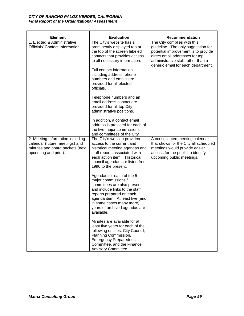| <b>Element</b>                                                                                                                | <b>Evaluation</b>                                                                                                                                                                                                                                                                                                                                                                                                                                                                                                                                                                                                                                                                                            | <b>Recommendation</b>                                                                                                                                                                                                  |
|-------------------------------------------------------------------------------------------------------------------------------|--------------------------------------------------------------------------------------------------------------------------------------------------------------------------------------------------------------------------------------------------------------------------------------------------------------------------------------------------------------------------------------------------------------------------------------------------------------------------------------------------------------------------------------------------------------------------------------------------------------------------------------------------------------------------------------------------------------|------------------------------------------------------------------------------------------------------------------------------------------------------------------------------------------------------------------------|
| 1. Elected & Administrative<br><b>Officials' Contact Information</b>                                                          | The City's website has a<br>prominently displayed top at<br>the top of the screen labeled<br>contacts that provides access<br>to all necessary information.<br>Full contact information<br>including address, phone<br>numbers and emails are<br>provided for all elected<br>officials.<br>Telephone numbers and an<br>email address contact are<br>provided for all top City<br>administrative positions.<br>In addition, a contact email<br>address is provided for each of<br>the five major commissions<br>and committees of the City.                                                                                                                                                                   | The City complies with this<br>guideline. The only suggestion for<br>potential improvement is to provide<br>direct email addresses for top<br>administrative staff rather than a<br>generic email for each department. |
| 2. Meeting Information including<br>calendar (future meetings) and<br>minutes and board packets (next<br>upcoming and prior). | The City's website provides<br>access to the current and<br>historical meeting agendas and<br>staff reports associated with<br>each action item. Historical<br>council agendas are listed from<br>1996 to the present.<br>Agendas for each of the 5<br>major commissions /<br>committees are also present<br>and include links to the staff<br>reports prepared on each<br>agenda item. At least five (and<br>in some cases many more)<br>years of archived agendas are<br>available.<br>Minutes are available for at<br>least five years for each of the<br>following entities: City Council,<br>Planning Commission,<br><b>Emergency Preparedness</b><br>Committee, and the Finance<br>Advisory Committee. | A consolidated meeting calendar<br>that shows for the City all scheduled<br>meetings would provide easier<br>access for the public to identify<br>upcoming public meetings.                                            |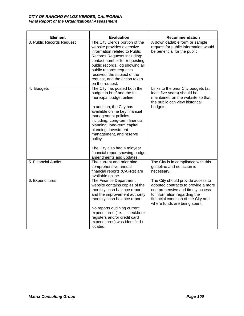| <b>Element</b>            | <b>Evaluation</b>                                                                                                                                                                                                                                                                                                                                                                                          | <b>Recommendation</b>                                                                                                                                                                                              |
|---------------------------|------------------------------------------------------------------------------------------------------------------------------------------------------------------------------------------------------------------------------------------------------------------------------------------------------------------------------------------------------------------------------------------------------------|--------------------------------------------------------------------------------------------------------------------------------------------------------------------------------------------------------------------|
| 3. Public Records Request | The City Clerk's portion of the<br>website provides extensive<br>information related to Public<br>Records Requests including:<br>contact number for requesting<br>public records, log showing all<br>public records requests<br>received, the subject of the<br>request, and the action taken<br>on the request.                                                                                           | A downloadable form or sample<br>request for public information would<br>be beneficial for the public.                                                                                                             |
| 4. Budgets                | The City has posted both the<br>budget in brief and the full<br>municipal budget online.<br>In addition, the City has<br>available online key financial<br>management policies<br>including: Long-term financial<br>planning, long-term capital<br>planning, investment<br>management, and reserve<br>policy.<br>The City also had a midyear<br>financial report showing budget<br>amendments and updates. | Links to the prior City budgets (at<br>least five years) should be<br>maintained on the website so that<br>the public can view historical<br>budgets.                                                              |
| 5. Financial Audits       | The current and prior nine<br>comprehensive annual<br>financial reports (CAFRs) are<br>available online.                                                                                                                                                                                                                                                                                                   | The City is in compliance with this<br>guideline and no action is<br>necessary.                                                                                                                                    |
| 6. Expenditures           | The Finance Department<br>website contains copies of the<br>monthly cash balance report<br>and the improvement authority<br>monthly cash balance report.<br>No reports outlining current<br>expenditures (i.e. - checkbook<br>registers and/or credit card<br>expenditures) was identified /<br>located.                                                                                                   | The City should provide access to<br>adopted contracts to provide a more<br>comprehensive and timely access<br>to information regarding the<br>financial condition of the City and<br>where funds are being spent. |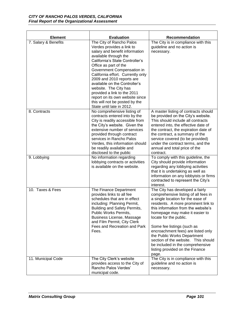| <b>Element</b>       | <b>Evaluation</b>                                                                                                                                                                                                                                                                                                                                                                                                                                                       | <b>Recommendation</b>                                                                                                                                                                                                                                                                                                                                                                                                                                                            |
|----------------------|-------------------------------------------------------------------------------------------------------------------------------------------------------------------------------------------------------------------------------------------------------------------------------------------------------------------------------------------------------------------------------------------------------------------------------------------------------------------------|----------------------------------------------------------------------------------------------------------------------------------------------------------------------------------------------------------------------------------------------------------------------------------------------------------------------------------------------------------------------------------------------------------------------------------------------------------------------------------|
| 7. Salary & Benefits | The City of Rancho Palos<br>Verdes provides a link to<br>salary and benefit information<br>available through the<br>California's State Controller's<br>Office as part of the<br>Government Compensation in<br>California effort. Currently only<br>2009 and 2010 reports are<br>available on the Controller's<br>website. The City has<br>provided a link to the 2011<br>report on its own website since<br>this will not be posted by the<br>State until late in 2012. | The City is in compliance with this<br>guideline and no action is<br>necessary.                                                                                                                                                                                                                                                                                                                                                                                                  |
| 8. Contracts         | No comprehensive listing of<br>contracts entered into by the<br>City is readily accessible from<br>the City's website. Given the<br>extensive number of services<br>provided through contract<br>services in Rancho Palos<br>Verdes, this information should<br>be readily available and<br>disclosed to the public                                                                                                                                                     | A master listing of contracts should<br>be provided on the City's website.<br>This should include all contracts<br>entered into, the effective date of<br>the contract, the expiration date of<br>the contract, a summary of the<br>service covered (to be provided)<br>under the contract terms, and the<br>annual and total price of the<br>contract.                                                                                                                          |
| 9. Lobbying          | No information regarding<br>lobbying contracts or activities<br>is available on the website.                                                                                                                                                                                                                                                                                                                                                                            | To comply with this guideline, the<br>City should provide information<br>regarding any lobbying activities<br>that it is undertaking as well as<br>information on any lobbyists or firms<br>contracted to represent the City's<br>interest.                                                                                                                                                                                                                                      |
| 10. Taxes & Fees     | The Finance Department<br>provides links to all fee<br>schedules that are in effect<br>including: Planning Permit,<br>Building and Safety Permits,<br>Public Works Permits,<br>Business License, Massage<br>and Film Permit, City Clerk<br>Fees and Recreation and Park<br>Fees.                                                                                                                                                                                        | The City has developed a fairly<br>comprehensive listing of all fees in<br>a single location for the ease of<br>residents. A more prominent link to<br>this information from the website's<br>homepage may make it easier to<br>locate for the public.<br>Some fee listings (such as<br>encroachment fees) are listed only<br>the Public Works Department<br>section of the website. This should<br>be included in the comprehensive<br>listing provided on the Finance<br>page. |
| 11. Municipal Code   | The City Clerk's website<br>provides access to the City of<br>Rancho Palos Verdes'<br>municipal code.                                                                                                                                                                                                                                                                                                                                                                   | The City is in compliance with this<br>guideline and no action is<br>necessary.                                                                                                                                                                                                                                                                                                                                                                                                  |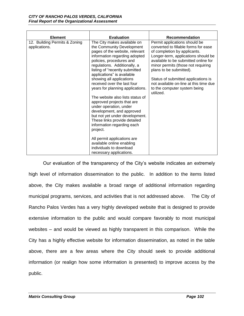| <b>Element</b>                                 | <b>Evaluation</b>                                                                                                                                                                                                                                                                                                                                                                          | <b>Recommendation</b>                                                                                                                                                                                                                                                                                                                                                               |
|------------------------------------------------|--------------------------------------------------------------------------------------------------------------------------------------------------------------------------------------------------------------------------------------------------------------------------------------------------------------------------------------------------------------------------------------------|-------------------------------------------------------------------------------------------------------------------------------------------------------------------------------------------------------------------------------------------------------------------------------------------------------------------------------------------------------------------------------------|
| 12. Building Permits & Zoning<br>applications. | The City makes available on<br>the Community Development<br>pages of the website, relevant<br>information regarding adopted<br>policies, procedures and<br>regulations. Additionally, a<br>listing of "recently submitted<br>applications" is available<br>showing all applications<br>received over the last four<br>years for planning applications.<br>The website also lists status of | Permit applications should be<br>converted to fillable forms for ease<br>of completion by applicants.<br>Longer-term, applications should be<br>available to be submitted online for<br>minor permits (those not requiring<br>plans to be submitted).<br>Status of submitted applications is<br>not available on-line at this time due<br>to the computer system being<br>utilized. |
|                                                | approved projects that are<br>under operation, under<br>development, and approved<br>but not yet under development.<br>These links provide detailed<br>information regarding each<br>project.<br>All permit applications are                                                                                                                                                               |                                                                                                                                                                                                                                                                                                                                                                                     |
|                                                | available online enabling<br>individuals to download<br>necessary applications.                                                                                                                                                                                                                                                                                                            |                                                                                                                                                                                                                                                                                                                                                                                     |

Our evaluation of the transparency of the City's website indicates an extremely high level of information dissemination to the public. In addition to the items listed above, the City makes available a broad range of additional information regarding municipal programs, services, and activities that is not addressed above. The City of Rancho Palos Verdes has a very highly developed website that is designed to provide extensive information to the public and would compare favorably to most municipal websites – and would be viewed as highly transparent in this comparison. While the City has a highly effective website for information dissemination, as noted in the table above, there are a few areas where the City should seek to provide additional information (or realign how some information is presented) to improve access by the public.